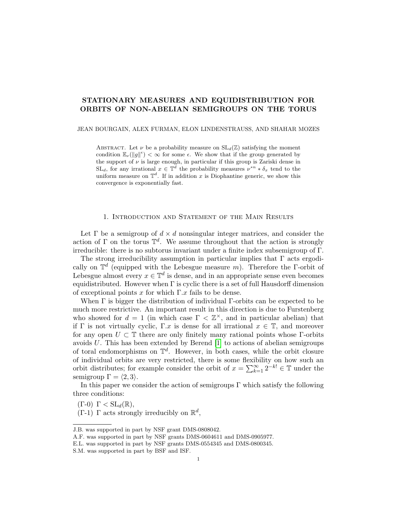# STATIONARY MEASURES AND EQUIDISTRIBUTION FOR ORBITS OF NON-ABELIAN SEMIGROUPS ON THE TORUS

#### JEAN BOURGAIN, ALEX FURMAN, ELON LINDENSTRAUSS, AND SHAHAR MOZES

ABSTRACT. Let  $\nu$  be a probability measure on  $SL_d(\mathbb{Z})$  satisfying the moment condition  $\mathbb{E}_{\nu}(|g||^{\epsilon}) < \infty$  for some  $\epsilon$ . We show that if the group generated by the support of  $\nu$  is large enough, in particular if this group is Zariski dense in  $SL_d$ , for any irrational  $x \in \mathbb{T}^d$  the probability measures  $\nu^{*n} * \delta_x$  tend to the uniform measure on  $\mathbb{T}^d$ . If in addition x is Diophantine generic, we show this convergence is exponentially fast.

#### 1. Introduction and Statement of the Main Results

<span id="page-0-0"></span>Let  $\Gamma$  be a semigroup of  $d \times d$  nonsingular integer matrices, and consider the action of  $\Gamma$  on the torus  $\mathbb{T}^d$ . We assume throughout that the action is strongly irreducible: there is no subtorus invariant under a finite index subsemigroup of Γ.

The strong irreducibility assumption in particular implies that Γ acts ergodically on  $\mathbb{T}^d$  (equipped with the Lebesgue measure m). Therefore the Γ-orbit of Lebesgue almost every  $x \in \mathbb{T}^d$  is dense, and in an appropriate sense even becomes equidistributed. However when  $\Gamma$  is cyclic there is a set of full Hausdorff dimension of exceptional points x for which  $\Gamma.x$  fails to be dense.

When Γ is bigger the distribution of individual Γ-orbits can be expected to be much more restrictive. An important result in this direction is due to Furstenberg who showed for  $d = 1$  (in which case  $\Gamma < \mathbb{Z}^{\times}$ , and in particular abelian) that if  $\Gamma$  is not virtually cyclic,  $\Gamma \cdot x$  is dense for all irrational  $x \in \mathbb{T}$ , and moreover for any open  $U \subset \mathbb{T}$  there are only finitely many rational points whose  $\Gamma$ -orbits avoids  $U$ . This has been extended by Berend  $[1]$  to actions of abelian semigroups of toral endomorphisms on  $\mathbb{T}^d$ . However, in both cases, while the orbit closure of individual orbits are very restricted, there is some flexibility on how such an orbit distributes; for example consider the orbit of  $x = \sum_{k=1}^{\infty} 2^{-k!} \in \mathbb{T}$  under the semigroup  $\Gamma = \langle 2, 3 \rangle$ .

In this paper we consider the action of semigroups  $\Gamma$  which satisfy the following three conditions:

 $(\Gamma - 0)$   $\Gamma < SL_d(\mathbb{R}),$ 

(Γ-1) Γ acts strongly irreducibly on  $\mathbb{R}^d$ ,

J.B. was supported in part by NSF grant DMS-0808042.

A.F. was supported in part by NSF grants DMS-0604611 and DMS-0905977.

E.L. was supported in part by NSF grants DMS-0554345 and DMS-0800345.

S.M. was supported in part by BSF and ISF.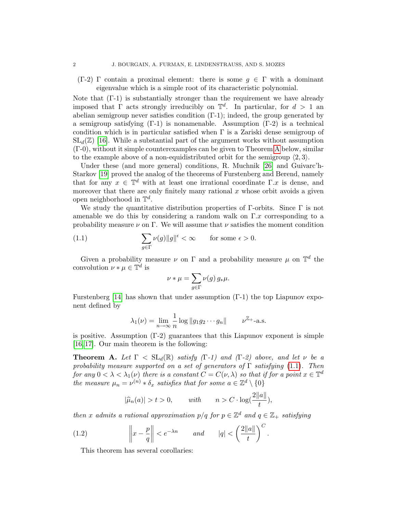$(\Gamma-2)$  Γ contain a proximal element: there is some  $g \in \Gamma$  with a dominant eigenvalue which is a simple root of its characteristic polynomial.

Note that (Γ-1) is substantially stronger than the requirement we have already imposed that  $\Gamma$  acts strongly irreducibly on  $\mathbb{T}^d$ . In particular, for  $d > 1$  and abelian semigroup never satisfies condition (Γ-1); indeed, the group generated by a semigroup satisfying (Γ-1) is nonamenable. Assumption (Γ-2) is a technical condition which is in particular satisfied when  $\Gamma$  is a Zariski dense semigroup of  $SL_d(\mathbb{Z})$  [\[16\]](#page-51-1). While a substantial part of the argument works without assumption (Γ-0), without it simple counterexamples can be given to Theorem [A](#page-1-0) below, similar to the example above of a non-equidistributed orbit for the semigroup  $\langle 2, 3 \rangle$ .

Under these (and more general) conditions, R. Muchnik [\[26\]](#page-52-0) and Guivarc'h-Starkov [\[19\]](#page-52-1) proved the analog of the theorems of Furstenberg and Berend, namely that for any  $x \in \mathbb{T}^d$  with at least one irrational coordinate  $\Gamma.x$  is dense, and moreover that there are only finitely many rational  $x$  whose orbit avoids a given open neighborhood in  $\mathbb{T}^d$ .

We study the quantitative distribution properties of  $\Gamma$ -orbits. Since  $\Gamma$  is not amenable we do this by considering a random walk on  $\Gamma.x$  corresponding to a probability measure  $\nu$  on Γ. We will assume that  $\nu$  satisfies the moment condition

(1.1) 
$$
\sum_{g \in \Gamma} \nu(g) \|g\|^\epsilon < \infty \qquad \text{for some } \epsilon > 0.
$$

Given a probability measure  $\nu$  on  $\Gamma$  and a probability measure  $\mu$  on  $\mathbb{T}^d$  the convolution  $\nu * \mu \in \mathbb{T}^d$  is

<span id="page-1-1"></span>
$$
\nu * \mu = \sum_{g \in \Gamma} \nu(g) \, g_* \mu.
$$

Furstenberg [\[14\]](#page-51-2) has shown that under assumption (Γ-1) the top Liapunov exponent defined by

$$
\lambda_1(\nu) = \lim_{n \to \infty} \frac{1}{n} \log \|g_1 g_2 \cdots g_n\| \qquad \nu^{\mathbb{Z}_+} \text{-a.s.}
$$

is positive. Assumption  $(\Gamma_2)$  guarantees that this Liapunov exponent is simple [\[16,](#page-51-1) [17\]](#page-52-2). Our main theorem is the following:

<span id="page-1-0"></span>**Theorem A.** Let  $\Gamma < SL_d(\mathbb{R})$  satisfy (Γ-1) and (Γ-2) above, and let v be a probability measure supported on a set of generators of  $\Gamma$  satisfying [\(1.1\)](#page-1-1). Then for any  $0 < \lambda < \lambda_1(\nu)$  there is a constant  $C = C(\nu, \lambda)$  so that if for a point  $x \in \mathbb{T}^d$ the measure  $\mu_n = \nu^{(n)} * \delta_x$  satisfies that for some  $a \in \mathbb{Z}^d \setminus \{0\}$ 

<span id="page-1-3"></span>
$$
|\widehat{\mu}_n(a)| > t > 0, \quad \text{with} \quad n > C \cdot \log(\frac{2||a||}{t}),
$$

then x admits a rational approximation  $p/q$  for  $p \in \mathbb{Z}^d$  and  $q \in \mathbb{Z}_+$  satisfying

(1.2) 
$$
\left\|x - \frac{p}{q}\right\| < e^{-\lambda n}
$$
 and  $|q| < \left(\frac{2\|a\|}{t}\right)^C$ .

<span id="page-1-2"></span>This theorem has several corollaries: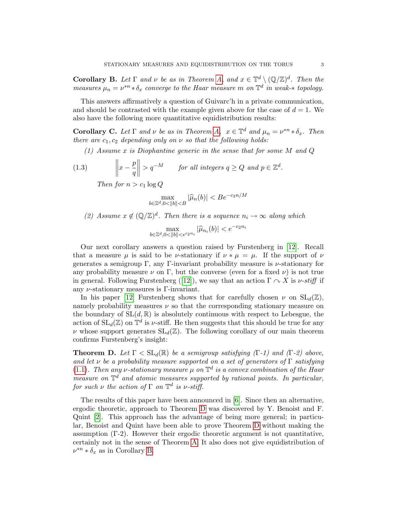**Corollary B.** Let  $\Gamma$  and  $\nu$  be as in Theorem [A,](#page-1-0) and  $x \in \mathbb{T}^d \setminus (\mathbb{Q}/\mathbb{Z})^d$ . Then the measures  $\mu_n = \nu^{*n} * \delta_x$  converge to the Haar measure m on  $\mathbb{T}^d$  in weak- $*$  topology.

This answers affirmatively a question of Guivarc'h in a private communication, and should be contrasted with the example given above for the case of  $d = 1$ . We also have the following more quantitative equidistribution results:

<span id="page-2-1"></span>**Corollary C.** Let  $\Gamma$  and  $\nu$  be as in Theorem [A,](#page-1-0)  $x \in \mathbb{T}^d$  and  $\mu_n = \nu^{*n} * \delta_x$ . Then there are  $c_1, c_2$  depending only on  $\nu$  so that the following holds:

(1) Assume x is Diophantine generic in the sense that for some M and Q

(1.3) 
$$
\left\|x - \frac{p}{q}\right\| > q^{-M} \quad \text{for all integers } q \ge Q \text{ and } p \in \mathbb{Z}^d.
$$

<span id="page-2-2"></span>Then for  $n > c_1 \log Q$ 

$$
\max_{b \in \mathbb{Z}^d, 0 < \|b\| < B} |\widehat{\mu}_n(b)| < B e^{-c_2 n / M}
$$

(2) Assume  $x \notin (\mathbb{Q}/\mathbb{Z})^d$ . Then there is a sequence  $n_i \to \infty$  along which

$$
\max_{b \in \mathbb{Z}^d, 0 < ||b|| < e^{c_2 n_i}} |\widehat{\mu}_{n_i}(b)| < e^{-c_2 n_i}
$$

Our next corollary answers a question raised by Furstenberg in [\[12\]](#page-51-3). Recall that a measure  $\mu$  is said to be *ν*-stationary if  $\nu * \mu = \mu$ . If the support of  $\nu$ generates a semigroup Γ, any Γ-invariant probability measure is  $\nu$ -stationary for any probability measure  $\nu$  on  $\Gamma$ , but the converse (even for a fixed  $\nu$ ) is not true in general. Following Furstenberg ([\[12\]](#page-51-3)), we say that an action  $\Gamma \curvearrowright X$  is  $\nu\text{-stiff}$  if any  $\nu$ -stationary measures is Γ-invariant.

In his paper [\[12\]](#page-51-3) Furstenberg shows that for carefully chosen  $\nu$  on  $SL_d(\mathbb{Z})$ , namely probability measures  $\nu$  so that the corresponding stationary measure on the boundary of  $SL(d, \mathbb{R})$  is absolutely continuous with respect to Lebesgue, the action of  $SL_d(\mathbb{Z})$  on  $\mathbb{T}^d$  is  $\nu$ -stiff. He then suggests that this should be true for any  $\nu$  whose support generates  $SL_d(\mathbb{Z})$ . The following corollary of our main theorem confirms Furstenberg's insight:

<span id="page-2-0"></span>**Theorem D.** Let  $\Gamma < SL_d(\mathbb{R})$  be a semigroup satisfying  $(\Gamma \cdot 1)$  and  $(\Gamma \cdot 2)$  above, and let  $\nu$  be a probability measure supported on a set of generators of  $\Gamma$  satisfying [\(1.1\)](#page-1-1). Then any v-stationary measure  $\mu$  on  $\mathbb{T}^d$  is a convex combination of the Haar measure on  $\mathbb{T}^d$  and atomic measures supported by rational points. In particular, for such  $\nu$  the action of  $\Gamma$  on  $\mathbb{T}^d$  is  $\nu$ -stiff.

The results of this paper have been announced in [\[6\]](#page-51-4). Since then an alternative, ergodic theoretic, approach to Theorem [D](#page-2-0) was discovered by Y. Benoist and F. Quint [\[2\]](#page-51-5). This approach has the advantage of being more general; in particular, Benoist and Quint have been able to prove Theorem [D](#page-2-0) without making the assumption  $(\Gamma-2)$ . However their ergodic theoretic argument is not quantitative, certainly not in the sense of Theorem [A.](#page-1-0) It also does not give equidistribution of  $\nu^{*n} * \delta_x$  as in Corollary [B.](#page-1-2)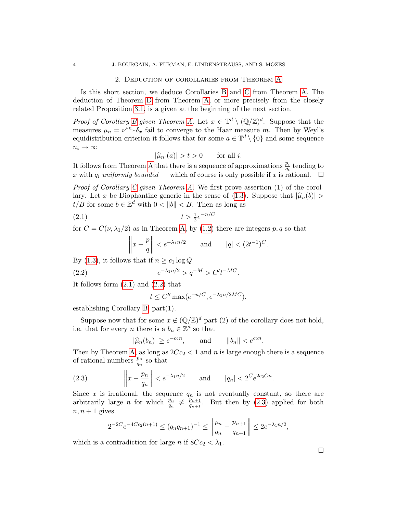#### 2. Deduction of corollaries from Theorem [A](#page-1-0)

Is this short section, we deduce Corollaries [B](#page-1-2) and [C](#page-2-1) from Theorem [A.](#page-1-0) The deduction of Theorem [D](#page-2-0) from Theorem [A,](#page-1-0) or more precisely from the closely related Proposition [3.1,](#page-4-0) is a given at the beginning of the next section.

*Proof of Corollary [B](#page-1-2) given Theorem [A.](#page-1-0)* Let  $x \in \mathbb{T}^d \setminus (\mathbb{Q}/\mathbb{Z})^d$ . Suppose that the measures  $\mu_n = \nu^{*n} * \delta_x$  fail to converge to the Haar measure m. Then by Weyl's equidistribution criterion it follows that for some  $a \in \mathbb{T}^d \setminus \{0\}$  and some sequence  $n_i \rightarrow \infty$ 

$$
|\widehat{\mu}_{n_i}(a)| > t > 0 \quad \text{for all } i.
$$

 $|\hat{\mu}_{n_i}(a)| > t > 0$  for all *i*.<br>It follows from Theorem [A](#page-1-0) that there is a sequence of approximations  $\frac{p_i}{q_i}$  tending to x with  $q_i$  uniformly bounded — which of course is only possible if x is rational.  $\Box$ 

*Proof of [C](#page-2-1)orollary C given Theorem [A.](#page-1-0)* We first prove assertion  $(1)$  of the corol-lary. Let x be Diophantine generic in the sense of [\(1.3\)](#page-2-2). Suppose that  $|\hat{\mu}_n(b)| >$  $t/B$  for some  $b \in \mathbb{Z}^d$  with  $0 < ||b|| < B$ . Then as long as

$$
(2.1) \t\t t > \frac{1}{2}e^{-n/C}
$$

for  $C = C(\nu, \lambda_1/2)$  as in Theorem [A,](#page-1-0) by [\(1.2\)](#page-1-3) there are integers p, q so that

<span id="page-3-0"></span>
$$
\left\|x - \frac{p}{q}\right\| < e^{-\lambda_1 n/2} \qquad \text{and} \qquad |q| < (2t^{-1})^C.
$$

By [\(1.3\)](#page-2-2), it follows that if  $n \geq c_1 \log Q$ 

(2.2) 
$$
e^{-\lambda_1 n/2} > q^{-M} > C't^{-MC}.
$$

It follows form [\(2.1\)](#page-3-0) and [\(2.2\)](#page-3-1) that

<span id="page-3-1"></span>
$$
t \le C'' \max(e^{-n/C}, e^{-\lambda_1 n/2MC}),
$$

establishing Corollary [B,](#page-1-2) part(1).

Suppose now that for some  $x \notin (\mathbb{Q}/\mathbb{Z})^d$  part (2) of the corollary does not hold, i.e. that for every *n* there is a  $b_n \in \mathbb{Z}^d$  so that

<span id="page-3-2"></span>
$$
|\widehat{\mu}_n(b_n)| \ge e^{-c_2 n}, \quad \text{and} \quad ||b_n|| < e^{c_2 n}.
$$

Then by Theorem [A,](#page-1-0) as long as  $2Cc_2 < 1$  and n is large enough there is a sequence of rational numbers  $\frac{p_n}{q_n}$  so that

(2.3) 
$$
\left\|x - \frac{p_n}{q_n}\right\| < e^{-\lambda_1 n/2}
$$
 and  $|q_n| < 2^C e^{2c_2 C n}$ .

Since x is irrational, the sequence  $q_n$  is not eventually constant, so there are arbitrarily large *n* for which  $\frac{p_n}{q_n} \neq \frac{p_{n+1}}{q_{n+1}}$  $\frac{p_{n+1}}{q_{n+1}}$ . But then by [\(2.3\)](#page-3-2) applied for both  $n, n+1$  gives

$$
2^{-2C}e^{-4Cc_2(n+1)} \le (q_nq_{n+1})^{-1} \le \left\|\frac{p_n}{q_n} - \frac{p_{n+1}}{q_{n+1}}\right\| \le 2e^{-\lambda_1 n/2},
$$

which is a contradiction for large n if  $8Cc_2 < \lambda_1$ .

 $\Box$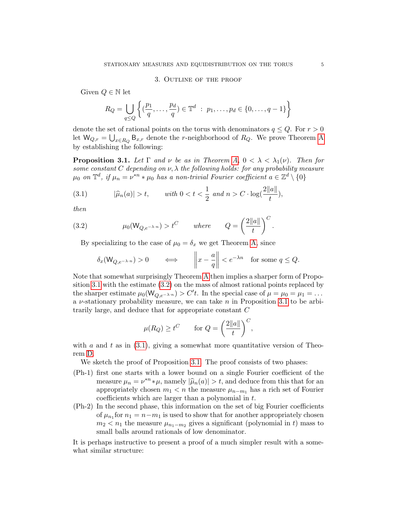#### 3. Outline of the proof

Given  $Q \in \mathbb{N}$  let

$$
R_Q = \bigcup_{q \le Q} \left\{ \left( \frac{p_1}{q}, \dots, \frac{p_d}{q} \right) \in \mathbb{T}^d \; : \; p_1, \dots, p_d \in \{0, \dots, q-1\} \right\}
$$

denote the set of rational points on the torus with denominators  $q \leq Q$ . For  $r > 0$ let  $\mathsf{W}_{Q,r} = \bigcup_{x \in R_Q} \mathsf{B}_{x,r}$  denote the *r*-neighborhood of  $R_Q$ . We prove Theorem [A](#page-1-0) by establishing the following:

<span id="page-4-0"></span>**Proposition 3.1.** Let  $\Gamma$  and  $\nu$  be as in Theorem [A,](#page-1-0)  $0 < \lambda < \lambda_1(\nu)$ . Then for some constant C depending on  $\nu$ ,  $\lambda$  the following holds: for any probability measure  $\mu_0$  on  $\mathbb{T}^d$ , if  $\mu_n = \nu^{*n} * \mu_0$  has a non-trivial Fourier coefficient  $a \in \mathbb{Z}^d \setminus \{0\}$ 

<span id="page-4-2"></span>(3.1) 
$$
|\hat{\mu}_n(a)| > t
$$
, with  $0 < t < \frac{1}{2}$  and  $n > C \cdot \log(\frac{2||a||}{t})$ ,

then

(3.2) 
$$
\mu_0(W_{Q,e^{-\lambda \cdot n}}) > t^C \quad where \quad Q = \left(\frac{2\|a\|}{t}\right)^C.
$$

By specializing to the case of  $\mu_0 = \delta_x$  we get Theorem [A,](#page-1-0) since

<span id="page-4-1"></span>
$$
\delta_x(\mathsf{W}_{Q,e^{-\lambda \cdot n}}) > 0 \qquad \Longleftrightarrow \qquad \left\| x - \frac{a}{q} \right\| < e^{-\lambda n} \quad \text{for some } q \le Q.
$$

Note that somewhat surprisingly Theorem [A](#page-1-0) then implies a sharper form of Proposition [3.1](#page-4-0) with the estimate [\(3.2\)](#page-4-1) on the mass of almost rational points replaced by the sharper estimate  $\mu_0(W_{Q,e^{-\lambda \cdot n}}) > C't$ . In the special case of  $\mu = \mu_0 = \mu_1 = \dots$ a  $\nu$ -stationary probability measure, we can take n in Proposition [3.1](#page-4-0) to be arbitrarily large, and deduce that for appropriate constant C

$$
\mu(R_Q) \ge t^C
$$
 for  $Q = \left(\frac{2\|a\|}{t}\right)^C$ ,

with a and t as in  $(3.1)$ , giving a somewhat more quantitative version of Theorem [D.](#page-2-0)

We sketch the proof of Proposition [3.1.](#page-4-0) The proof consists of two phases:

- (Ph-1) first one starts with a lower bound on a single Fourier coefficient of the measure  $\mu_n = \nu^{*n} * \mu$ , namely  $|\widehat{\mu}_n(a)| > t$ , and deduce from this that for an<br>appropriately chosen  $m_i < n$  the measure  $\mu$  has a rich set of Fourier appropriately chosen  $m_1 < n$  the measure  $\mu_{n-m_1}$  has a rich set of Fourier coefficients which are larger than a polynomial in t.
- (Ph-2) In the second phase, this information on the set of big Fourier coefficients of  $\mu_{n_1}$  for  $n_1 = n - m_1$  is used to show that for another appropriately chosen  $m_2 < n_1$  the measure  $\mu_{n_1-m_2}$  gives a significant (polynomial in t) mass to small balls around rationals of low denominator.

<span id="page-4-3"></span>It is perhaps instructive to present a proof of a much simpler result with a somewhat similar structure: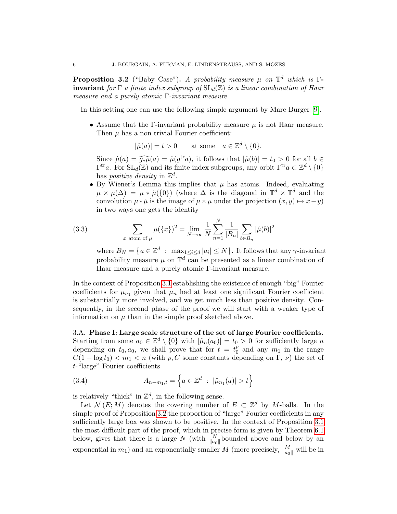**Proposition 3.2** ("Baby Case"). A probability measure  $\mu$  on  $\mathbb{T}^d$  which is  $\Gamma$ **invariant** for  $\Gamma$  a finite index subgroup of  $SL_d(\mathbb{Z})$  is a linear combination of Haar measure and a purely atomic Γ-invariant measure.

In this setting one can use the following simple argument by Marc Burger [\[9\]](#page-51-6).

• Assume that the Γ-invariant probability measure  $\mu$  is not Haar measure. Then  $\mu$  has a non trivial Fourier coefficient:

$$
|\hat{\mu}(a)| = t > 0 \quad \text{at some} \quad a \in \mathbb{Z}^d \setminus \{0\}.
$$

Since  $\hat{\mu}(a) = \hat{g}_{*}\hat{\mu}(a) = \hat{\mu}(g^{\text{tr}}a)$ , it follows that  $|\hat{\mu}(b)| = t_0 > 0$  for all  $b \in \Gamma^{\text{tr}}a$ . For SL (7) and its finite index subgroups, any orbit  $\Gamma^{\text{tr}}a \subset \mathbb{Z}^d \setminus \{0\}$  $\Gamma^{\text{tr}} a$ . For  $SL_d(\mathbb{Z})$  and its finite index subgroups, any orbit  $\Gamma^{\text{tr}} a \subset \mathbb{Z}^d \setminus \{0\}$ has *positive density* in  $\mathbb{Z}^d$ .

• By Wiener's Lemma this implies that  $\mu$  has atoms. Indeed, evaluating  $\mu \times \mu(\Delta) = \mu * \mu(\{0\})$  (where  $\Delta$  is the diagonal in  $\mathbb{T}^d \times \mathbb{T}^d$  and the convolution  $\mu * \check{\mu}$  is the image of  $\mu \times \mu$  under the projection  $(x, y) \mapsto x-y$ ) in two ways one gets the identity

(3.3) 
$$
\sum_{x \text{ atom of } \mu} \mu(\{x\})^2 = \lim_{N \to \infty} \frac{1}{N} \sum_{n=1}^N \frac{1}{|B_n|} \sum_{b \in B_n} |\hat{\mu}(b)|^2
$$

where  $B_N = \{a \in \mathbb{Z}^d : \max_{1 \leq i \leq d} |a_i| \leq N\}$ . It follows that any  $\gamma$ -invariant probability measure  $\mu$  on  $\mathbb{T}^d$  can be presented as a linear combination of Haar measure and a purely atomic Γ-invariant measure.

In the context of Proposition [3.1](#page-4-0) establishing the existence of enough "big" Fourier coefficients for  $\mu_{n_1}$  given that  $\mu_n$  had at least one significant Fourier coefficient is substantially more involved, and we get much less than positive density. Consequently, in the second phase of the proof we will start with a weaker type of information on  $\mu$  than in the simple proof sketched above.

3.A. Phase I: Large scale structure of the set of large Fourier coefficients. Starting from some  $a_0 \in \mathbb{Z}^d \setminus \{0\}$  with  $|\hat{\mu}_n(a_0)| = t_0 > 0$  for sufficiently large n depending on  $t_0, a_0$ , we shall prove that for  $t = t_0^p$  $\binom{p}{0}$  and any  $m_1$  in the range  $C(1 + \log t_0) < m_1 < n$  (with p, C some constants depending on  $\Gamma$ ,  $\nu$ ) the set of t-"large" Fourier coefficients

(3.4) 
$$
A_{n-m_1,t} = \left\{ a \in \mathbb{Z}^d : |\hat{\mu}_{n_1}(a)| > t \right\}
$$

is relatively "thick" in  $\mathbb{Z}^d$ , in the following sense.

Let  $\mathcal{N}(E;M)$  denotes the covering number of  $E \subset \mathbb{Z}^d$  by M-balls. In the simple proof of Proposition [3.2](#page-4-3) the proportion of "large" Fourier coefficients in any sufficiently large box was shown to be positive. In the context of Proposition [3.1](#page-4-0) the most difficult part of the proof, which in precise form is given by Theorem [6.1](#page-18-0) below, gives that there is a large N (with  $\frac{N}{\|a_0\|}$  bounded above and below by an exponential in  $m_1$ ) and an exponentially smaller M (more precisely,  $\frac{M}{\|a_0\|}$  will be in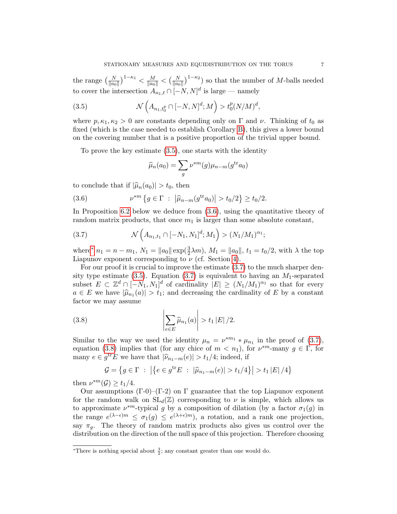the range  $\left(\frac{N}{\|a_0\|}\right)^{1-\kappa_1} < \frac{M}{\|a_0\|} < \left(\frac{N}{\|a_0\|}\right)^{1-\kappa_2}$  so that the number of M-balls needed to cover the intersection  $A_{n_1,t} \cap [-N,N]^d$  is large — namely

(3.5) 
$$
\mathcal{N}\left(A_{n_1,t_0^p} \cap [-N,N]^d;M\right) > t_0^p(N/M)^d,
$$

where  $p, \kappa_1, \kappa_2 > 0$  are constants depending only on  $\Gamma$  and  $\nu$ . Thinking of  $t_0$  as fixed (which is the case needed to establish Corollary [B\)](#page-1-2), this gives a lower bound on the covering number that is a positive proportion of the trivial upper bound.

To prove the key estimate [\(3.5\)](#page-6-0), one starts with the identity

<span id="page-6-1"></span><span id="page-6-0"></span>
$$
\widehat{\mu}_n(a_0) = \sum_g \nu^{*m}(g)\mu_{n-m}(g^{\text{tr}}a_0)
$$

to conclude that if  $|\widehat{\mu}_n(a_0)| > t_0$ , then

(3.6) 
$$
\nu^{*m} \left\{ g \in \Gamma \ : \ |\widehat{\mu}_{n-m}(g^{\text{tr}} a_0)| > t_0/2 \right\} \geq t_0/2.
$$

In Proposition [6.2](#page-19-0) below we deduce from [\(3.6\)](#page-6-1), using the quantitative theory of random matrix products, that once  $m_1$  is larger than some absolute constant,

<span id="page-6-3"></span>(3.7) 
$$
\mathcal{N}\left(A_{n_1,t_1} \cap [-N_1,N_1]^d;M_1\right) > (N_1/M_1)^{\alpha_1};
$$

where<sup>\*</sup>  $n_1 = n - m_1$ ,  $N_1 = ||a_0|| \exp(\frac{3}{2}\lambda m)$ ,  $M_1 = ||a_0||$ ,  $t_1 = t_0/2$ , with  $\lambda$  the top Liapunov exponent corresponding to  $\nu$  (cf. Section [4\)](#page-9-0).

For our proof it is crucial to improve the estimate [\(3.7\)](#page-6-3) to the much sharper den-sity type estimate [\(3.5\)](#page-6-0). Equation [\(3.7\)](#page-6-3) is equivalent to having an  $M_1$ -separated subset  $E \subset \mathbb{Z}^d \cap [-N_1, N_1]^d$  of cardinality  $|E| \ge (N_1/M_1)^{\alpha_1}$  so that for every  $a \in E$  we have  $|\hat{\mu}_{n_1}(a)| > t_1$ ; and decreasing the cardinality of E by a constant factor we may assume factor we may assume

(3.8) 
$$
\left|\sum_{e\in E} \widehat{\mu}_{n_1}(a)\right| > t_1 |E|/2.
$$

Similar to the way we used the identity  $\mu_n = \nu^{*m_1} * \mu_{n_1}$  in the proof of [\(3.7\)](#page-6-3), equation [\(3.8\)](#page-6-4) implies that (for any chice of  $m < n_1$ ), for  $\nu^{*m}$ -many  $g \in \Gamma$ , for many  $e \in g^{\text{tr}} E$  we have that  $|\widehat{\nu}_{n_1-m}(e)| > t_1/4$ ; indeed, if

<span id="page-6-4"></span>
$$
\mathcal{G} = \{ g \in \Gamma \ : \ \left| \{ e \in g^{\text{tr}} E \ : \ |\widehat{\mu}_{n_1 - m}(e)| > t_1/4 \} \right| > t_1 |E| / 4 \}
$$

then  $\nu^{*m}(\mathcal{G}) \geq t_1/4$ .

Our assumptions (Γ-0)–(Γ-2) on Γ guarantee that the top Liapunov exponent for the random walk on  $SL_d(\mathbb{Z})$  corresponding to  $\nu$  is simple, which allows us to approximate  $\nu^{*m}$ -typical g by a composition of dilation (by a factor  $\sigma_1(g)$  in the range  $e^{(\lambda - \epsilon)m} \leq \sigma_1(g) \leq e^{(\lambda + \epsilon)m}$ , a rotation, and a rank one projection, say  $\pi_q$ . The theory of random matrix products also gives us control over the distribution on the direction of the null space of this projection. Therefore choosing

<span id="page-6-2"></span><sup>\*</sup>There is nothing special about  $\frac{3}{2}$ ; any constant greater than one would do.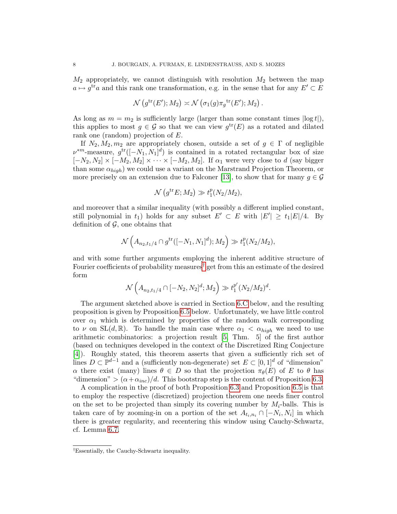$M_2$  appropriately, we cannot distinguish with resolution  $M_2$  between the map  $a \mapsto g^{\text{tr}}a$  and this rank one transformation, e.g. in the sense that for any  $E' \subset E$ 

$$
\mathcal{N}\left(g^{\mathrm{tr}}(E'); M_2\right) \asymp \mathcal{N}\left(\sigma_1(g)\pi_g^{\mathrm{tr}}(E'); M_2\right).
$$

As long as  $m = m_2$  is sufficiently large (larger than some constant times  $|\log t|$ ), this applies to most  $g \in \mathcal{G}$  so that we can view  $g^{\text{tr}}(E)$  as a rotated and dilated rank one (random) projection of E.

If  $N_2, M_2, m_2$  are appropriately chosen, outside a set of  $g \in \Gamma$  of negligible  $\nu^{*m}$ -measure,  $g^{tr}([-N_1, N_1]^d)$  is contained in a rotated rectangular box of size  $[-N_2, N_2] \times [-M_2, M_2] \times \cdots \times [-M_2, M_2]$ . If  $\alpha_1$  were very close to d (say bigger than some  $\alpha_{high}$ ) we could use a variant on the Marstrand Projection Theorem, or more precisely on an extension due to Falconer [\[13\]](#page-51-7), to show that for many  $g \in \mathcal{G}$ 

$$
\mathcal{N}\left(g^{\mathrm{tr}}E; M_2\right) \gg t_1^p(N_2/M_2),
$$

and moreover that a similar inequality (with possibly a different implied constant, still polynomial in  $t_1$ ) holds for any subset  $E' \subset E$  with  $|E'| \ge t_1 |E|/4$ . By definition of  $\mathcal{G}$ , one obtains that

$$
\mathcal{N}\left(A_{n_2,t_1/4} \cap g^{\text{tr}}([-N_1,N_1]^d);M_2\right) \gg t_1^p(N_2/M_2),
$$

and with some further arguments employing the inherent additive structure of Fourier coefficients of probability measures<sup>[†](#page-7-0)</sup> get from this an estimate of the desired form

$$
\mathcal{N}\left(A_{n_2,t_1/4} \cap [-N_2,N_2]^d;M_2\right) \gg t_1^{p'}(N_2/M_2)^d.
$$

The argument sketched above is carried in Section [6.C](#page-29-0) below, and the resulting proposition is given by Proposition [6.5](#page-20-0) below. Unfortunately, we have little control over  $\alpha_1$  which is determined by properties of the random walk corresponding to  $\nu$  on  $SL(d, \mathbb{R})$ . To handle the main case where  $\alpha_1 < \alpha_{high}$  we need to use arithmetic combinatorics: a projection result [\[5,](#page-51-8) Thm. 5] of the first author (based on techniques developed in the context of the Discretized Ring Conjecture [\[4\]](#page-51-9)). Roughly stated, this theorem asserts that given a sufficiently rich set of lines  $D \subset \mathbb{P}^{d-1}$  and a (sufficiently non-degenerate) set  $E \subset [0,1]^d$  of "dimension"  $\alpha$  there exist (many) lines  $\theta \in D$  so that the projection  $\pi_{\theta}(E)$  of E to  $\theta$  has "dimension" >  $(\alpha + \alpha_{inc})/d$ . This bootstrap step is the content of Proposition [6.3.](#page-19-1)

A complication in the proof of both Proposition [6.3](#page-19-1) and Proposition [6.5](#page-20-0) is that to employ the respective (discretized) projection theorem one needs finer control on the set to be projected than simply its covering number by  $M_i$ -balls. This is taken care of by zooming-in on a portion of the set  $A_{t_i,n_i} \cap [-N_i,N_i]$  in which there is greater regularity, and recentering this window using Cauchy-Schwartz, cf. Lemma [6.7.](#page-22-0)

<span id="page-7-0"></span><sup>†</sup>Essentially, the Cauchy-Schwartz inequality.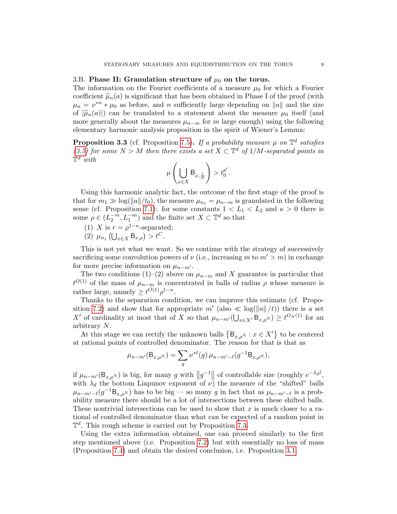#### 3.B. Phase II: Granulation structure of  $\mu_0$  on the torus.

The information on the Fourier coefficients of a measure  $\mu_0$  for which a Fourier coefficient  $\hat{\mu}_n(a)$  is significant that has been obtained in Phase I of the proof (with  $\mu_n = \nu^{*n} * \mu_0$  as before, and n sufficiently large depending on ||a|| and the size of  $|\hat{\mu}_n(a)|$ ) can be translated to a statement about the measure  $\mu_0$  itself (and more generally about the measures  $\mu_{n-m}$  for m large enough) using the following elementary harmonic analysis proposition in the spirit of Wiener's Lemma:

**Proposition 3.3** (cf. Proposition [7.5\)](#page-40-0). If a probability measure  $\mu$  on  $\mathbb{T}^d$  satisfies [\(3.5\)](#page-6-0) for some  $N > M$  then there exists a set  $X \subset \mathbb{T}^d$  of  $1/M$ -separated points in  $\mathbb{T}^d$  with

$$
\mu\left(\bigcup_{x\in X} \mathsf{B}_{x,\frac{1}{N}}\right) > t_0^{p'}.
$$

Using this harmonic analytic fact, the outcome of the first stage of the proof is that for  $m_1 \gg \log(||a||/t_0)$ , the measure  $\mu_{n_1} = \mu_{n-m}$  is granulated in the following sense (cf. Proposition [7.1\)](#page-35-0): for some constants  $1 < L_1 < L_2$  and  $\kappa > 0$  there is some  $\rho \in (L_2^{-m}, L_1^{-m})$  and the finite set  $X \subset \mathbb{T}^d$  so that

- (1) X is  $r = \rho^{1-\kappa}$ -separated;
- (2)  $\mu_{n_1} (\bigcup_{x \in X} B_{x,\rho}) > t^C$ .

This is not yet what we want. So we continue with the strategy of successively sacrificing some convolution powers of  $\nu$  (i.e., increasing m to  $m' > m$ ) in exchange for more precise information on  $\mu_{n-m'}$ .

The two conditions (1)–(2) above on  $\mu_{n-m}$  and X guarantee in particular that  $t^{O(1)}$  of the mass of  $\mu_{n-m}$  is concentrated in balls of radius  $\rho$  whose measure is rather large, namely  $\geq t^{O(1)} \rho^{1-\kappa}$ .

Thanks to the separation condition, we can improve this estimate (cf. Propo-sition [7.2\)](#page-36-0) and show that for appropriate  $m'$  (also  $\ll \log(\|a\|/t)$ ) there is a set X' of cardinality at most that of X so that  $\mu_{n-m'}(\bigcup_{x\in X'} \mathsf{B}_{x,\rho^N}) \geq t^{O_N(1)}$  for an arbitrary N.

At this stage we can rectify the unknown balls  $\{B_{x,\rho^N} : x \in X'\}$  to be centered at rational points of controlled denominator. The reason for that is that as

$$
\mu_{n-m'}(\mathsf{B}_{x,\rho^N}) = \sum_g \nu^{*\ell}(g) \,\mu_{n-m'-\ell}(g^{-1}\mathsf{B}_{x,\rho^N}),
$$

if  $\mu_{n-m'}(\mathsf{B}_{x,\rho^N})$  is big, for many g with  $||g^{-1}||$  of controllable size (roughly  $e^{-\lambda_d \ell}$ , with  $\lambda_d$  the bottom Liapunov exponent of  $\nu$ ) the measure of the "shifted" balls  $\mu_{n-m'-\ell}(g^{-1} \mathsf{B}_{x,\rho^N})$  has to be big — so many g in fact that as  $\mu_{n-m'-\ell}$  is a probability measure there should be a lot of intersections between these shifted balls. These nontrivial intersections can be used to show that x is much closer to a rational of controlled denominator than what can be expected of a random point in  $\mathbb{T}^d$ . This rough scheme is carried out by Proposition [7.3.](#page-36-1)

Using the extra information obtained, one can proceed similarly to the first step mentioned above (i.e. Proposition [7.2\)](#page-36-0) but with essentially no loss of mass (Proposition [7.4\)](#page-37-0) and obtain the desired conclusion, i.e. Proposition [3.1.](#page-4-0)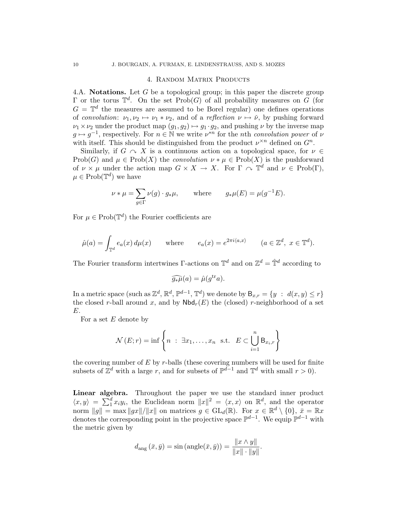#### 4. Random Matrix Products

<span id="page-9-1"></span><span id="page-9-0"></span>4.A. Notations. Let G be a topological group; in this paper the discrete group  $\Gamma$  or the torus  $\mathbb{T}^d$ . On the set  $\text{Prob}(G)$  of all probability measures on G (for  $G = \mathbb{T}^d$  the measures are assumed to be Borel regular) one defines operations of convolution:  $\nu_1, \nu_2 \mapsto \nu_1 * \nu_2$ , and of a reflection  $\nu \mapsto \check{\nu}$ , by pushing forward  $\nu_1 \times \nu_2$  under the product map  $(g_1, g_2) \mapsto g_1 \cdot g_2$ , and pushing  $\nu$  by the inverse map  $g \mapsto g^{-1}$ , respectively. For  $n \in \mathbb{N}$  we write  $\nu^{*n}$  for the nth convolution power of  $\nu$ with itself. This should be distinguished from the product  $\nu^{\times n}$  defined on  $G^n$ .

Similarly, if  $G \sim X$  is a continuous action on a topological space, for  $\nu \in$ Prob(G) and  $\mu \in \text{Prob}(X)$  the convolution  $\nu * \mu \in \text{Prob}(X)$  is the pushforward of  $\nu \times \mu$  under the action map  $G \times X \to X$ . For  $\Gamma \cap \tilde{\mathcal{T}}^d$  and  $\nu \in \text{Prob}(\Gamma)$ ,  $\mu \in \mathrm{Prob}(\mathbb{T}^d)$  we have

$$
\nu * \mu = \sum_{g \in \Gamma} \nu(g) \cdot g_* \mu, \quad \text{where} \quad g_* \mu(E) = \mu(g^{-1}E).
$$

For  $\mu \in \text{Prob}(\mathbb{T}^d)$  the Fourier coefficients are

$$
\hat{\mu}(a) = \int_{\mathbb{T}^d} e_a(x) d\mu(x) \quad \text{where} \quad e_a(x) = e^{2\pi i \langle a, x \rangle} \quad (a \in \mathbb{Z}^d, \ x \in \mathbb{T}^d).
$$

The Fourier transform intertwines  $\Gamma$ -actions on  $\mathbb{T}^d$  and on  $\mathbb{Z}^d = \hat{\mathbb{T}}^d$  according to

$$
\widehat{g_*\mu}(a) = \widehat{\mu}(g^{\text{tr}}a).
$$

In a metric space (such as  $\mathbb{Z}^d$ ,  $\mathbb{R}^d$ ,  $\mathbb{P}^{d-1}$ ,  $\mathbb{T}^d$ ) we denote by  $B_{x,r} = \{y : d(x,y) \leq r\}$ the closed r-ball around x, and by  $\mathsf{Nbd}_r(E)$  the (closed) r-neighborhood of a set E.

For a set  $E$  denote by

$$
\mathcal{N}(E;r) = \inf \left\{ n : \exists x_1, \dots, x_n \text{ s.t. } E \subset \bigcup_{i=1}^n \mathsf{B}_{x_i,r} \right\}
$$

the covering number of  $E$  by  $r$ -balls (these covering numbers will be used for finite subsets of  $\mathbb{Z}^d$  with a large r, and for subsets of  $\mathbb{P}^{d-1}$  and  $\mathbb{T}^d$  with small  $r > 0$ ).

Linear algebra. Throughout the paper we use the standard inner product  $\langle x, y \rangle = \sum_{i=1}^{d} x_i y_i$ , the Euclidean norm  $||x||^2 = \langle x, x \rangle$  on  $\mathbb{R}^d$ , and the operator norm  $||g|| = \max ||gx||/||x||$  on matrices  $g \in GL_d(\mathbb{R})$ . For  $x \in \mathbb{R}^d \setminus \{0\}$ ,  $\bar{x} = \mathbb{R}x$ denotes the corresponding point in the projective space  $\mathbb{P}^{d-1}$ . We equip  $\mathbb{P}^{d-1}$  with the metric given by

$$
d_{\text{ang}}\left(\bar{x}, \bar{y}\right) = \sin\left(\text{angle}(\bar{x}, \bar{y})\right) = \frac{\|x \wedge y\|}{\|x\| \cdot \|y\|}.
$$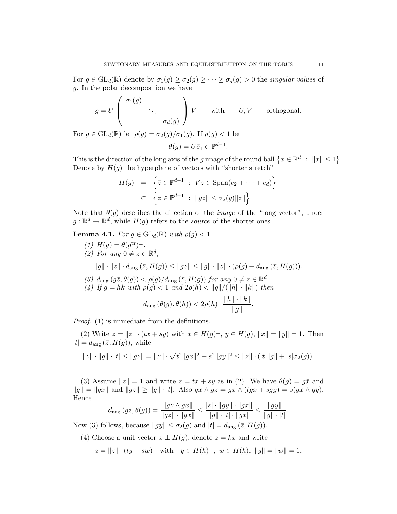For  $g \in GL_d(\mathbb{R})$  denote by  $\sigma_1(g) \geq \sigma_2(g) \geq \cdots \geq \sigma_d(g) > 0$  the singular values of g. In the polar decomposition we have

$$
g = U \begin{pmatrix} \sigma_1(g) & & \\ & \ddots & \\ & & \sigma_d(g) \end{pmatrix} V \quad \text{with} \quad U, V \quad \text{orthogonal.}
$$

For  $g \in GL_d(\mathbb{R})$  let  $\rho(g) = \sigma_2(g)/\sigma_1(g)$ . If  $\rho(g) < 1$  let  $\theta(g) = U \overline{e}_1 \in \mathbb{P}^{d-1}.$ 

This is the direction of the long axis of the g image of the round ball  $\{x \in \mathbb{R}^d : ||x|| \leq 1\}$ . Denote by  $H(g)$  the hyperplane of vectors with "shorter stretch"

$$
H(g) = \left\{ \bar{z} \in \mathbb{P}^{d-1} : Vz \in \text{Span}(e_2 + \dots + e_d) \right\}
$$
  

$$
\subset \left\{ \bar{z} \in \mathbb{P}^{d-1} : ||gz|| \le \sigma_2(g) ||z|| \right\}
$$

Note that  $\theta(q)$  describes the direction of the *image* of the "long vector", under  $g: \mathbb{R}^d \to \mathbb{R}^d$ , while  $H(g)$  refers to the *source* of the shorter ones.

<span id="page-10-0"></span>**Lemma 4.1.** For  $g \in GL_d(\mathbb{R})$  with  $\rho(g) < 1$ .

(1)  $H(g) = \theta(g^{\text{tr}})^{\perp}$ . (2) For any  $0 \neq z \in \mathbb{R}^d$ ,  $||g|| \cdot ||z|| \cdot d_{\text{ang}} (\bar{z}, H(g)) \le ||gz|| \le ||g|| \cdot ||z|| \cdot (\rho(g) + d_{\text{ang}} (\bar{z}, H(g))).$ (3)  $d_{\text{ang}}(g\overline{z},\theta(g)) < \rho(g)/d_{\text{ang}}(\overline{z},H(g))$  for any  $0 \neq z \in \mathbb{R}^d$ . (4) If  $g = hk$  with  $\rho(g) < 1$  and  $2\rho(h) < ||g||/(||h|| \cdot ||k||)$  then  $d_{\text{ang}}(\theta(g), \theta(h)) < 2\rho(h) \cdot \frac{\|h\| \cdot \|k\|}{\|h\| \cdot \|h\|}$  $\frac{\mathbb{E} \mathbb{E} \mathbb{E} \mathbb{E} \mathbb{E}}{\|g\|}$ .

Proof. (1) is immediate from the definitions.

(2) Write  $z = ||z|| \cdot (tx + sy)$  with  $\bar{x} \in H(g)^{\perp}$ ,  $\bar{y} \in H(g)$ ,  $||x|| = ||y|| = 1$ . Then  $|t| = d_{\text{ang}}(\bar{z}, H(g)),$  while

$$
||z|| \cdot ||g|| \cdot |t| \le ||gz|| = ||z|| \cdot \sqrt{t^2||gx||^2 + s^2||gy||^2} \le ||z|| \cdot (|t|||g|| + |s|\sigma_2(g)).
$$

(3) Assume  $||z|| = 1$  and write  $z = tx + sy$  as in (2). We have  $\theta(g) = g\bar{x}$  and  $||g|| = ||gx||$  and  $||gz|| \ge ||g|| \cdot |t|$ . Also  $gx \wedge gz = gx \wedge (tgx + sgy) = s(gx \wedge gy)$ . Hence

$$
d_{\text{ang}}(g\bar{z}, \theta(g)) = \frac{||gz \wedge gx||}{||gz|| \cdot ||gx||} \le \frac{|s| \cdot ||gy|| \cdot ||gx||}{||g|| \cdot |t| \cdot ||gx||} \le \frac{||gy||}{||g|| \cdot |t|}
$$

.

Now (3) follows, because  $||gy|| \leq \sigma_2(g)$  and  $|t| = d_{\text{ang}}(\bar{z}, H(g)).$ 

(4) Choose a unit vector  $x \perp H(g)$ , denote  $z = kx$  and write

$$
z = ||z|| \cdot (ty + sw)
$$
 with  $y \in H(h)^{\perp}$ ,  $w \in H(h)$ ,  $||y|| = ||w|| = 1$ .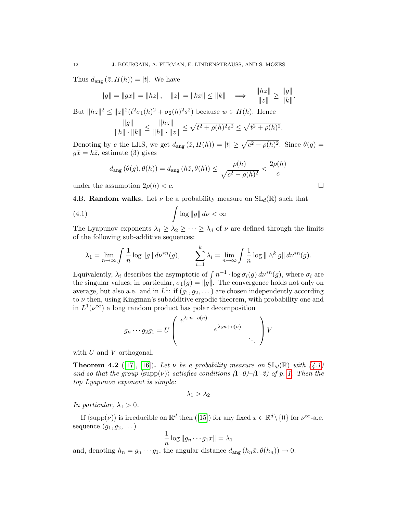Thus  $d_{\text{ang}}(\bar{z}, H(h)) = |t|$ . We have

$$
||g|| = ||gx|| = ||hz||
$$
,  $||z|| = ||kx|| \le ||k||$   $\implies$   $\frac{||hz||}{||z||} \ge \frac{||g||}{||k||}$ .

But  $||hz||^2 \le ||z||^2(t^2 \sigma_1(h)^2 + \sigma_2(h)^2 s^2)$  because  $w \in H(h)$ . Hence

$$
\frac{\|g\|}{\|h\| \cdot \|k\|} \le \frac{\|hz\|}{\|h\| \cdot \|z\|} \le \sqrt{t^2 + \rho(h)^2 s^2} \le \sqrt{t^2 + \rho(h)^2}.
$$

Denoting by c the LHS, we get  $d_{\text{ang}}(\bar{z}, H(h)) = |t| \geq \sqrt{c^2 - \rho(h)^2}$ . Since  $\theta(g) =$  $g\bar{x} = h\bar{z}$ , estimate (3) gives

<span id="page-11-0"></span>
$$
d_{\text{ang}}\left(\theta(g), \theta(h)\right) = d_{\text{ang}}\left(h\bar{z}, \theta(h)\right) \le \frac{\rho(h)}{\sqrt{c^2 - \rho(h)^2}} < \frac{2\rho(h)}{c}
$$

under the assumption  $2\rho(h) < c$ .

4.B. **Random walks.** Let  $\nu$  be a probability measure on  $SL_d(\mathbb{R})$  such that

(4.1) 
$$
\int \log \|g\| \, d\nu < \infty
$$

The Lyapunov exponents  $\lambda_1 \geq \lambda_2 \geq \cdots \geq \lambda_d$  of  $\nu$  are defined through the limits of the following sub-additive sequences:

$$
\lambda_1 = \lim_{n \to \infty} \int \frac{1}{n} \log \|g\| \, d\nu^{*n}(g), \qquad \sum_{i=1}^k \lambda_i = \lim_{n \to \infty} \int \frac{1}{n} \log \| \wedge^k g \| \, d\nu^{*n}(g).
$$

Equivalently,  $\lambda_i$  describes the asymptotic of  $\int n^{-1} \cdot \log \sigma_i(g) d\nu^{*n}(g)$ , where  $\sigma_i$  are the singular values; in particular,  $\sigma_1(g) = ||g||$ . The convergence holds not only on average, but also a.e. and in  $L^1$ : if  $(g_1, g_2, \ldots)$  are chosen independently according to  $\nu$  then, using Kingman's subadditive ergodic theorem, with probability one and in  $L^1(\nu^\infty)$  a long random product has polar decomposition

$$
g_n \cdots g_2 g_1 = U \left( \begin{array}{c} e^{\lambda_1 n + o(n)} & e^{\lambda_2 n + o(n)} & \cdots & e^{\lambda_2 n + o(n)} & \cdots & e^{\lambda_2 n + o(n)} & \cdots & e^{\lambda_2 n + o(n)} & \cdots & e^{\lambda_2 n + o(n)} & \cdots & e^{\lambda_2 n + o(n)} & \cdots & e^{\lambda_2 n + o(n)} & \cdots & e^{\lambda_2 n + o(n)} & \cdots & e^{\lambda_2 n + o(n)} & \cdots & e^{\lambda_2 n + o(n)} & \cdots & e^{\lambda_2 n + o(n)} & \cdots & e^{\lambda_2 n + o(n)} & \cdots & e^{\lambda_2 n + o(n)} & \cdots & e^{\lambda_2 n + o(n)} & \cdots & e^{\lambda_2 n + o(n)} & \cdots & e^{\lambda_2 n + o(n)} & \cdots & e^{\lambda_2 n + o(n)} & \cdots & e^{\lambda_2 n + o(n)} & \cdots & e^{\lambda_2 n + o(n)} & \cdots & e^{\lambda_2 n + o(n)} & \cdots & e^{\lambda_2 n + o(n)} & \cdots & e^{\lambda_2 n + o(n)} & \cdots & e^{\lambda_2 n + o(n)} & \cdots & e^{\lambda_2 n + o(n)} & \cdots & e^{\lambda_2 n + o(n)} & \cdots & e^{\lambda_2 n + o(n)} & \cdots & e^{\lambda_2 n + o(n)} & \cdots & e^{\lambda_2 n + o(n)} & \cdots & e^{\lambda_2 n + o(n)} & \cdots & e^{\lambda_2 n + o(n)} & \cdots & e^{\lambda_2 n + o(n)} & \cdots & e^{\lambda_2 n + o(n)} & \cdots & e^{\lambda_2 n + o(n)} & \cdots & e^{\lambda_2 n + o(n)} & \cdots & e^{\lambda_2 n + o(n)} & \cdots & e^{\lambda_2 n + o(n)} & \cdots & e^
$$

with  $U$  and  $V$  orthogonal.

**Theorem 4.2** ([\[17\]](#page-52-2), [\[16\]](#page-51-1)). Let v be a probability measure on  $SL_d(\mathbb{R})$  with [\(4.1\)](#page-11-0) and so that the group  $\langle \text{supp}(\nu) \rangle$  satisfies conditions (Γ-0)–(Γ-2) of p. [1.](#page-0-0) Then the top Lyapunov exponent is simple:

$$
\lambda_1 > \lambda_2
$$

In particular,  $\lambda_1 > 0$ .

If $\langle \text{supp}(\nu) \rangle$  is irreducible on  $\mathbb{R}^d$  then ([\[15\]](#page-51-10)) for any fixed  $x \in \mathbb{R}^d \setminus \{0\}$  for  $\nu^{\infty}$ -a.e. sequence  $(q_1, q_2, \dots)$ 

$$
\frac{1}{n}\log||g_n\cdots g_1x||=\lambda_1
$$

and, denoting  $h_n = g_n \cdots g_1$ , the angular distance  $d_{\text{ang}}(h_n\bar{x}, \theta(h_n)) \to 0$ .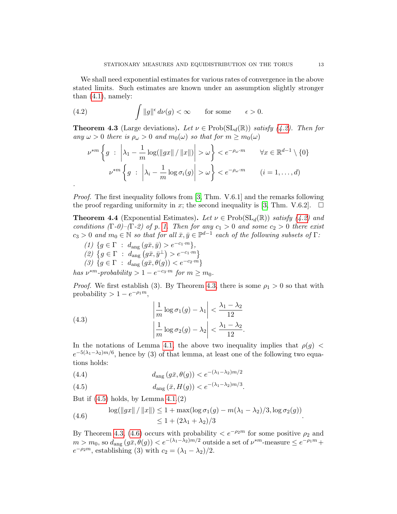We shall need exponential estimates for various rates of convergence in the above stated limits. Such estimates are known under an assumption slightly stronger than  $(4.1)$ , namely:

(4.2) 
$$
\int \|g\|^{\epsilon} d\nu(g) < \infty \quad \text{for some} \quad \epsilon > 0.
$$

<span id="page-12-1"></span>**Theorem 4.3** (Large deviations). Let  $\nu \in \text{Prob}(\text{SL}_d(\mathbb{R}))$  satisfy [\(4.2\)](#page-12-0). Then for any  $\omega > 0$  there is  $\rho_{\omega} > 0$  and  $m_0(\omega)$  so that for  $m \geq m_0(\omega)$ 

<span id="page-12-0"></span>
$$
\nu^{*m} \left\{ g \ : \ \left| \lambda_1 - \frac{1}{m} \log \left( \|gx\| / \|x\| \right) \right| > \omega \right\} < e^{-\rho_\omega \cdot m} \qquad \forall x \in \mathbb{R}^{d-1} \setminus \{0\}
$$

$$
\nu^{*m} \left\{ g \ : \ \left| \lambda_i - \frac{1}{m} \log \sigma_i(g) \right| > \omega \right\} < e^{-\rho_\omega \cdot m} \qquad (i = 1, \dots, d)
$$

Proof. The first inequality follows from [\[3,](#page-51-11) Thm. V.6.1] and the remarks following the proof regarding uniformity in x; the second inequality is [\[3,](#page-51-11) Thm. V.6.2].  $\Box$ 

<span id="page-12-5"></span>**Theorem 4.4** (Exponential Estimates). Let  $\nu \in Prob(SL_d(\mathbb{R}))$  satisfy [\(4.2\)](#page-12-0) and conditions  $(\Gamma \cdot \theta)$ – $(\Gamma \cdot \theta)$  of p. [1.](#page-0-0) Then for any  $c_1 > 0$  and some  $c_2 > 0$  there exist  $c_3 > 0$  and  $m_0 \in \mathbb{N}$  so that for all  $\bar{x}, \bar{y} \in \mathbb{P}^{d-1}$  each of the following subsets of  $\Gamma$ :

(1)  $\{g \in \Gamma : d_{\text{ang}}(g\bar{x}, \bar{y}) > e^{-c_1 \cdot m}\},$ (2)  $\{g \in \Gamma : d_{\text{ang}}(g\bar{x}, \bar{y}^{\perp}) > e^{-c_1 \cdot m}\}\$ (3)  ${g \in \Gamma : d_{\text{ang}}(g\bar{x}, \theta(g)) < e^{-c_2 \cdot \hat{m}}}}$ 

.

has  $\nu^{*m}$ -probability  $> 1 - e^{-c_3 \cdot m}$  for  $m \ge m_0$ .

*Proof.* We first establish (3). By Theorem [4.3,](#page-12-1) there is some  $\rho_1 > 0$  so that with probability >  $1 - e^{-\rho_1 m}$ ,

(4.3) 
$$
\left| \frac{1}{m} \log \sigma_1(g) - \lambda_1 \right| < \frac{\lambda_1 - \lambda_2}{12}
$$

$$
\left| \frac{1}{m} \log \sigma_2(g) - \lambda_2 \right| < \frac{\lambda_1 - \lambda_2}{12}.
$$

In the notations of Lemma [4.1,](#page-10-0) the above two inequality implies that  $\rho(q)$  <  $e^{-5(\lambda_1-\lambda_2)m/6}$ , hence by (3) of that lemma, at least one of the following two equations holds:

<span id="page-12-4"></span>(4.4) 
$$
d_{\text{ang}}(g\bar{x}, \theta(g)) < e^{-(\lambda_1 - \lambda_2)m/2}
$$

<span id="page-12-2"></span>(4.5) 
$$
d_{\text{ang}}(\bar{x}, H(g)) < e^{-(\lambda_1 - \lambda_2)m/3}.
$$

But if  $(4.5)$  holds, by Lemma  $4.1(2)$ 

<span id="page-12-3"></span>(4.6) 
$$
\log(\|gx\| / \|x\|) \le 1 + \max(\log \sigma_1(g) - m(\lambda_1 - \lambda_2)/3, \log \sigma_2(g))
$$

$$
\le 1 + (2\lambda_1 + \lambda_2)/3.
$$

By Theorem [4.3,](#page-12-1) [\(4.6\)](#page-12-3) occurs with probability  $\langle e^{-\rho_2 m} \rangle$  for some positive  $\rho_2$  and  $m > m_0$ , so  $d_{\text{ang}}(g\bar{x}, \theta(g)) < e^{-(\lambda_1 - \lambda_2)m/2}$  outside a set of  $\nu^{*m}$ -measure  $\leq e^{-\rho_1 m} +$  $e^{-\rho_2 m}$ , establishing (3) with  $c_2 = (\lambda_1 - \lambda_2)/2$ .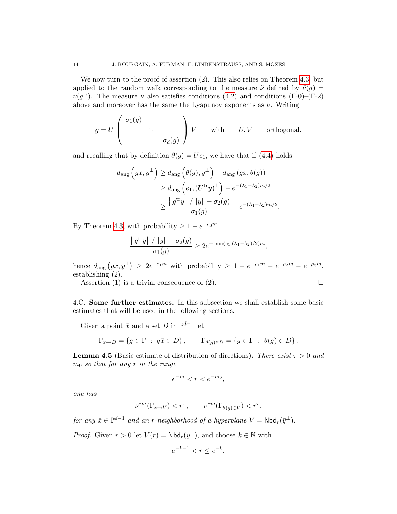We now turn to the proof of assertion (2). This also relies on Theorem [4.3,](#page-12-1) but applied to the random walk corresponding to the measure  $\tilde{\nu}$  defined by  $\tilde{\nu}(q)$  =  $\nu(g^{\text{tr}})$ . The measure  $\tilde{\nu}$  also satisfies conditions [\(4.2\)](#page-12-0) and conditions (Γ-0)–(Γ-2) above and moreover has the same the Lyapunov exponents as  $\nu$ . Writing

$$
g = U \begin{pmatrix} \sigma_1(g) & & \\ & \ddots & \\ & & \sigma_d(g) \end{pmatrix} V \quad \text{with} \quad U, V \quad \text{orthogonal.}
$$

and recalling that by definition  $\theta(g) = Ue_1$ , we have that if [\(4.4\)](#page-12-4) holds

$$
d_{\text{ang}}\left(gx, y^{\perp}\right) \geq d_{\text{ang}}\left(\theta(g), y^{\perp}\right) - d_{\text{ang}}\left(gx, \theta(g)\right)
$$
  

$$
\geq d_{\text{ang}}\left(e_1, (U^{\text{tr}}y)^{\perp}\right) - e^{-(\lambda_1 - \lambda_2)m/2}
$$
  

$$
\geq \frac{\|g^{\text{tr}}y\| / \|y\| - \sigma_2(g)}{\sigma_1(g)} - e^{-(\lambda_1 - \lambda_2)m/2}.
$$

By Theorem [4.3,](#page-12-1) with probability  $\geq 1 - e^{-\rho_3 m}$ 

$$
\frac{\|g^{\text{tr}}y\|/\|y\| - \sigma_2(g)}{\sigma_1(g)} \ge 2e^{-\min(c_1,(\lambda_1 - \lambda_2)/2)m},
$$

hence  $d_{\text{ang}}(gx, y^{\perp}) \geq 2e^{-c_1m}$  with probability  $\geq 1 - e^{-\rho_1m} - e^{-\rho_2m} - e^{-\rho_3m}$ , establishing (2).

Assertion (1) is a trivial consequence of (2).  $\Box$ 

4.C. Some further estimates. In this subsection we shall establish some basic estimates that will be used in the following sections.

Given a point  $\bar{x}$  and a set D in  $\mathbb{P}^{d-1}$  let

$$
\Gamma_{\bar{x}\to D} = \{ g \in \Gamma \; : \; g\bar{x} \in D \}, \qquad \Gamma_{\theta(g)\in D} = \{ g \in \Gamma \; : \; \theta(g) \in D \}.
$$

<span id="page-13-0"></span>**Lemma 4.5** (Basic estimate of distribution of directions). There exist  $\tau > 0$  and  $m_0$  so that for any r in the range

$$
e^{-m} < r < e^{-m_0},
$$

one has

$$
\nu^{*m}(\Gamma_{\bar{x}\to V}) < r^{\tau}, \qquad \nu^{*m}(\Gamma_{\theta(g)\in V}) < r^{\tau}.
$$

for any  $\bar{x} \in \mathbb{P}^{d-1}$  and an r-neighborhood of a hyperplane  $V = \mathsf{Nbd}_r(\bar{y}^\perp)$ .

*Proof.* Given  $r > 0$  let  $V(r) = \text{Nbd}_r(\bar{y}^{\perp})$ , and choose  $k \in \mathbb{N}$  with

$$
e^{-k-1} < r \le e^{-k}.
$$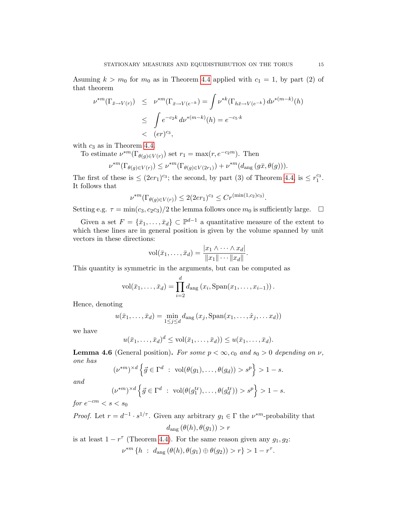Asuming  $k > m_0$  for  $m_0$  as in Theorem [4.4](#page-12-5) applied with  $c_1 = 1$ , by part (2) of that theorem

$$
\nu^{*m}(\Gamma_{\bar{x}\to V(r)}) \leq \nu^{*m}(\Gamma_{\bar{x}\to V(e^{-k})}) = \int \nu^{*k}(\Gamma_{h\bar{x}\to V(e^{-k})}) d\nu^{*(m-k)}(h)
$$
  

$$
\leq \int e^{-c_2k} d\nu^{*(m-k)}(h) = e^{-c_5 \cdot k}
$$
  

$$
< (er)^{c_3},
$$

with  $c_3$  as in Theorem [4.4.](#page-12-5)

To estimate  $\nu^{*m}(\Gamma_{\theta(g)\in V(r)})$  set  $r_1 = \max(r, e^{-c_2m})$ . Then

$$
\nu^{*m}(\Gamma_{\theta(g)\in V(r)})\leq \nu^{*m}(\Gamma_{\theta(g)\in V(2r_1)})+\nu^{*m}(d_{\mathrm{ang}}\left(g\bar{x},\theta(g)\right)).
$$

The first of these is  $\leq (2er_1)^{c_3}$ ; the second, by part (3) of Theorem [4.4,](#page-12-5) is  $\leq r_1^{c_3}$ . It follows that

$$
\nu^{*m}(\Gamma_{\theta(g)\in V(r)}) \le 2(2er_1)^{c_3} \le Cr^{(\min(1,c_2)c_3)}.
$$

Setting e.g.  $\tau = \min(c_3, c_2c_3)/2$  the lemma follows once  $m_0$  is sufficiently large.  $\Box$ 

Given a set  $F = \{\bar{x}_1, \ldots, \bar{x}_d\} \subset \mathbb{P}^{d-1}$  a quantitative measure of the extent to which these lines are in general position is given by the volume spanned by unit vectors in these directions:

$$
\text{vol}(\bar{x}_1,\ldots,\bar{x}_d)=\frac{|x_1\wedge\cdots\wedge x_d|}{\|x_1\|\cdots\|x_d\|}.
$$

This quantity is symmetric in the arguments, but can be computed as

$$
vol(\bar{x}_1,\ldots,\bar{x}_d)=\prod_{i=2}^d d_{\text{ang}}(x_i,\text{Span}(x_1,\ldots,x_{i-1})).
$$

Hence, denoting

$$
u(\bar{x}_1,\ldots,\bar{x}_d)=\min_{1\leq j\leq d}d_{\text{ang}}(x_j,\text{Span}(x_1,\ldots,\hat{x}_j,\ldots,x_d))
$$

we have

$$
u(\bar{x}_1,\ldots,\bar{x}_d)^d \leq \text{vol}(\bar{x}_1,\ldots,\bar{x}_d)) \leq u(\bar{x}_1,\ldots,\bar{x}_d).
$$

<span id="page-14-0"></span>**Lemma 4.6** (General position). For some  $p < \infty$ ,  $c_0$  and  $s_0 > 0$  depending on  $\nu$ , one has

$$
(\nu^{*m})^{\times d} \left\{ \vec{g} \in \Gamma^d \; : \; \text{vol}(\theta(g_1), \dots, \theta(g_d)) > s^p \right\} > 1 - s.
$$

and

$$
(\nu^{*m})^{\times d} \left\{ \vec{g} \in \Gamma^d \ : \ \text{vol}(\theta(g_1^{\text{tr}}), \dots, \theta(g_d^{\text{tr}})) > s^p \right\} > 1 - s.
$$

for  $e^{-cm} < s < s_0$ 

*Proof.* Let  $r = d^{-1} \cdot s^{1/\tau}$ . Given any arbitrary  $g_1 \in \Gamma$  the  $\nu^{*m}$ -probability that  $d_{\text{ang}}(\theta(h), \theta(g_1)) > r$ 

is at least  $1 - r^{\tau}$  (Theorem [4.4\)](#page-12-5). For the same reason given any  $g_1, g_2$ :  $\nu^{*m} \{ h : d_{\text{ang}}(\theta(h), \theta(g_1) \oplus \theta(g_2)) > r \} > 1 - r^{\tau}.$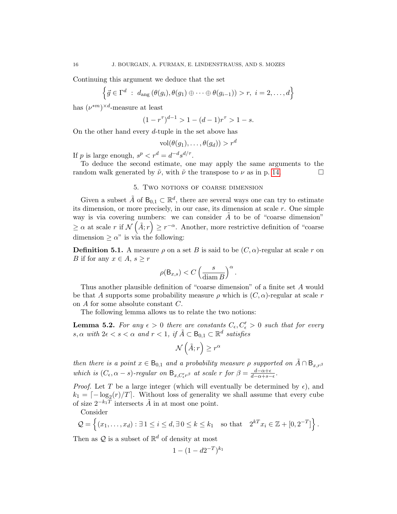Continuing this argument we deduce that the set

$$
\left\{\vec{g}\in\Gamma^d\;:\;d_{\text{ang}}\left(\theta(g_i),\theta(g_1)\oplus\cdots\oplus\theta(g_{i-1})\right)>r,\;i=2,\ldots,d\right\}
$$

has  $(\nu^{*m})^{\times d}$ -measure at least

$$
(1 - r^{\tau})^{d-1} > 1 - (d - 1)r^{\tau} > 1 - s.
$$

On the other hand every d-tuple in the set above has

$$
\text{vol}(\theta(g_1),\ldots,\theta(g_d)) > r^d
$$

If p is large enough,  $s^p < r^d = d^{-d} s^{d/\tau}$ .

To deduce the second estimate, one may apply the same arguments to the random walk generated by  $\tilde{\nu}$ , with  $\tilde{\nu}$  the transpose to  $\nu$  as in p. [14.](#page-12-3)

## 5. Two notions of coarse dimension

<span id="page-15-2"></span>Given a subset  $\tilde{A}$  of  $B_{0,1} \subset \mathbb{R}^d$ , there are several ways one can try to estimate its dimension, or more precisely, in our case, its dimension at scale  $r$ . One simple way is via covering numbers: we can consider  $\tilde{A}$  to be of "coarse dimension"  $\geq \alpha$  at scale r if  $\mathcal{N}(\tilde{A}; r) \geq r^{-\alpha}$ . Another, more restrictive definition of "coarse" dimension  $\geq \alpha$ " is via the following:

<span id="page-15-0"></span>**Definition 5.1.** A measure  $\rho$  on a set B is said to be  $(C, \alpha)$ -regular at scale r on *B* if for any  $x \in A$ ,  $s \geq r$ 

$$
\rho(\mathsf{B}_{x,s}) < C \left(\frac{s}{\operatorname{diam} B}\right)^{\alpha}.
$$

Thus another plausible definition of "coarse dimension" of a finite set A would be that A supports some probability measure  $\rho$  which is  $(C, \alpha)$ -regular at scale r on A for some absolute constant C.

The following lemma allows us to relate the two notions:

<span id="page-15-1"></span>**Lemma 5.2.** For any  $\epsilon > 0$  there are constants  $C_{\epsilon}, C'_{\epsilon} > 0$  such that for every  $s, \alpha$  with  $2\epsilon < s < \alpha$  and  $r < 1$ , if  $\tilde{A} \subset B_{0,1} \subset \mathbb{R}^d$  satisfies

$$
\mathcal{N}\left(\tilde{A};r\right) \geq r^{\alpha}
$$

then there is a point  $x \in \mathsf{B}_{0,1}$  and a probability measure  $\rho$  supported on  $\tilde{A} \cap \mathsf{B}_{x,r}$ which is  $(C_{\epsilon}, \alpha - s)$ -regular on  $\mathsf{B}_{x,C'_{\epsilon}r^{\beta}}$  at scale r for  $\beta = \frac{d-\alpha+\epsilon}{d-\alpha+s}$  $rac{a-\alpha+\epsilon}{d-\alpha+s-\epsilon}$ .

*Proof.* Let T be a large integer (which will eventually be determined by  $\epsilon$ ), and  $k_1 = \lceil -\log_2(r)/T \rceil$ . Without loss of generality we shall assume that every cube of size  $2^{-k_1T}$  intersects  $\tilde{A}$  in at most one point.

Consider

$$
\mathcal{Q} = \left\{ (x_1, \ldots, x_d) : \exists \, 1 \leq i \leq d, \exists \, 0 \leq k \leq k_1 \quad \text{so that} \quad 2^{kT} x_i \in \mathbb{Z} + [0, 2^{-T}] \right\}.
$$

Then as  $\mathcal{Q}$  is a subset of  $\mathbb{R}^d$  of density at most

$$
1 - (1 - d2^{-T})^{k_1}
$$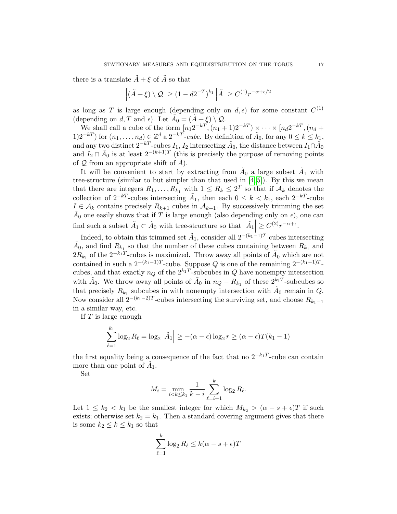there is a translate  $\tilde{A} + \xi$  of  $\tilde{A}$  so that

$$
\left| (\tilde{A} + \xi) \setminus \mathcal{Q} \right| \ge (1 - d2^{-T})^{k_1} \left| \tilde{A} \right| \ge C^{(1)} r^{-\alpha + \epsilon/2}
$$

as long as T is large enough (depending only on  $d, \epsilon$ ) for some constant  $C^{(1)}$ (depending on d, T and  $\epsilon$ ). Let  $\tilde{A}_0 = (\tilde{A} + \xi) \setminus \mathcal{Q}$ .

We shall call a cube of the form  $[n_1 2^{-kT}, (n_1 + 1)2^{-kT}) \times \cdots \times [n_d 2^{-kT}, (n_d +$ 1)2<sup>-kT</sup>) for  $(n_1, \ldots, n_d) \in \mathbb{Z}^d$  a 2<sup>-kT</sup>-cube. By definition of  $A_0$ , for any  $0 \le k \le k_1$ , and any two distinct  $2^{-kT}$ -cubes  $I_1, I_2$  intersecting  $\tilde{A}_0$ , the distance between  $I_1 \cap \tilde{A}_0$ and  $I_2 \cap \tilde{A}_0$  is at least  $2^{-(k+1)T}$  (this is precisely the purpose of removing points of  $Q$  from an appropriate shift of  $A$ ).

It will be convenient to start by extracting from  $\tilde{A}_0$  a large subset  $\tilde{A}_1$  with tree-structure (similar to but simpler than that used in  $[4, 5]$  $[4, 5]$ ). By this we mean that there are integers  $R_1, \ldots, R_{k_1}$  with  $1 \leq R_k \leq 2^T$  so that if  $\mathcal{A}_k$  denotes the collection of  $2^{-kT}$ -cubes intersecting  $\tilde{A}_1$ , then each  $0 \leq k \leq k_1$ , each  $2^{-kT}$ -cube  $I \in \mathcal{A}_k$  contains precisely  $R_{k+1}$  cubes in  $\mathcal{A}_{k+1}$ . By successively trimming the set  $\tilde{A}_0$  one easily shows that if T is large enough (also depending only on  $\epsilon$ ), one can find such a subset  $\tilde{A}_1 \subset \tilde{A}_0$  with tree-structure so that  $\left| \tilde{A}_1 \right| \geq C^{(2)} r^{-\alpha + \epsilon}$ .

Indeed, to obtain this trimmed set  $\tilde{A}_1$ , consider all  $2^{-(k_1-1)T}$  cubes intersecting  $\tilde{A}_0$ , and find  $R_{k_1}$  so that the number of these cubes containing between  $R_{k_1}$  and  $2R_{k_1}$  of the  $2^{-k_1T}$ -cubes is maximized. Throw away all points of  $\tilde{A}_0$  which are not contained in such a  $2^{-(k_1-1)T}$ -cube. Suppose Q is one of the remaining  $2^{-(k_1-1)T}$ cubes, and that exactly  $n_Q$  of the  $2^{k_1T}$ -subcubes in Q have nonempty intersection with  $\tilde{A}_0$ . We throw away all points of  $\tilde{A}_0$  in  $n_Q - R_{k_1}$  of these  $2^{k_1 T}$ -subcubes so that precisely  $R_{k_1}$  subcubes in with nonempty intersection with  $\tilde{A}_0$  remain in  $Q$ . Now consider all  $2^{-(k_1-2)T}$ -cubes intersecting the surviving set, and choose  $R_{k_1-1}$ in a similar way, etc.

If  $T$  is large enough

$$
\sum_{\ell=1}^{k_1} \log_2 R_{\ell} = \log_2 |\tilde{A}_1| \ge -(\alpha - \epsilon) \log_2 r \ge (\alpha - \epsilon)T(k_1 - 1)
$$

the first equality being a consequence of the fact that no  $2^{-k_1T}$ -cube can contain more than one point of  $\tilde{A}_1$ .

Set

$$
M_i = \min_{i < k \le k_1} \frac{1}{k - i} \sum_{\ell = i + 1}^k \log_2 R_\ell.
$$

Let  $1 \leq k_2 < k_1$  be the smallest integer for which  $M_{k_2} > (\alpha - s + \epsilon)T$  if such exists; otherwise set  $k_2 = k_1$ . Then a standard covering argument gives that there is some  $k_2 \leq k \leq k_1$  so that

$$
\sum_{\ell=1}^k \log_2 R_\ell \le k(\alpha - s + \epsilon)T
$$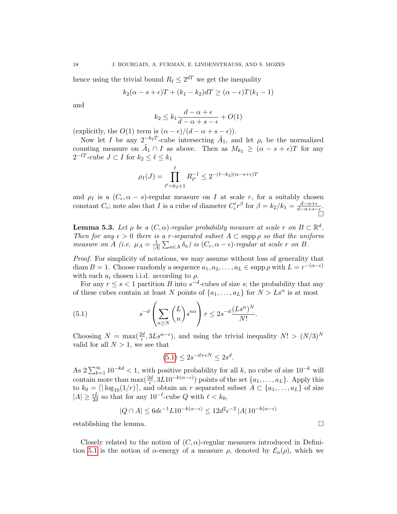hence using the trivial bound  $R_\ell \leq 2^{dT}$  we get the inequality

$$
k_2(\alpha - s + \epsilon)T + (k_1 - k_2)dT \ge (\alpha - \epsilon)T(k_1 - 1)
$$

and

$$
k_2 \le k_1 \frac{d - \alpha + \epsilon}{d - \alpha + s - \epsilon} + O(1)
$$

(explicitly, the  $O(1)$  term is  $(\alpha - \epsilon)/(d - \alpha + s - \epsilon)$ ).

Now let I be any  $2^{-k_2T}$ -cube intersecting  $\tilde{A}_1$ , and let  $\rho_i$  be the normalized counting measure on  $\tilde{A}_1 \cap I$  as above. Then as  $M_{k_2} \geq (\alpha - s + \epsilon)T$  for any  $2^{-\ell T}$ -cube  $J \subset I$  for  $k_2 \leq \ell \leq k_1$ 

$$
\rho_I(J) = \prod_{\ell'=k_2+1}^{\ell} R_{\ell'}^{-1} \le 2^{-(\ell-k_2)(\alpha-s+\epsilon)T}
$$

and  $\rho_I$  is a  $(C_{\epsilon}, \alpha - s)$ -regular measure on I at scale r, for a suitably chosen constant  $C_{\epsilon}$ ; note also that I is a cube of diameter  $C_{\epsilon}' r^{\beta}$  for  $\beta = k_2/k_1 = \frac{d-\alpha+\epsilon}{d-\alpha+s}$  $rac{d-\alpha+\epsilon}{d-\alpha+s-\epsilon}.$ Ò

<span id="page-17-1"></span>**Lemma 5.3.** Let  $\rho$  be a  $(C, \alpha)$ -regular probability measure at scale r on  $B \subset \mathbb{R}^d$ . Then for any  $\epsilon > 0$  there is a r-separated subset  $A \subset \text{supp } \rho$  so that the uniform measure on A (i.e.  $\mu_A = \frac{1}{|A|}$  $\frac{1}{|A|}\sum_{a\in A}\delta_a)$  is  $(C_\epsilon,\alpha-\epsilon)$ -regular at scale r on B.

Proof. For simplicity of notations, we may assume without loss of generality that diam  $B = 1$ . Choose randomly a sequence  $a_1, a_2, \ldots, a_L \in \text{supp } \rho \text{ with } L = r^{-(\alpha - \epsilon)}$ with each  $a_i$  chosen i.i.d. according to  $\rho$ .

For any  $r \leq s < 1$  partition B into  $s^{-d}$ -cubes of size s; the probability that any of these cubes contain at least N points of  $\{a_1, \ldots, a_L\}$  for  $N > Ls^{\alpha}$  is at most

(5.1) 
$$
s^{-d} \left( \sum_{n \geq N} {L \choose n} s^{n\alpha} \right) r \leq 2s^{-d} \frac{(Ls^{\alpha})^N}{N!}.
$$

Choosing  $N = \max(\frac{2d}{\epsilon}, 3Ls^{\alpha-\epsilon})$ , and using the trivial inequality  $N! > (N/3)^N$ valid for all  $N > 1$ , we see that

<span id="page-17-0"></span>
$$
(5.1) \le 2s^{-d+\epsilon N} \le 2s^d.
$$

As  $2\sum_{k=1}^{\infty}10^{-kd} < 1$ , with positive probability for all k, no cube of size  $10^{-k}$  will contain more than  $\max(\frac{2d}{\epsilon}, 3L10^{-k(\alpha-\epsilon)})$  points of the set  $\{a_1, \ldots, a_L\}$ . Apply this to  $k_0 = \lfloor \lfloor \log_{10}(1/r) \rfloor$ , and obtain an r separated subset  $A \subset \{a_1, \ldots, a_L\}$  of size  $|A| \geq \frac{\epsilon L}{2d}$  so that for any  $10^{-\ell}$ -cube Q with  $\ell < k_0$ ,

$$
|Q \cap A| \leq 6d\epsilon^{-1}L10^{-k(\alpha - \epsilon)} \leq 12d^2\epsilon^{-2} |A| \, 10^{-k(\alpha - \epsilon)}
$$

establishing the lemma.

Closely related to the notion of  $(C, \alpha)$ -regular measures introduced in Defini-tion [5.1](#page-15-0) is the notion of  $\alpha$ -energy of a measure  $\rho$ , denoted by  $\mathcal{E}_{\alpha}(\rho)$ , which we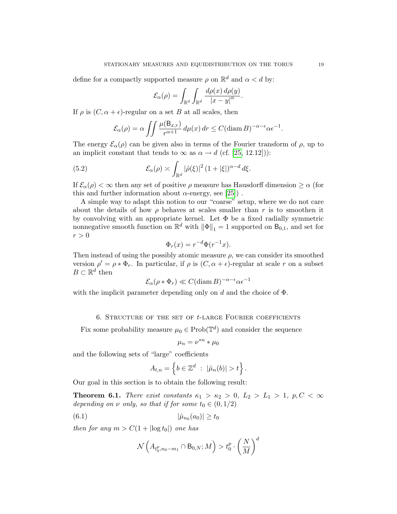define for a compactly supported measure  $\rho$  on  $\mathbb{R}^d$  and  $\alpha < d$  by:

$$
\mathcal{E}_{\alpha}(\rho) = \int_{\mathbb{R}^d} \int_{\mathbb{R}^d} \frac{d\rho(x) d\rho(y)}{|x - y|^{\alpha}}.
$$

If  $\rho$  is  $(C, \alpha + \epsilon)$ -regular on a set B at all scales, then

<span id="page-18-1"></span>
$$
\mathcal{E}_{\alpha}(\rho) = \alpha \iint \frac{\mu(\mathsf{B}_{x,r})}{r^{\alpha+1}} d\mu(x) dr \le C(\text{diam}\,B)^{-\alpha-\epsilon} \alpha \epsilon^{-1}.
$$

The energy  $\mathcal{E}_{\alpha}(\rho)$  can be given also in terms of the Fourier transform of  $\rho$ , up to an implicit constant that tends to  $\infty$  as  $\alpha \to d$  (cf. [\[25,](#page-52-3) 12.12])):

(5.2) 
$$
\mathcal{E}_{\alpha}(\rho) \asymp \int_{\mathbb{R}^d} |\hat{\rho}(\xi)|^2 (1+|\xi|)^{\alpha-d} d\xi.
$$

If  $\mathcal{E}_{\alpha}(\rho) < \infty$  then any set of positive  $\rho$  measure has Hausdorff dimension  $\geq \alpha$  (for this and further information about  $\alpha$ -energy, see [\[25\]](#page-52-3)).

A simple way to adapt this notion to our "coarse" setup, where we do not care about the details of how  $\rho$  behaves at scales smaller than r is to smoothen it by convolving with an appropriate kernel. Let  $\Phi$  be a fixed radially symmetric nonnegative smooth function on  $\mathbb{R}^d$  with  $\|\Phi\|_1 = 1$  supported on  $B_{0,1}$ , and set for  $r > 0$ 

$$
\Phi_r(x) = r^{-d}\Phi(r^{-1}x).
$$

Then instead of using the possibly atomic measure  $\rho$ , we can consider its smoothed version  $\rho' = \rho * \Phi_r$ . In particular, if  $\rho$  is  $(C, \alpha + \epsilon)$ -regular at scale r on a subset  $B \subset \mathbb{R}^d$  then

$$
\mathcal{E}_{\alpha}(\rho * \Phi_r) \ll C(\text{diam }B)^{-\alpha-\epsilon}\alpha \epsilon^{-1}
$$

with the implicit parameter depending only on d and the choice of  $\Phi$ .

## 6. Structure of the set of t-large Fourier coefficients

<span id="page-18-2"></span>Fix some probability measure  $\mu_0 \in \text{Prob}(\mathbb{T}^d)$  and consider the sequence

$$
\mu_n = \nu^{*n} * \mu_0
$$

and the following sets of "large" coefficients

$$
A_{t,n} = \left\{ b \in \mathbb{Z}^d \ : \ |\hat{\mu}_n(b)| > t \right\}.
$$

Our goal in this section is to obtain the following result:

<span id="page-18-0"></span>**Theorem 6.1.** There exist constants  $\kappa_1 > \kappa_2 > 0$ ,  $L_2 > L_1 > 1$ ,  $p, C < \infty$ depending on  $\nu$  only, so that if for some  $t_0 \in (0, 1/2)$ 

(6.1) 
$$
|\hat{\mu}_{n_0}(a_0)| \ge t_0
$$

then for any  $m > C(1 + |\log t_0|)$  one has

$$
\mathcal{N}\left(A_{t_0^p,n_0-m_1}\cap \mathsf{B}_{0,N};M\right)>t_0^p\cdot \left(\frac{N}{M}\right)^d
$$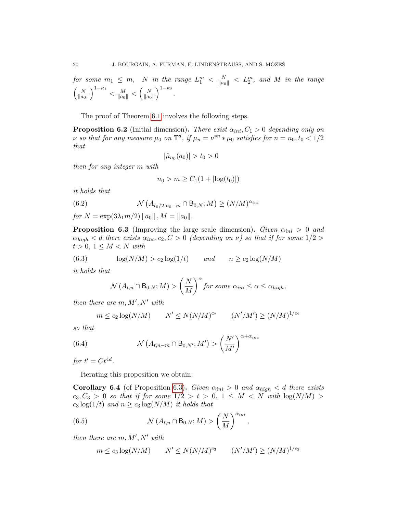for some  $m_1~\leq~m, ~~~N$  in the range  $L_1^m~<~\frac{N}{\|a_0\|}~<~L_2^m,~$  and  $M$  in the range  $\sqrt{\frac{N}{N}}$  $\overline{\|a_0\|}$  $\left(\frac{M}{\|a_0\|}\right)^{1-\kappa_1} < \frac{M}{\|a_0\|} < \left(\frac{N}{\|a_0\|}\right)^{1-\kappa_1}$  $\overline{\|a_0\|}$  $\big)^{1-\kappa_2}$ .

The proof of Theorem [6.1](#page-18-0) involves the following steps.

<span id="page-19-0"></span>**Proposition 6.2** (Initial dimension). There exist  $\alpha_{ini}$ ,  $C_1 > 0$  depending only on v so that for any measure  $\mu_0$  on  $\mathbb{T}^d$ , if  $\mu_n = \nu^{*n} * \mu_0$  satisfies for  $n = n_0, t_0 < 1/2$ that

$$
|\hat{\mu}_{n_0}(a_0)| > t_0 > 0
$$

then for any integer m with

$$
n_0 > m \ge C_1(1 + |\log(t_0)|)
$$

it holds that

(6.2) 
$$
\mathcal{N}\left(A_{t_0/2,n_0-m}\cap B_{0,N};M\right)\geq (N/M)^{\alpha_{ini}}
$$

for  $N = \exp(3\lambda_1 m/2) ||a_0||$ ,  $M = ||a_0||$ .

<span id="page-19-1"></span>**Proposition 6.3** (Improving the large scale dimension). Given  $\alpha_{ini} > 0$  and  $\alpha_{high} < d$  there exists  $\alpha_{inc}, c_2, C > 0$  (depending on  $\nu$ ) so that if for some  $1/2 >$  $t > 0, 1 \leq M < N$  with

(6.3) 
$$
\log(N/M) > c_2 \log(1/t) \quad and \quad n \ge c_2 \log(N/M)
$$

it holds that

<span id="page-19-3"></span>
$$
\mathcal{N}(A_{t,n} \cap B_{0,N}; M) > \left(\frac{N}{M}\right)^{\alpha} \text{ for some } \alpha_{ini} \leq \alpha \leq \alpha_{high},
$$

then there are  $m, M', N'$  with

$$
m \le c_2 \log(N/M)
$$
  $N' \le N(N/M)^{c_2}$   $(N'/M') \ge (N/M)^{1/c_2}$ 

so that

(6.4) 
$$
\mathcal{N}\left(A_{t,n-m} \cap B_{0,N'}; M'\right) > \left(\frac{N'}{M'}\right)^{\alpha + \alpha_{inc}}
$$

for  $t' = Ct^{4d}$ .

Iterating this proposition we obtain:

<span id="page-19-2"></span>**Corollary 6.4** (of Proposition [6.3\)](#page-19-1). Given  $\alpha_{ini} > 0$  and  $\alpha_{high} < d$  there exists  $c_3, C_3 > 0$  so that if for some  $1/2 > t > 0, 1 \leq M < N$  with  $\log(N/M) >$  $c_3 \log(1/t)$  and  $n \ge c_3 \log(N/M)$  it holds that

(6.5) 
$$
\mathcal{N}(A_{t,n} \cap B_{0,N};M) > \left(\frac{N}{M}\right)^{\alpha_{ini}},
$$

then there are  $m, M', N'$  with

$$
m \leq c_3 \log(N/M)
$$
  $N' \leq N(N/M)^{c_3}$   $(N'/M') \geq (N/M)^{1/c_3}$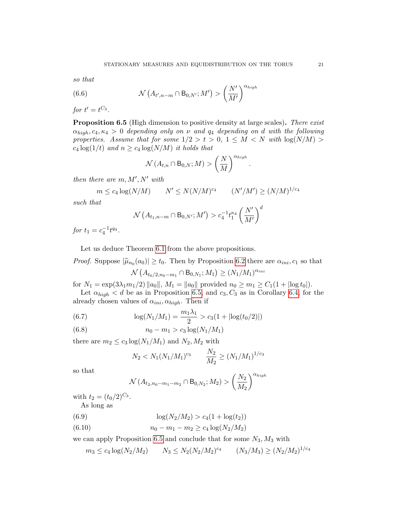so that

(6.6) 
$$
\mathcal{N}\left(A_{t',n-m} \cap B_{0,N'}; M'\right) > \left(\frac{N'}{M'}\right)^{\alpha_{high}}
$$

for  $t' = t^{C_3}$ .

<span id="page-20-0"></span>Proposition 6.5 (High dimension to positive density at large scales). There exist  $\alpha_{high}, c_4, \kappa_4 > 0$  depending only on  $\nu$  and  $q_4$  depending on d with the following properties. Assume that for some  $1/2 > t > 0$ ,  $1 \leq M < N$  with  $\log(N/M) >$  $c_4 \log(1/t)$  and  $n \geq c_4 \log(N/M)$  it holds that

$$
\mathcal{N}\left(A_{t,n} \cap B_{0,N};M\right) > \left(\frac{N}{M}\right)^{\alpha_{high}}.
$$

then there are  $m, M', N'$  with

$$
m \le c_4 \log(N/M)
$$
  $N' \le N(N/M)^{c_4}$   $(N'/M') \ge (N/M)^{1/c_4}$ 

such that

$$
\mathcal{N}\left(A_{t_1,n-m} \cap B_{0,N'}; M'\right) > c_4^{-1} t_1^{\kappa_4} \left(\frac{N'}{M'}\right)^d
$$

for  $t_1 = c_4^{-1}t^{q_4}$ .

Let us deduce Theorem [6.1](#page-18-0) from the above propositions.

*Proof.* Suppose  $|\hat{\mu}_{n_0}(a_0)| \ge t_0$ . Then by Proposition [6.2](#page-19-0) there are  $\alpha_{ini}, c_1$  so that

$$
\mathcal{N}\left(A_{t_0/2, n_0-m_1} \cap B_{0,N_1}; M_1\right) \ge (N_1/M_1)^{\alpha_{ini}}
$$

for  $N_1 = \exp(3\lambda_1 m_1/2) ||a_0||$ ,  $M_1 = ||a_0||$  provided  $n_0 \ge m_1 \ge C_1(1 + |\log t_0|)$ .

Let  $\alpha_{high} < d$  be as in Proposition [6.5,](#page-20-0) and  $c_3$ ,  $C_3$  as in Corollary [6.4,](#page-19-2) for the already chosen values of  $\alpha_{ini}, \alpha_{high}$ . Then if

(6.7) 
$$
\log(N_1/M_1) = \frac{m_1\lambda_1}{2} > c_3(1+|\log(t_0/2)|)
$$

(6.8) 
$$
n_0 - m_1 > c_3 \log(N_1/M_1)
$$

there are  $m_2 \leq c_3 \log(N_1/M_1)$  and  $N_2, M_2$  with

$$
N_2 < N_1 (N_1 / M_1)^{c_3} \qquad \frac{N_2}{M_2} \ge (N_1 / M_1)^{1 / c_3}
$$

so that

$$
\mathcal{N}(A_{t_2,n_0-m_1-m_2} \cap B_{0,N_2};M_2) > \left(\frac{N_2}{M_2}\right)^{\alpha_{high}}
$$

with  $t_2 = (t_0/2)^{C_3}$ . As long as

(6.9) 
$$
\log(N_2/M_2) > c_4(1 + \log(t_2))
$$

(6.10) 
$$
n_0 - m_1 - m_2 \ge c_4 \log(N_2/M_2)
$$

we can apply Proposition [6.5](#page-20-0) and conclude that for some  $N_3$ ,  $M_3$  with

$$
m_3 \le c_4 \log(N_2/M_2)
$$
  $N_3 \le N_2 (N_2/M_2)^{c_4}$   $(N_3/M_3) \ge (N_2/M_2)^{1/c_4}$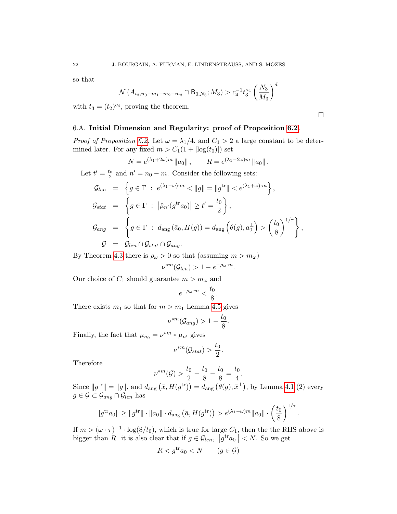so that

$$
\mathcal{N}(A_{t_3,n_0-m_1-m_2-m_3} \cap B_{0,N_3};M_3) > c_4^{-1} t_3^{\kappa_4} \left(\frac{N_3}{M_3}\right)^d
$$

with  $t_3 = (t_2)^{q_4}$ , proving the theorem.

## 6.A. Initial Dimension and Regularity: proof of Proposition [6.2.](#page-19-0)

*Proof of Proposition [6.2.](#page-19-0)* Let  $\omega = \lambda_1/4$ , and  $C_1 > 2$  a large constant to be determined later. For any fixed  $m > C_1(1 + |\log(t_0)|)$  set

$$
N = e^{(\lambda_1 + 2\omega)m} ||a_0||, \qquad R = e^{(\lambda_1 - 2\omega)m} ||a_0||.
$$

Let  $t' = \frac{t_0}{2}$  and  $n' = n_0 - m$ . Consider the following sets:

$$
G_{len} = \left\{ g \in \Gamma : e^{(\lambda_1 - \omega) \cdot m} < ||g|| = ||g^{\text{tr}}|| < e^{(\lambda_1 + \omega) \cdot m} \right\},
$$
  
\n
$$
G_{stat} = \left\{ g \in \Gamma : |\hat{\mu}_{n'}(g^{\text{tr}} a_0)| \ge t' = \frac{t_0}{2} \right\},
$$
  
\n
$$
G_{ang} = \left\{ g \in \Gamma : d_{ang}(\bar{a}_0, H(g)) = d_{ang} \left( \theta(g), a_0^{\perp} \right) > \left( \frac{t_0}{8} \right)^{1/\tau} \right\},
$$
  
\n
$$
G = G_{len} \cap G_{stat} \cap G_{ang}.
$$

By Theorem [4.3](#page-12-1) there is  $\rho_{\omega} > 0$  so that (assuming  $m > m_{\omega}$ )

$$
\nu^{*m}(\mathcal{G}_{len}) > 1 - e^{-\rho_\omega \cdot m}.
$$

Our choice of  $C_1$  should guarantee  $m > m_\omega$  and

$$
e^{-\rho_{\omega}\cdot m} < \frac{t_0}{8}.
$$

There exists  $m_1$  so that for  $m > m_1$  Lemma [4.5](#page-13-0) gives

ν

$$
\nu^{*m}(\mathcal{G}_{ang}) > 1 - \frac{t_0}{8}.
$$

Finally, the fact that  $\mu_{n_0} = \nu^{*m} * \mu_{n'}$  gives

$$
\nu^{*m}(\mathcal{G}_{stat}) > \frac{t_0}{2}.
$$

Therefore

$$
{}^{*m}(\mathcal{G}) > \frac{t_0}{2} - \frac{t_0}{8} - \frac{t_0}{8} = \frac{t_0}{4}.
$$

Since  $||g^{\text{tr}}|| = ||g||$ , and  $d_{\text{ang}}(\bar{x}, H(g^{\text{tr}})) = d_{\text{ang}}(\theta(g), \bar{x}^{\perp}),$  by Lemma [4.1](#page-10-0) (2) every  $g \in \mathcal{G} \subset \mathcal{G}_{ang} \cap \mathcal{G}_{len}$  has

$$
||g^{tr}a_0|| \ge ||g^{tr}|| \cdot ||a_0|| \cdot d_{\text{ang}}(\bar{a}, H(g^{tr})) > e^{(\lambda_1 - \omega)m} ||a_0|| \cdot \left(\frac{t_0}{8}\right)^{1/\tau}
$$

If  $m > (\omega \cdot \tau)^{-1} \cdot \log(8/t_0)$ , which is true for large  $C_1$ , then the the RHS above is bigger than R. it is also clear that if  $g \in \mathcal{G}_{len}$ ,  $||g^{tr}a_0|| < N$ . So we get

$$
R < g^{\text{tr}} a_0 < N \qquad (g \in \mathcal{G})
$$

 $\Box$ 

.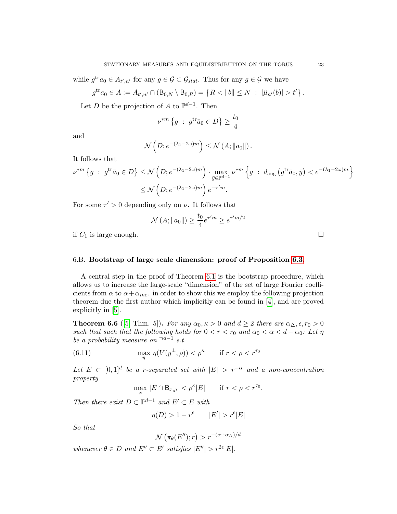while  $g^{\text{tr}}a_0 \in A_{t',n'}$  for any  $g \in \mathcal{G} \subset \mathcal{G}_{stat}$ . Thus for any  $g \in \mathcal{G}$  we have

$$
g^{\text{tr}}a_0 \in A := A_{t',n'} \cap (\mathsf{B}_{0,N} \setminus \mathsf{B}_{0,R}) = \left\{ R < \|b\| \leq N \; : \; |\hat{\mu}_{n'}(b)| > t' \right\}.
$$

Let D be the projection of A to  $\mathbb{P}^{d-1}$ . Then

$$
\nu^{*m} \left\{ g \; : \; g^{\text{tr}} \bar{a}_0 \in D \right\} \ge \frac{t_0}{4}
$$

and

$$
\mathcal{N}\left(D; e^{-(\lambda_1 - 2\omega)m}\right) \le \mathcal{N}\left(A; \|a_0\|\right).
$$

It follows that

$$
\nu^{*m} \left\{ g \; : \; g^{\text{tr}} \bar{a}_0 \in D \right\} \le \mathcal{N} \left( D; e^{-(\lambda_1 - 2\omega)m} \right) \cdot \max_{\bar{y} \in \mathbb{P}^{d-1}} \nu^{*m} \left\{ g \; : \; d_{\text{ang}} \left( g^{\text{tr}} \bar{a}_0, \bar{y} \right) < e^{-(\lambda_1 - 2\omega)m} \right\}
$$
\n
$$
\le \mathcal{N} \left( D; e^{-(\lambda_1 - 2\omega)m} \right) e^{-\tau' m}.
$$

For some  $\tau' > 0$  depending only on  $\nu$ . It follows that

$$
\mathcal{N}(A; \|a_0\|) \ge \frac{t_0}{4} e^{\tau' m} \ge e^{\tau' m/2}
$$

if  $C_1$  is large enough.

## <span id="page-22-3"></span>6.B. Bootstrap of large scale dimension: proof of Proposition [6.3.](#page-19-1)

A central step in the proof of Theorem [6.1](#page-18-0) is the bootstrap procedure, which allows us to increase the large-scale "dimension" of the set of large Fourier coefficients from  $\alpha$  to  $\alpha + \alpha_{inc}$ . in order to show this we employ the following projection theorem due the first author which implicitly can be found in [\[4\]](#page-51-9), and are proved explicitly in [\[5\]](#page-51-8).

<span id="page-22-1"></span>**Theorem 6.6** ([\[5,](#page-51-8) Thm. 5]). For any  $\alpha_0, \kappa > 0$  and  $d \geq 2$  there are  $\alpha_{\Delta}, \epsilon, r_0 > 0$ such that such that the following holds for  $0 < r < r_0$  and  $\alpha_0 < \alpha < d - \alpha_0$ : Let  $\eta$ be a probability measure on  $\mathbb{P}^{d-1}$  s.t.

(6.11) 
$$
\max_{\bar{y}} \eta(V(y^{\perp}, \rho)) < \rho^{\kappa} \quad \text{if } r < \rho < r^{\tau_0}
$$

Let  $E \subset [0,1]^d$  be a r-separated set with  $|E| > r^{-\alpha}$  and a non-concentration property

<span id="page-22-2"></span>
$$
\max_x |E \cap B_{x,\rho}| < \rho^{\kappa} |E| \qquad \text{if } r < \rho < r^{\tau_0}.
$$

Then there exist  $D \subset \mathbb{P}^{d-1}$  and  $E' \subset E$  with

$$
\eta(D) > 1 - r^{\epsilon} \qquad |E'| > r^{\epsilon}|E|
$$

So that

$$
\mathcal{N}\left(\pi_\theta(E'');r\right) > r^{-(\alpha+\alpha_\Delta)/d}
$$

<span id="page-22-0"></span>whenever  $\theta \in D$  and  $E'' \subset E'$  satisfies  $|E''| > r^{2\epsilon} |E|$ .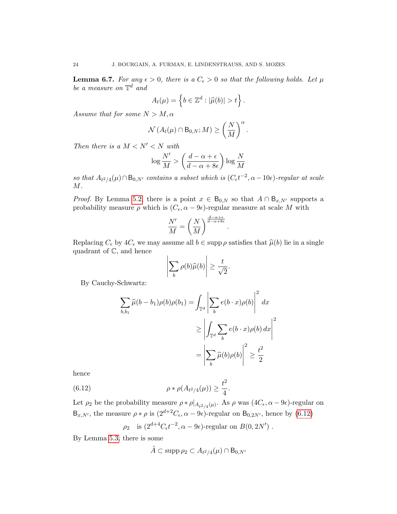**Lemma 6.7.** For any  $\epsilon > 0$ , there is a  $C_{\epsilon} > 0$  so that the following holds. Let  $\mu$ be a measure on  $\mathbb{T}^d$  and

$$
A_t(\mu) = \left\{ b \in \mathbb{Z}^d : |\widehat{\mu}(b)| > t \right\}.
$$

Assume that for some  $N > M, \alpha$ 

$$
\mathcal{N}\left(A_t(\mu)\cap \mathsf{B}_{0,N};M\right)\geq \left(\frac{N}{M}\right)^{\alpha}
$$

.

Then there is a  $M < N' < N$  with

$$
\log \frac{N'}{M} > \left(\frac{d-\alpha+\epsilon}{d-\alpha+8\epsilon}\right) \log \frac{N}{M}
$$

so that  $A_{t^2/4}(\mu) \cap B_{0,N'}$  contains a subset which is  $(C_{\epsilon}t^{-2}, \alpha - 10\epsilon)$ -regular at scale  $M$ .

*Proof.* By Lemma [5.2,](#page-15-1) there is a point  $x \in B_{0,N}$  so that  $A \cap B_{x,N'}$  supports a probability measure  $\rho$  which is  $(C_{\epsilon}, \alpha - \theta_{\epsilon})$ -regular measure at scale M with

$$
\frac{N'}{M} = \left(\frac{N}{M}\right)^{\frac{d-\alpha+\epsilon}{d-\alpha+8\epsilon}}
$$

.

Replacing  $C_{\epsilon}$  by  $4C_{\epsilon}$  we may assume all  $b \in \text{supp } \rho$  satisfies that  $\hat{\mu}(b)$  lie in a single quadrant of C, and hence

$$
\left|\sum_{b} \rho(b)\widehat{\mu}(b)\right| \ge \frac{t}{\sqrt{2}}.
$$

By Cauchy-Schwartz:

$$
\sum_{b,b_1} \widehat{\mu}(b - b_1)\rho(b)\rho(b_1) = \int_{\mathbb{T}^d} \left| \sum_b e(b \cdot x)\rho(b) \right|^2 dx
$$
  

$$
\ge \left| \int_{\mathbb{T}^d} \sum_b e(b \cdot x)\rho(b) dx \right|^2
$$
  

$$
= \left| \sum_b \widehat{\mu}(b)\rho(b) \right|^2 \ge \frac{t^2}{2}
$$

hence

(6.12) 
$$
\rho * \rho(A_{t^2/4}(\mu)) \geq \frac{t^2}{4}.
$$

Let  $\rho_2$  be the probability measure  $\rho * \rho|_{A_{t^2/4}(\mu)}$ . As  $\rho$  was  $(4C_{\epsilon}, \alpha - 9\epsilon)$ -regular on  $B_{x,N'}$ , the measure  $\rho * \rho$  is  $(2^{d+2}C_{\epsilon}, \alpha - \theta_{\epsilon})$ -regular on  $B_{0,2N'}$ , hence by  $(6.12)$ 

<span id="page-23-0"></span>
$$
\rho_2
$$
 is  $(2^{d+4}C_{\epsilon}t^{-2}, \alpha - 9\epsilon)$ -regular on  $B(0, 2N')$ .

By Lemma [5.3,](#page-17-1) there is some

$$
\tilde{A} \subset \operatorname{supp} \rho_2 \subset A_{t^2/4}(\mu) \cap B_{0,N'}
$$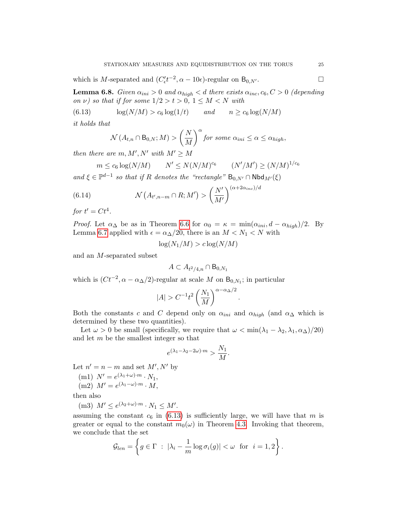which is M-separated and  $(C'_{\epsilon}t^{-2}, \alpha - 10\epsilon)$ -regular on  $B_{0,N'}$ .

<span id="page-24-2"></span>**Lemma 6.8.** Given  $\alpha_{ini} > 0$  and  $\alpha_{high} < d$  there exists  $\alpha_{inc}, c_6, C > 0$  (depending on v) so that if for some  $1/2 > t > 0$ ,  $1 \leq M < N$  with

(6.13) 
$$
\log(N/M) > c_6 \log(1/t) \qquad and \qquad n \ge c_6 \log(N/M)
$$

it holds that

<span id="page-24-0"></span>
$$
\mathcal{N}(A_{t,n} \cap B_{0,N};M) > \left(\frac{N}{M}\right)^{\alpha} \text{ for some } \alpha_{ini} \leq \alpha \leq \alpha_{high},
$$

then there are  $m, M', N'$  with  $M' \geq M$ 

<span id="page-24-1"></span>
$$
m \leq c_6 \log(N/M)
$$
  $N' \leq N(N/M)^{c_6}$   $(N'/M') \geq (N/M)^{1/c_6}$ 

and  $\xi \in \mathbb{P}^{d-1}$  so that if R denotes the "rectangle"  $B_{0,N'} \cap \mathsf{Nbd}_{M'}(\xi)$ 

(6.14) 
$$
\mathcal{N}\left(A_{t',n-m}\cap R;M'\right) > \left(\frac{N'}{M'}\right)^{(\alpha+2\alpha_{inc})/d}
$$

for  $t' = Ct^4$ .

*Proof.* Let  $\alpha_{\Delta}$  be as in Theorem [6.6](#page-22-1) for  $\alpha_0 = \kappa = \min(\alpha_{ini}, d - \alpha_{high})/2$ . By Lemma [6.7](#page-22-0) applied with  $\epsilon = \alpha_{\Delta}/20$ , there is an  $M < N_1 < N$  with

$$
\log(N_1/M) > c \log(N/M)
$$

and an M-separated subset

$$
A \subset A_{t^2/4,n} \cap B_{0,N_1}
$$

which is  $(Ct^{-2}, \alpha - \alpha_{\Delta}/2)$ -regular at scale M on B<sub>0,N<sub>1</sub></sub>; in particular

$$
|A| > C^{-1}t^2 \left(\frac{N_1}{M}\right)^{\alpha - \alpha_{\Delta}/2}
$$

.

Both the constants c and C depend only on  $\alpha_{ini}$  and  $\alpha_{high}$  (and  $\alpha_{\Delta}$  which is determined by these two quantities).

Let  $\omega > 0$  be small (specifically, we require that  $\omega < \min(\lambda_1 - \lambda_2, \lambda_1, \alpha_{\Delta})/20$ ) and let m be the smallest integer so that

$$
e^{(\lambda_1-\lambda_2-2\omega)\cdot m} > \frac{N_1}{M}.
$$

Let  $n' = n - m$  and set  $M', N'$  by

$$
(m1) N' = e^{(\lambda_1 + \omega) \cdot m} \cdot N_1,
$$

(m2) 
$$
M' = e^{(\lambda_1 - \omega) \cdot m} \cdot M
$$
,

then also

(m3) 
$$
M' \leq e^{(\lambda_2 + \omega) \cdot m} \cdot N_1 \leq M'.
$$

assuming the constant  $c_6$  in [\(6.13\)](#page-24-0) is sufficiently large, we will have that m is greater or equal to the constant  $m_0(\omega)$  in Theorem [4.3.](#page-12-1) Invoking that theorem, we conclude that the set

$$
\mathcal{G}_{len} = \left\{ g \in \Gamma \ : \ |\lambda_i - \frac{1}{m} \log \sigma_i(g)| < \omega \ \text{for} \ i = 1, 2 \right\}.
$$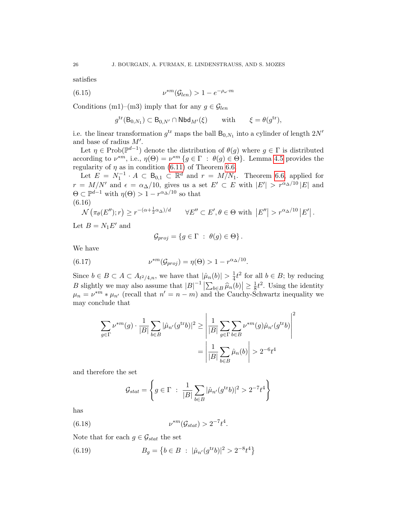satisfies

(6.15) 
$$
\nu^{*m}(\mathcal{G}_{len}) > 1 - e^{-\rho_\omega \cdot m}
$$

Conditions (m1)–(m3) imply that for any  $g \in \mathcal{G}_{len}$ 

<span id="page-25-2"></span>
$$
g^{\text{tr}}(\mathsf{B}_{0,N_1}) \subset \mathsf{B}_{0,N'} \cap \text{Nbd}_{M'}(\xi) \quad \text{with} \quad \xi = \theta(g^{\text{tr}}),
$$

i.e. the linear transformation  $g^{\text{tr}}$  maps the ball  $B_{0,N_1}$  into a cylinder of length  $2N'$ and base of radius  $M'$ .

Let  $\eta \in \text{Prob}(\mathbb{P}^{d-1})$  denote the distribution of  $\theta(g)$  where  $g \in \Gamma$  is distributed according to  $\nu^{*m}$ , i.e.,  $\eta(\Theta) = \nu^{*m} \{ g \in \Gamma : \theta(g) \in \Theta \}$ . Lemma [4.5](#page-13-0) provides the regularity of  $\eta$  as in condition [\(6.11\)](#page-22-2) of Theorem [6.6.](#page-22-1)

Let  $E = N_1^{-1} \cdot A \subset \mathbb{B}_{0,1} \subset \mathbb{R}^d$  and  $r = M/N_1$ . Theorem [6.6,](#page-22-1) applied for  $r = M/N'$  and  $\epsilon = \alpha_{\Delta}/10$ , gives us a set  $E' \subset E$  with  $|E'| > r^{\alpha_{\Delta}/10} |E|$  and  $\Theta \subset \mathbb{P}^{d-1}$  with  $\eta(\Theta) > 1 - r^{\alpha_{\Delta}/10}$  so that (6.16)

<span id="page-25-3"></span>
$$
\mathcal{N}\left(\pi_{\theta}(E'');r\right) \geq r^{-(\alpha+\frac{1}{2}\alpha_{\Delta})/d} \qquad \forall E'' \subset E', \theta \in \Theta \text{ with } \left|E''\right| > r^{\alpha_{\Delta}/10}\left|E'\right|.
$$

Let  $B = N_1 E'$  and

<span id="page-25-1"></span>
$$
\mathcal{G}_{proj} = \{ g \in \Gamma \ : \ \theta(g) \in \Theta \} .
$$

We have

(6.17) 
$$
\nu^{*m}(\mathcal{G}_{proj}) = \eta(\Theta) > 1 - r^{\alpha_{\Delta}/10}.
$$

Since  $b \in B \subset A \subset A_{t^2/4,n}$ , we have that  $|\hat{\mu}_n(b)| > \frac{1}{4}$  $\frac{1}{4}t^2$  for all  $b \in B$ ; by reducing B slightly we may also assume that  $|B|^{-1} \left| \sum_{b \in B} \hat{\mu}_n(b) \right| \ge \frac{1}{8}$ <br> $\mu = \mu^* m + \mu$ , (regall that  $n' = n - m$ ) and the Cauchy S  $\frac{1}{8}t^2$ . Using the identity  $\mu_n = \nu^{*m} * \mu_{n'}$  (recall that  $n' = n - m$ ) and the Cauchy-Schwartz inequality we may conclude that

$$
\sum_{g \in \Gamma} \nu^{*m}(g) \cdot \frac{1}{|B|} \sum_{b \in B} |\hat{\mu}_{n'}(g^{\text{tr}} b)|^2 \ge \left| \frac{1}{|B|} \sum_{g \in \Gamma} \sum_{b \in B} \nu^{*m}(g) \hat{\mu}_{n'}(g^{\text{tr}} b) \right|^2
$$

$$
= \left| \frac{1}{|B|} \sum_{b \in B} \hat{\mu}_{n}(b) \right| > 2^{-6} t^4
$$

and therefore the set

<span id="page-25-0"></span>
$$
\mathcal{G}_{stat} = \left\{ g \in \Gamma \; : \; \frac{1}{|B|} \sum_{b \in B} |\hat{\mu}_{n'}(g^{\text{tr}} b)|^2 > 2^{-7} t^4 \right\}
$$

has

(6.18) 
$$
\nu^{*m}(\mathcal{G}_{stat}) > 2^{-7}t^4.
$$

Note that for each  $g \in \mathcal{G}_{stat}$  the set

(6.19) 
$$
B_g = \left\{ b \in B : |\hat{\mu}_{n'}(g^{\text{tr}}b)|^2 > 2^{-8} t^4 \right\}
$$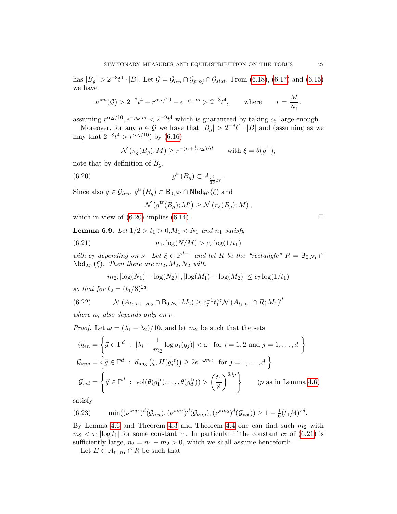has  $|B_g| > 2^{-8}t^4 \cdot |B|$ . Let  $\mathcal{G} = \mathcal{G}_{len} \cap \mathcal{G}_{proj} \cap \mathcal{G}_{stat}$ . From [\(6.18\)](#page-25-0), [\(6.17\)](#page-25-1) and [\(6.15\)](#page-25-2) we have

$$
\nu^{*m}(\mathcal{G}) > 2^{-7}t^4 - r^{\alpha_{\Delta}/10} - e^{-\rho_{\omega} \cdot m} > 2^{-8}t^4, \quad \text{where} \quad r = \frac{M}{N_1}
$$

assuming  $r^{\alpha_{\Delta}/10}$ ,  $e^{-\rho_{\omega} \cdot m} < 2^{-9} t^4$  which is guaranteed by taking  $c_6$  large enough.

Moreover, for any  $g \in \mathcal{G}$  we have that  $|B_g| > 2^{-8} t^4 \cdot |B|$  and (assuming as we may that  $2^{-8}t^4 > r^{\alpha_{\Delta}/10}$  by [\(6.16\)](#page-25-3)

$$
\mathcal{N}(\pi_{\xi}(B_g); M) \ge r^{-(\alpha + \frac{1}{2}\alpha_{\Delta})/d} \quad \text{with } \xi = \theta(g^{\text{tr}});
$$

note that by definition of  $B_q$ ,

(6.20) 
$$
g^{\text{tr}}(B_g) \subset A_{\frac{t^2}{16},n'}.
$$

Since also  $g \in \mathcal{G}_{len}, g^{\text{tr}}(B_g) \subset B_{0,N'} \cap \text{Nbd}_{M'}(\xi)$  and

<span id="page-26-1"></span><span id="page-26-0"></span>
$$
\mathcal{N}\left(g^{\mathrm{tr}}(B_g); M'\right) \geq \mathcal{N}\left(\pi_{\xi}(B_g); M\right),
$$

which in view of  $(6.20)$  implies  $(6.14)$ .

<span id="page-26-3"></span>**Lemma 6.9.** Let  $1/2 > t_1 > 0, M_1 < N_1$  and  $n_1$  satisfy

(6.21) 
$$
n_1, \log(N/M) > c_7 \log(1/t_1)
$$

with  $c_7$  depending on  $\nu$ . Let  $\xi \in \mathbb{P}^{d-1}$  and let R be the "rectangle"  $R = B_{0,N_1} \cap$  $\mathsf{Nbd}_{M_1}(\xi)$ . Then there are  $m_2, M_2, N_2$  with

$$
m_2
$$
,  $|\log(N_1) - \log(N_2)|$ ,  $|\log(M_1) - \log(M_2)| \leq c_7 \log(1/t_1)$ 

so that for  $t_2 = (t_1/8)^{2d}$ 

(6.22) 
$$
\mathcal{N}(A_{t_2,n_1-m_2} \cap B_{0,N_2};M_2) \geq c_7^{-1} t_1^{\kappa_7} \mathcal{N}(A_{t_1,n_1} \cap R;M_1)^d
$$

where  $\kappa_7$  also depends only on  $\nu$ .

*Proof.* Let  $\omega = (\lambda_1 - \lambda_2)/10$ , and let  $m_2$  be such that the sets

$$
\mathcal{G}_{len} = \left\{ \vec{g} \in \Gamma^d : |\lambda_i - \frac{1}{m_2} \log \sigma_i(g_j)| < \omega \text{ for } i = 1, 2 \text{ and } j = 1, ..., d \right\}
$$
  

$$
\mathcal{G}_{ang} = \left\{ \vec{g} \in \Gamma^d : d_{ang} \left( \xi, H(g_j^{\text{tr}}) \right) \ge 2e^{-\omega m_2} \text{ for } j = 1, ..., d \right\}
$$
  

$$
\mathcal{G}_{vol} = \left\{ \vec{g} \in \Gamma^d : \text{vol}(\theta(g_1^{\text{tr}}), ..., \theta(g_d^{\text{tr}})) > \left( \frac{t_1}{8} \right)^{2dp} \right\} \qquad (p \text{ as in Lemma 4.6})
$$

satisfy

<span id="page-26-2"></span>(6.23) 
$$
\min((\nu^{*m_2})^d(\mathcal{G}_{len}), (\nu^{*m_2})^d(\mathcal{G}_{ang}), (\nu^{*m_2})^d(\mathcal{G}_{vol})) \ge 1 - \frac{1}{6}(t_1/4)^{2d}.
$$

By Lemma [4.6](#page-14-0) and Theorem [4.3](#page-12-1) and Theorem [4.4](#page-12-5) one can find such  $m_2$  with  $m_2 < \tau_1 |\log t_1|$  for some constant  $\tau_1$ . In particular if the constant  $c_7$  of [\(6.21\)](#page-26-1) is sufficiently large,  $n_2 = n_1 - m_2 > 0$ , which we shall assume henceforth.

Let  $E \subset A_{t_1,n_1} \cap R$  be such that

.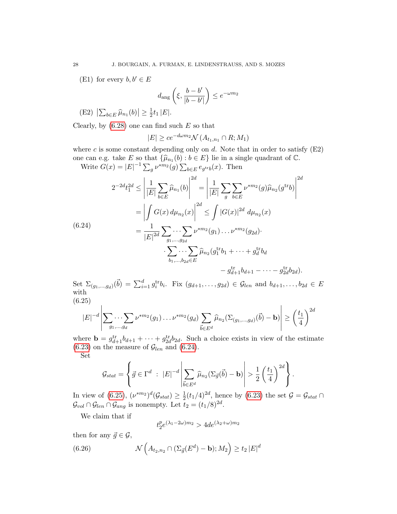(E1) for every  $b, b' \in E$ 

$$
d_{\text{ang}}\left(\xi, \frac{b-b'}{|b-b'|}\right) \leq e^{-\omega m_2}
$$

$$
(E2) \left| \sum_{b \in E} \widehat{\mu}_{n_1}(b) \right| \geq \frac{1}{2} t_1 |E|.
$$

Clearly, by  $(6.28)$  one can find such E so that

$$
|E| \ge ce^{-d\omega m_2} \mathcal{N}(A_{t_1,n_1} \cap R; M_1)
$$

where c is some constant depending only on  $d$ . Note that in order to satisfy  $(E2)$ one can e.g. take E so that  $\{\widehat{\mu}_{n_1}(b) : b \in E\}$  lie in a single quadrant of  $\mathbb{C}$ .<br>White  $C(x) = |E|^{-1} \sum_{k=1}^{\infty} k^{*} m_k(x) \sum_{k=1}^{\infty} (x)$ . Then

Write  $G(x) = |E|^{-1} \sum_{g} \nu^{*m_2}(g) \sum_{b \in E} e_{g^{tr}b}(x)$ . Then

<span id="page-27-0"></span>
$$
2^{-2d}t_1^{2d} \le \left| \frac{1}{|E|} \sum_{b \in E} \widehat{\mu}_{n_1}(b) \right|^{2d} = \left| \frac{1}{|E|} \sum_{g} \sum_{b \in E} \nu^{*m_2}(g) \widehat{\mu}_{n_2}(g^{\text{tr}}b) \right|^{2d}
$$

$$
= \left| \int G(x) d\mu_{n_2}(x) \right|^{2d} \le \int |G(x)|^{2d} d\mu_{n_2}(x)
$$

$$
= \frac{1}{|E|^{2d}} \sum_{g_1, \dots, g_{2d}} \cdots \sum_{g_n, g_n} \nu^{*m_2}(g_1) \dots \nu^{*m_2}(g_{2d}).
$$

$$
\cdot \sum_{b_1, \dots, b_{2d} \in E} \widehat{\mu}_{n_2}(g_1^{\text{tr}}b_1 + \dots + g_d^{\text{tr}}b_d - g_{2d}^{\text{tr}}b_{2d}).
$$

Set  $\Sigma_{(g_1,...,g_d)}(\vec{b}) = \sum_{i=1}^d g_i^{\text{tr}} b_i$ . Fix  $(g_{d+1},...,g_{2d}) \in \mathcal{G}_{len}$  and  $b_{d+1},...,b_{2d} \in E$ with (6.25)

<span id="page-27-1"></span>
$$
|E|^{-d}\left|\sum_{g_1,\dots,g_d}\nu^{*m_2}(g_1)\dots\nu^{*m_2}(g_d)\sum_{\vec{b}\in E^d}\widehat{\mu}_{n_2}(\Sigma_{(g_1,\dots,g_d)}(\vec{b})-\mathbf{b})\right|\geq \left(\frac{t_1}{4}\right)^{2d}
$$

where  $\mathbf{b} = g_{d+1}^{\text{tr}}b_{d+1} + \cdots + g_{2d}^{\text{tr}}b_{2d}$ . Such a choice exists in view of the estimate  $(6.23)$  on the measure of  $\mathcal{G}_{len}$  and  $(6.24)$ . Set

$$
\mathcal{G}_{stat} = \left\{ \vec{g} \in \Gamma^d \ : \ |E|^{-d} \left| \sum_{\vec{b} \in E^d} \widehat{\mu}_{n_2}(\Sigma_{\vec{g}}(\vec{b}) - \mathbf{b}) \right| > \frac{1}{2} \left( \frac{t_1}{4} \right)^{2d} \right\}.
$$

In view of  $(6.25), (\nu^{*m_2})^d(\mathcal{G}_{stat}) \geq \frac{1}{2}$  $\frac{1}{2}(t_1/4)^{2d}$ , hence by [\(6.23\)](#page-26-2) the set  $\mathcal{G} = \mathcal{G}_{stat} \cap$  $\mathcal{G}_{vol} \cap \mathcal{G}_{len} \cap \mathcal{G}_{ang}$  is nonempty. Let  $t_2 = (t_1/8)^{2d}$ .

We claim that if

<span id="page-27-2"></span>
$$
t_2^p e^{(\lambda_1 - 2\omega)m_2} > 4de^{(\lambda_2 + \omega)m_2}
$$

then for any  $\vec{g} \in \mathcal{G}$ ,

(6.26) 
$$
\mathcal{N}\left(A_{t_2,n_2}\cap\left(\Sigma_{\vec{g}}(E^d)-\mathbf{b}\right);M_2\right)\geq t_2\left|E\right|^d
$$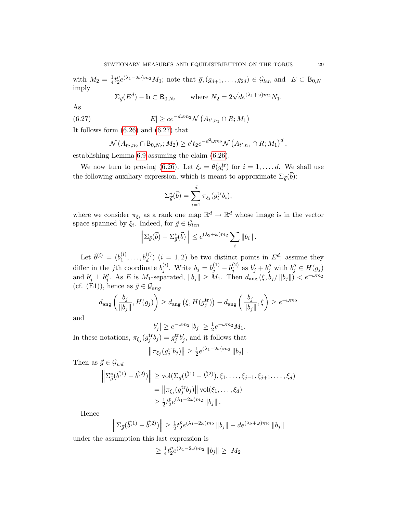with  $M_2 = \frac{1}{4}$  $\frac{1}{4}t_{2}^{p}$  $e^{p}_{2}e^{(\lambda_1-2\omega)m_2}M_1$ ; note that  $\vec{g},(g_{d+1},\ldots,g_{2d})\in\mathcal{G}_{len}$  and  $E\subset\mathsf{B}_{0,N_1}$ imply

<span id="page-28-0"></span>
$$
\Sigma_{\vec{g}}(E^d) - \mathbf{b} \subset \mathsf{B}_{0,N_2} \qquad \text{where } N_2 = 2\sqrt{d}e^{(\lambda_1 + \omega)m_2}N_1.
$$

As

(6.27) 
$$
|E| \ge ce^{-d\omega m_2} \mathcal{N}\left(A_{t',n_1} \cap R; M_1\right)
$$

It follows form [\(6.26\)](#page-27-2) and [\(6.27\)](#page-28-0) that

$$
\mathcal{N}(A_{t_2,n_2} \cap B_{0,N_2};M_2) \geq c't_2e^{-d^2\omega m_2}\mathcal{N}(A_{t',n_1} \cap R;M_1)^d,
$$

establishing Lemma [6.9](#page-26-3) assuming the claim [\(6.26\)](#page-27-2).

We now turn to proving [\(6.26\)](#page-27-2). Let  $\xi_i = \theta(g_i^{\text{tr}})$  for  $i = 1, ..., d$ . We shall use the following auxiliary expression, which is meant to approximate  $\Sigma_{\vec{g}}(\vec{b})$ :

$$
\Sigma_{\vec{g}}^*(\vec{b}) = \sum_{i=1}^d \pi_{\xi_i}(g_i^{\text{tr}} b_i),
$$

where we consider  $\pi_{\xi_i}$  as a rank one map  $\mathbb{R}^d \to \mathbb{R}^d$  whose image is in the vector space spanned by  $\xi_i$ . Indeed, for  $\vec{g} \in \mathcal{G}_{len}$ 

$$
\left\|\Sigma_{\vec{g}}(\vec{b}) - \Sigma_{\vec{g}}^*(\vec{b})\right\| \leq e^{(\lambda_2 + \omega)m_2} \sum_i \|b_i\|.
$$

Let  $\vec{b}^{(i)} = (b_1^{(i)}$  $b_1^{(i)}, \ldots, b_d^{(i)}$  ( $i = 1, 2$ ) be two distinct points in  $E^d$ ; assume they differ in the *j*th coordinate  $b_i^{(i)}$  $j^{(i)}$ . Write  $b_j = b_j^{(1)} - b_j^{(2)}$  $j_j^{(2)}$  as  $b'_j + b''_j$  with  $b''_j \in H(g_j)$ and  $b'_j \perp b''_j$ . As E is M<sub>1</sub>-separated,  $||b_j|| \geq M_1$ . Then  $d_{\text{ang}}(\xi, b_j/||b_j||) < e^{-\omega m_2}$ (cf. (E1)), hence as  $\vec{g} \in \mathcal{G}_{ang}$ 

$$
d_{\text{ang}}\left(\frac{b_j}{\|b_j\|}, H(g_j)\right) \ge d_{\text{ang}}\left(\xi, H(g_j^{\text{tr}})\right) - d_{\text{ang}}\left(\frac{b_j}{\|b_j\|}, \xi\right) \ge e^{-\omega m_2}
$$

and

$$
|b'_j| \ge e^{-\omega m_2} |b_j| \ge \frac{1}{2} e^{-\omega m_2} M_1.
$$

In these notations,  $\pi_{\xi_j}(g_j^{\text{tr}}b_j) = g_j^{\text{tr}}b'_j$ , and it follows that

$$
\left\|\pi_{\xi_j}(g_j^{\text{tr}}b_j)\right\| \geq \frac{1}{2}e^{(\lambda_1 - 2\omega)m_2} \left\|b_j\right\|.
$$

Then as  $\vec{g} \in \mathcal{G}_{vol}$ 

$$
\left\| \Sigma_{\vec{g}}^* (\vec{b}^{(1)} - \vec{b}^{(2)}) \right\| \ge \text{vol}(\Sigma_{\vec{g}}(\vec{b}^{(1)} - \vec{b}^{(2)}), \xi_1, \dots, \xi_{j-1}, \xi_{j+1}, \dots, \xi_d)
$$
  
=  $\|\pi_{\xi_j}(g_j^{\text{tr}} b_j)\| \text{vol}(\xi_1, \dots, \xi_d)$   
 $\ge \frac{1}{2} t_2^p e^{(\lambda_1 - 2\omega)m_2} \|b_j\|.$ 

Hence

$$
\left\|\Sigma_{\vec{g}}(\vec{b}^{(1)} - \vec{b}^{(2)})\right\| \ge \frac{1}{2}t_2^p e^{(\lambda_1 - 2\omega)m_2} \|b_j\| - de^{(\lambda_2 + \omega)m_2} \|b_j\|
$$

under the assumption this last expression is

$$
\geq \frac{1}{4}t_2^p e^{(\lambda_1 - 2\omega)m_2} \|b_j\| \geq M_2
$$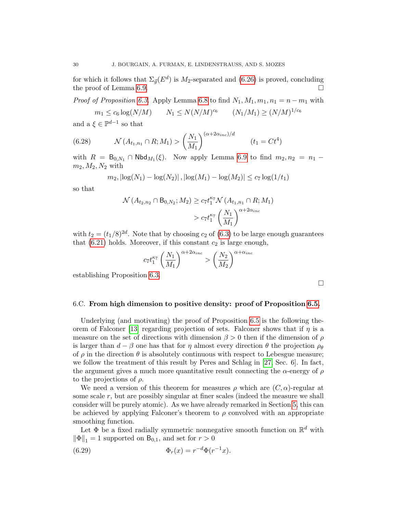for which it follows that  $\Sigma_{\vec{g}}(E^d)$  is  $M_2$ -separated and [\(6.26\)](#page-27-2) is proved, concluding the proof of Lemma [6.9.](#page-26-3)

*Proof of Proposition [6.3.](#page-19-1)* Apply Lemma [6.8](#page-24-2) to find  $N_1, M_1, m_1, n_1 = n - m_1$  with

<span id="page-29-1"></span> $m_1 \leq c_6 \log(N/M)$   $N_1 \leq N(N/M)^{c_6}$   $(N_1/M_1) \geq (N/M)^{1/c_6}$ 

and  $a \xi \in \mathbb{P}^{d-1}$  so that

(6.28) 
$$
\mathcal{N}(A_{t_1,n_1} \cap R; M_1) > \left(\frac{N_1}{M_1}\right)^{(\alpha + 2\alpha_{inc})/d} \qquad (t_1 = Ct^4)
$$

with  $R = B_{0,N_1} \cap \text{Nbd}_{M_1}(\xi)$ . Now apply Lemma [6.9](#page-26-3) to find  $m_2, n_2 = n_1$  $m_2, M_2, N_2$  with

$$
m_2
$$
,  $|\log(N_1) - \log(N_2)|$ ,  $|\log(M_1) - \log(M_2)| \le c_7 \log(1/t_1)$ 

so that

$$
\mathcal{N}(A_{t_2,n_2} \cap B_{0,N_2}; M_2) \ge c_7 t_1^{\kappa_7} \mathcal{N}(A_{t_1,n_1} \cap R; M_1)
$$
  
>  $c_7 t_1^{\kappa_7} \left(\frac{N_1}{M_1}\right)^{\alpha + 2\alpha_{inc}}$ 

with  $t_2 = (t_1/8)^{2d}$ . Note that by choosing  $c_2$  of  $(6.3)$  to be large enough guarantees that  $(6.21)$  holds. Moreover, if this constant  $c_2$  is large enough,

$$
c_7t_1^{\kappa_7}\left(\frac{N_1}{M_1}\right)^{\alpha+2\alpha_{inc}} > \left(\frac{N_2}{M_2}\right)^{\alpha+\alpha_{inc}}
$$

establishing Proposition [6.3.](#page-19-1)

 $\Box$ 

# <span id="page-29-0"></span>6.C. From high dimension to positive density: proof of Proposition [6.5.](#page-20-0)

Underlying (and motivating) the proof of Proposition [6.5](#page-20-0) is the following the-orem of Falconer [\[13\]](#page-51-7) regarding projection of sets. Falconer shows that if  $\eta$  is a measure on the set of directions with dimension  $\beta > 0$  then if the dimension of  $\rho$ is larger than  $d - \beta$  one has that for  $\eta$  almost every direction  $\theta$  the projection  $\rho_{\theta}$ of  $\rho$  in the direction  $\theta$  is absolutely continuous with respect to Lebesgue measure; we follow the treatment of this result by Peres and Schlag in [\[27,](#page-52-4) Sec. 6]. In fact, the argument gives a much more quantitative result connecting the  $\alpha$ -energy of  $\rho$ to the projections of  $\rho$ .

We need a version of this theorem for measures  $\rho$  which are  $(C, \alpha)$ -regular at some scale  $r$ , but are possibly singular at finer scales (indeed the measure we shall consider will be purely atomic). As we have already remarked in Section [5,](#page-15-2) this can be achieved by applying Falconer's theorem to  $\rho$  convolved with an appropriate smoothing function.

Let  $\Phi$  be a fixed radially symmetric nonnegative smooth function on  $\mathbb{R}^d$  with  $\|\Phi\|_1 = 1$  supported on  $B_{0,1}$ , and set for  $r > 0$ 

<span id="page-29-2"></span>(6.29) 
$$
\Phi_r(x) = r^{-d}\Phi(r^{-1}x).
$$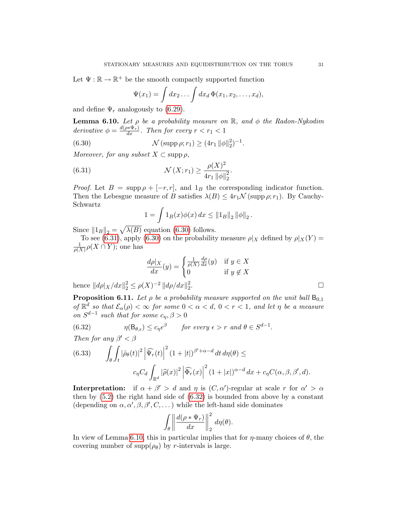Let  $\Psi : \mathbb{R} \to \mathbb{R}^+$  be the smooth compactly supported function

<span id="page-30-0"></span>
$$
\Psi(x_1) = \int dx_2 \dots \int dx_d \, \Phi(x_1, x_2, \dots, x_d),
$$

and define  $\Psi_r$  analogously to [\(6.29\)](#page-29-2).

<span id="page-30-3"></span>**Lemma 6.10.** Let  $\rho$  be a probability measure on  $\mathbb{R}$ , and  $\phi$  the Radon-Nykodim derivative  $\phi = \frac{d(\rho * \Psi_r)}{dx}$ . Then for every  $r < r_1 < 1$ 

(6.30) 
$$
\mathcal{N}(\text{supp }\rho; r_1) \ge (4r_1 \|\phi\|_2^2)^{-1}.
$$

Moreover, for any subset  $X \subset \text{supp } \rho$ ,

(6.31) 
$$
\mathcal{N}(X; r_1) \ge \frac{\rho(X)^2}{4r_1 \|\phi\|_2^2}.
$$

*Proof.* Let  $B = \text{supp }\rho + [-r, r]$ , and  $1_B$  the corresponding indicator function. Then the Lebesgue measure of B satisfies  $\lambda(B) \leq 4r_1 \mathcal{N}$  (supp  $\rho; r_1$ ). By Cauchy-Schwartz

<span id="page-30-1"></span>
$$
1 = \int 1_B(x)\phi(x) \, dx \le ||1_B||_2 ||\phi||_2.
$$

Since  $||1_B||_2 = \sqrt{\lambda(B)}$  equation [\(6.30\)](#page-30-0) follows.

To see [\(6.31\)](#page-30-1), apply [\(6.30\)](#page-30-0) on the probability measure  $\rho|_X$  defined by  $\rho|_X(Y) =$ 1  $\frac{1}{\rho(X)}\rho(X \cap Y)$ ; one has

$$
\frac{d\rho|_X}{dx}(y) = \begin{cases} \frac{1}{\rho(X)} \frac{d\rho}{dx}(y) & \text{if } y \in X \\ 0 & \text{if } y \notin X \end{cases}
$$

hence  $||d\rho||_X/dx||_2^2 \leq \rho(X)^{-2} ||d\rho/dx||_2^2$ 2

<span id="page-30-4"></span>**Proposition 6.11.** Let  $\rho$  be a probability measure supported on the unit ball  $B_{0,1}$ of  $\mathbb{R}^d$  so that  $\mathcal{E}_{\alpha}(\rho) < \infty$  for some  $0 < \alpha < d$ ,  $0 < r < 1$ , and let  $\eta$  be a measure on  $S^{d-1}$  such that for some  $c_{\eta}, \beta > 0$ 

<span id="page-30-2"></span>(6.32) 
$$
\eta(\mathsf{B}_{\theta,\epsilon}) \leq c_{\eta}\epsilon^{\beta} \quad \text{for every } \epsilon > r \text{ and } \theta \in S^{d-1}.
$$

Then for any  $\beta' < \beta$ 

(6.33) 
$$
\int_{\theta} \int_{t} |\hat{\rho}_{\theta}(t)|^{2} \left| \widehat{\Psi}_{r}(t) \right|^{2} (1+|t|)^{\beta'+\alpha-d} dt d\eta(\theta) \leq
$$

$$
c_{\eta} C_{d} \int_{\mathbb{R}^{d}} |\hat{\rho}(x)|^{2} \left| \widehat{\Phi}_{r}(x) \right|^{2} (1+|x|)^{\alpha-d} dx + c_{\eta} C(\alpha, \beta, \beta', d).
$$

**Interpretation:** if  $\alpha + \beta' > d$  and  $\eta$  is  $(C, \alpha')$ -regular at scale r for  $\alpha' > \alpha$ then by  $(5.2)$  the right hand side of  $(6.32)$  is bounded from above by a constant (depending on  $\alpha, \alpha', \beta, \beta', C, \dots$ ) while the left-hand side dominates

$$
\int_{\theta} \left\| \frac{d(\rho * \Psi_r)}{dx} \right\|_2^2 d\eta(\theta).
$$

In view of Lemma [6.10,](#page-30-3) this in particular implies that for  $\eta$ -many choices of  $\theta$ , the covering number of  $\text{supp}(\rho_{\theta})$  by r-intervals is large.

.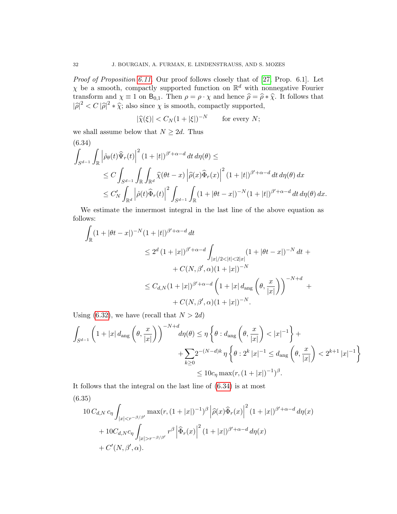Proof of Proposition [6.11.](#page-30-4) Our proof follows closely that of [\[27,](#page-52-4) Prop. 6.1]. Let  $\chi$  be a smooth, compactly supported function on  $\mathbb{R}^d$  with nonnegative Fourier transform and  $\chi \equiv 1$  on  $B_{0,1}$ . Then  $\rho = \rho \cdot \chi$  and hence  $\hat{\rho} = \hat{\rho} * \hat{\chi}$ . It follows that  $|\hat{\rho}|^2 < C |\hat{\rho}|^2 * \hat{\chi}$ ; also since  $\chi$  is smooth, compactly supported,

$$
|\widehat{\chi}(\xi)| < C_N (1 + |\xi|)^{-N} \qquad \text{for every } N;
$$

we shall assume below that  $N \geq 2d$ . Thus

<span id="page-31-0"></span>(6.34)  
\n
$$
\int_{S^{d-1}} \int_{\mathbb{R}} \left| \hat{\rho}_{\theta}(t) \widehat{\Psi}_{r}(t) \right|^{2} (1+|t|)^{\beta'+\alpha-d} dt d\eta(\theta) \le
$$
\n
$$
\leq C \int_{S^{d-1}} \int_{\mathbb{R}} \int_{\mathbb{R}^{d}} \widehat{\chi}(\theta t - x) \left| \widehat{\rho}(x) \widehat{\Phi}_{r}(x) \right|^{2} (1+|t|)^{\beta'+\alpha-d} dt d\eta(\theta) dx
$$
\n
$$
\leq C'_{N} \int_{\mathbb{R}^{d}} \left| \widehat{\rho}(t) \widehat{\Phi}_{r}(t) \right|^{2} \int_{S^{d-1}} \int_{\mathbb{R}} (1+|\theta t - x|)^{-N} (1+|t|)^{\beta'+\alpha-d} dt d\eta(\theta) dx.
$$

We estimate the innermost integral in the last line of the above equation as follows:

$$
\int_{\mathbb{R}} (1+|\theta t - x|)^{-N} (1+|t|)^{\beta' + \alpha - d} dt
$$
\n
$$
\leq 2^d (1+|x|)^{\beta' + \alpha - d} \int_{|x|/2 < |t| < 2|x|} (1+|\theta t - x|)^{-N} dt + C(N, \beta', \alpha)(1+|x|)^{-N}
$$
\n
$$
\leq C_{d,N} (1+|x|)^{\beta' + \alpha - d} \left(1 + |x| d_{\text{ang}} \left(\theta, \frac{x}{|x|}\right)\right)^{-N+d} + C(N, \beta', \alpha)(1+|x|)^{-N}.
$$

Using [\(6.32\)](#page-30-2), we have (recall that  $N > 2d$ )

$$
\int_{S^{d-1}} \left( 1 + |x| \, d_{\text{ang}}\left(\theta, \frac{x}{|x|}\right) \right)^{-N+d} d\eta(\theta) \le \eta \left\{ \theta : d_{\text{ang}}\left(\theta, \frac{x}{|x|}\right) < |x|^{-1} \right\} + \sum_{k \ge 0} 2^{-(N-d)k} \eta \left\{ \theta : 2^k |x|^{-1} \le d_{\text{ang}}\left(\theta, \frac{x}{|x|}\right) < 2^{k+1} |x|^{-1} \right\} \le 10c_\eta \max(r, (1+|x|)^{-1})^\beta.
$$

It follows that the integral on the last line of [\(6.34\)](#page-31-0) is at most

<span id="page-31-1"></span>(6.35)  
\n
$$
10 C_{d,N} c_{\eta} \int_{|x| < r^{-\beta/\beta'}} \max(r, (1+|x|)^{-1})^{\beta} |\widehat{\rho}(x)\widehat{\Phi}_r(x)|^2 (1+|x|)^{\beta'+\alpha-d} d\eta(x)
$$
\n
$$
+ 10 C_{d,N} c_{\eta} \int_{|x| > r^{-\beta/\beta'}} r^{\beta} |\widehat{\Phi}_r(x)|^2 (1+|x|)^{\beta'+\alpha-d} d\eta(x)
$$
\n
$$
+ C'(N, \beta', \alpha).
$$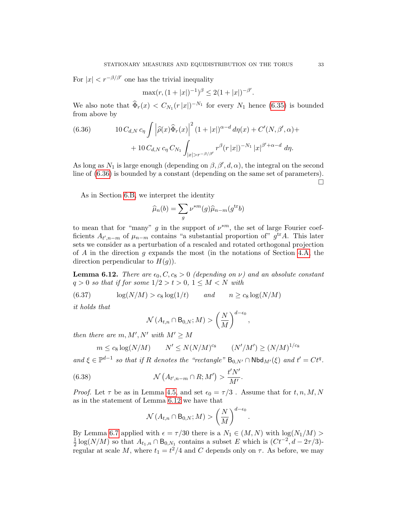For  $|x| < r^{-\beta/\beta'}$  one has the trivial inequality

$$
\max(r, (1+|x|)^{-1})^{\beta} \le 2(1+|x|)^{-\beta'}.
$$

We also note that  $\widehat{\Phi}_r(x) < C_{N_1}(r|x|)^{-N_1}$  for every  $N_1$  hence [\(6.35\)](#page-31-1) is bounded from above by

<span id="page-32-0"></span>(6.36) 
$$
10 C_{d,N} c_{\eta} \int \left| \hat{\rho}(x) \hat{\Phi}_r(x) \right|^2 (1+|x|)^{\alpha-d} d\eta(x) + C'(N, \beta', \alpha) ++ 10 C_{d,N} c_{\eta} C_{N_1} \int_{|x|>r^{-\beta/\beta'}} r^{\beta}(r |x|)^{-N_1} |x|^{\beta'+\alpha-d} d\eta.
$$

As long as  $N_1$  is large enough (depending on  $\beta$ ,  $\beta'$ ,  $d$ ,  $\alpha$ ), the integral on the second line of [\(6.36\)](#page-32-0) is bounded by a constant (depending on the same set of parameters).  $\Box$ 

As in Section [6.B,](#page-22-3) we interpret the identity

$$
\widehat{\mu}_n(b) = \sum_g \nu^{*m}(g)\widehat{\mu}_{n-m}(g^{\text{tr}}b)
$$

to mean that for "many" g in the support of  $\nu^{*m}$ , the set of large Fourier coefficients  $A_{t',n-m}$  of  $\mu_{n-m}$  contains "a substantial proportion of"  $g^{\text{tr}}A$ . This later sets we consider as a perturbation of a rescaled and rotated orthogonal projection of  $A$  in the direction  $q$  expands the most (in the notations of Section [4.A,](#page-9-1) the direction perpendicular to  $H(g)$ ).

<span id="page-32-1"></span>**Lemma 6.12.** There are  $\epsilon_0$ ,  $C$ ,  $c_8 > 0$  (depending on  $\nu$ ) and an absolute constant  $q > 0$  so that if for some  $1/2 > t > 0$ ,  $1 \leq M < N$  with

(6.37) 
$$
\log(N/M) > c_8 \log(1/t) \quad and \quad n \ge c_8 \log(N/M)
$$

it holds that

<span id="page-32-2"></span>
$$
\mathcal{N}\left(A_{t,n}\cap B_{0,N};M\right)>\left(\frac{N}{M}\right)^{d-\epsilon_0}
$$

,

then there are  $m, M', N'$  with  $M' \geq M$ 

$$
m \leq c_8 \log(N/M) \qquad N' \leq N(N/M)^{c_8} \qquad (N'/M') \geq (N/M)^{1/c_8}
$$

and  $\xi \in \mathbb{P}^{d-1}$  so that if R denotes the "rectangle"  $B_{0,N'} \cap \mathsf{Nbd}_{M'}(\xi)$  and  $t' = Ct^q$ .

(6.38) 
$$
\mathcal{N}\left(A_{t',n-m}\cap R;M'\right)>\frac{t'N'}{M'}.
$$

*Proof.* Let  $\tau$  be as in Lemma [4.5,](#page-13-0) and set  $\epsilon_0 = \tau/3$ . Assume that for  $t, n, M, N$ as in the statement of Lemma [6.12](#page-32-1) we have that

<span id="page-32-3"></span>
$$
\mathcal{N}\left(A_{t,n}\cap B_{0,N};M\right)>\left(\frac{N}{M}\right)^{d-\epsilon_0}.
$$

By Lemma [6.7](#page-22-0) applied with  $\epsilon = \tau/30$  there is a  $N_1 \in (M, N)$  with  $\log(N_1/M)$ 1  $\frac{1}{2}\log(N/M)$  so that  $A_{t_1,n} \cap B_{0,N_1}$  contains a subset E which is  $(Ct^{-2}, d - 2\tau/3)$ regular at scale M, where  $t_1 = t^2/4$  and C depends only on  $\tau$ . As before, we may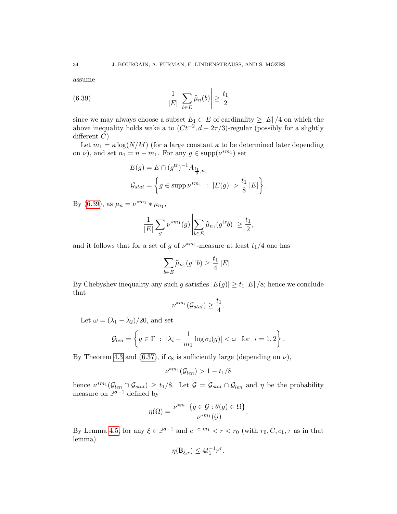assume

(6.39) 
$$
\frac{1}{|E|} \left| \sum_{b \in E} \widehat{\mu}_n(b) \right| \ge \frac{t_1}{2}
$$

since we may always choose a subset  $E_1 \subset E$  of cardinality  $\geq |E|/4$  on which the above inequality holds wake a to  $(Ct^{-2}, d - 2\tau/3)$ -regular (possibly for a slightly different  $C$ ).

Let  $m_1 = \kappa \log(N/M)$  (for a large constant  $\kappa$  to be determined later depending on  $\nu$ ), and set  $n_1 = n - m_1$ . For any  $g \in \text{supp}(\nu^{*m_1})$  set

<span id="page-33-0"></span>
$$
E(g) = E \cap (g^{\text{tr}})^{-1} A_{\frac{t_1}{8}, n_1}
$$
  

$$
\mathcal{G}_{stat} = \left\{ g \in \text{supp } \nu^{*m_1} : |E(g)| > \frac{t_1}{8} |E| \right\}.
$$

By [\(6.39\)](#page-33-0), as  $\mu_n = \nu^{*m_1} * \mu_{n_1}$ ,

$$
\frac{1}{|E|} \sum_{g} \nu^{*m_1}(g) \left| \sum_{b \in E} \widehat{\mu}_{n_1}(g^{\text{tr}} b) \right| \ge \frac{t_1}{2},
$$

and it follows that for a set of g of  $\nu^{*m_1}$ -measure at least  $t_1/4$  one has

$$
\sum_{b \in E} \widehat{\mu}_{n_1}(g^{\text{tr}} b) \ge \frac{t_1}{4} |E|.
$$

By Chebyshev inequality any such g satisfies  $|E(g)| \ge t_1 |E|/8$ ; hence we conclude that

$$
\nu^{*m_1}(\mathcal{G}_{stat}) \geq \frac{t_1}{4}.
$$

Let  $\omega = (\lambda_1 - \lambda_2)/20$ , and set

$$
\mathcal{G}_{len} = \left\{ g \in \Gamma \ : \ |\lambda_i - \frac{1}{m_1} \log \sigma_i(g)| < \omega \ \text{for} \ i = 1, 2 \right\}.
$$

By Theorem [4.3](#page-12-1) and [\(6.37\)](#page-32-2), if  $c_8$  is sufficiently large (depending on  $\nu$ ),

$$
\nu^{*m_1}(\mathcal{G}_{len}) > 1 - t_1/8
$$

hence  $\nu^{*m_1}(\mathcal{G}_{len} \cap \mathcal{G}_{stat}) \geq t_1/8$ . Let  $\mathcal{G} = \mathcal{G}_{stat} \cap \mathcal{G}_{len}$  and  $\eta$  be the probability measure on  $\mathbb{P}^{d-1}$  defined by

$$
\eta(\Omega) = \frac{\nu^{*m_1} \{ g \in \mathcal{G} : \theta(g) \in \Omega \}}{\nu^{*m_1}(\mathcal{G})}.
$$

By Lemma [4.5,](#page-13-0) for any  $\xi \in \mathbb{P}^{d-1}$  and  $e^{-c_1 m_1} < r < r_0$  (with  $r_0, C, c_1, \tau$  as in that lemma)

$$
\eta(\mathsf{B}_{\xi,r}) \le 4t_1^{-1}r^{\tau}.
$$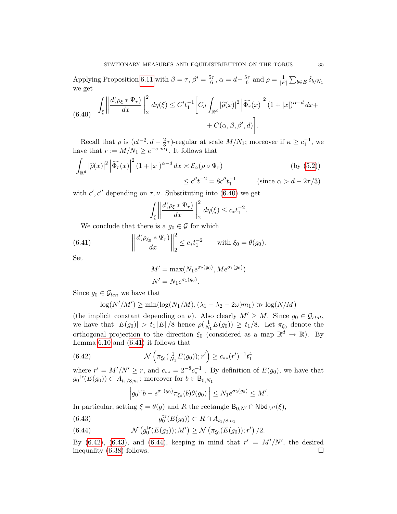Applying Proposition [6.11](#page-30-4) with  $\beta = \tau$ ,  $\beta' = \frac{5\tau}{6}$  $\frac{5\tau}{6}, \alpha = d - \frac{5\tau}{6}$  $\frac{5\tau}{6}$  and  $\rho = \frac{1}{|E|}$  $\frac{1}{|E|}\sum_{b\in E}\delta_{b/N_1}$ we get

<span id="page-34-0"></span>
$$
(6.40) \quad \int_{\xi} \left\| \frac{d(\rho_{\xi} * \Psi_r)}{dx} \right\|_2^2 d\eta(\xi) \le C' t_1^{-1} \left[ C_d \int_{\mathbb{R}^d} |\widehat{\rho}(x)|^2 \left| \widehat{\Phi_r}(x) \right|^2 (1+|x|)^{\alpha-d} dx + C(\alpha, \beta, \beta', d) \right].
$$

Recall that  $\rho$  is  $(ct^{-2}, d - \frac{2}{3})$  $\frac{2}{3}\tau$ )-regular at scale  $M/N_1$ ; moreover if  $\kappa \geq c_1^{-1}$ , we have that  $r := M/N_1 \geq e^{-c_1 m_1}$ . It follows that

$$
\int_{\mathbb{R}^d} |\widehat{\rho}(x)|^2 \left| \widehat{\Phi_r}(x) \right|^2 (1+|x|)^{\alpha-d} dx \approx \mathcal{E}_{\alpha}(\rho \circ \Psi_r)
$$
 (by (5.2))  

$$
\leq c'' t^{-2} = 8c'' t_1^{-1}
$$
 (since  $\alpha > d - 2\tau/3$ )

with  $c', c''$  depending on  $\tau, \nu$ . Substituting into [\(6.40\)](#page-34-0) we get

$$
\int_{\xi} \left\| \frac{d(\rho_{\xi} * \Psi_r)}{dx} \right\|_2^2 d\eta(\xi) \leq c_* t_1^{-2}.
$$

We conclude that there is a  $g_0 \in \mathcal{G}$  for which

(6.41) 
$$
\left\| \frac{d(\rho_{\xi_0} * \Psi_r)}{dx} \right\|_2^2 \le c_* t_1^{-2} \quad \text{with } \xi_0 = \theta(g_0).
$$

Set

<span id="page-34-1"></span>
$$
M' = \max(N_1 e^{\sigma_2(g_0)}, M e^{\sigma_1(g_0)})
$$
  

$$
N' = N_1 e^{\sigma_1(g_0)}.
$$

Since  $g_0 \in \mathcal{G}_{len}$  we have that

$$
\log(N'/M') \ge \min(\log(N_1/M), (\lambda_1 - \lambda_2 - 2\omega)m_1) \gg \log(N/M)
$$

(the implicit constant depending on  $\nu$ ). Also clearly  $M' \geq M$ . Since  $g_0 \in \mathcal{G}_{stat}$ , we have that  $|E(g_0)| > t_1 |E|/8$  hence  $\rho(\frac{1}{N})$  $\frac{1}{N_1}E(g_0)\geq t_1/8.$  Let  $\pi_{\xi_0}$  denote the orthogonal projection to the direction  $\xi_0$  (considered as a map  $\mathbb{R}^d \to \mathbb{R}$ ). By Lemma [6.10](#page-30-3) and [\(6.41\)](#page-34-1) it follows that

(6.42) 
$$
\mathcal{N}\left(\pi_{\xi_0}(\tfrac{1}{N_1}E(g_0));r'\right) \geq c_{**}(r')^{-1}t_1^4
$$

where  $r' = M'/N' \ge r$ , and  $c_{**} = 2^{-8}c_*^{-1}$ . By definition of  $E(g_0)$ , we have that  $g_0^{\text{tr}}(E(g_0)) \subset A_{t_1/8, n_1}$ ; moreover for  $b \in B_{0,N_1}$ 

<span id="page-34-2"></span>
$$
\left\|g_0^{\text{tr}}b - e^{\sigma_1(g_0)}\pi_{\xi_0}(b)\theta(g_0)\right\| \leq N_1 e^{\sigma_2(g_0)} \leq M'.
$$

In particular, setting  $\xi = \theta(g)$  and R the rectangle  $B_{0,N'} \cap Nbd_{M'}(\xi)$ ,

- <span id="page-34-3"></span> $g_0^{\text{tr}}(E(g_0)) \subset R \cap A_{t_1/8,n_1}$ (6.43)
- <span id="page-34-4"></span>(6.44)  $\mathcal{N}(g_0^{\text{tr}}(E(g_0)); M') \ge \mathcal{N}(\pi_{\xi_0}(E(g_0)); r') / 2.$

By  $(6.42)$ ,  $(6.43)$ , and  $(6.44)$ , keeping in mind that  $r' = M'/N'$ , the desired inequality  $(6.38)$  follows.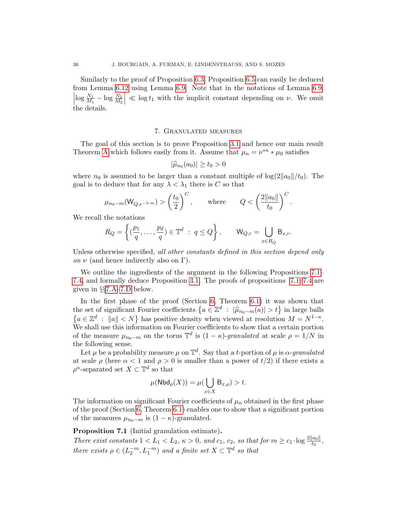Similarly to the proof of Proposition [6.3,](#page-19-1) Proposition [6.5](#page-20-0) can easily be deduced from Lemma [6.12](#page-32-1) using Lemma [6.9.](#page-26-3) Note that in the notations of Lemma [6.9,](#page-26-3)  $\left| \log \frac{N_1}{M_1} - \log \frac{N_2}{M_2} \right|$  $\vert \ll \log t_1$  with the implicit constant depending on  $\nu$ . We omit the details.

#### 7. Granulated measures

The goal of this section is to prove Proposition [3.1](#page-4-0) and hence our main result Theorem [A](#page-1-0) which follows easily from it. Assume that  $\mu_n = \nu^{*n} * \mu_0$  satisfies

$$
|\widehat{\mu}_{n_0}(a_0)| \ge t_0 > 0
$$

where  $n_0$  is assumed to be larger than a constant multiple of  $\log(2||a_0||/t_0)$ . The goal is to deduce that for any  $\lambda < \lambda_1$  there is C so that

$$
\mu_{n_0-m}(\mathsf{W}_{Q,e^{-\lambda\cdot m}}) > \left(\frac{t_0}{2}\right)^C, \quad \text{where} \quad Q < \left(\frac{2\|a_0\|}{t_0}\right)^C.
$$

We recall the notations

$$
R_Q = \left\{ \left( \frac{p_1}{q}, \dots, \frac{p_d}{q} \right) \in \mathbb{T}^d \; : \; q \le Q \right\}, \qquad \mathsf{W}_{Q,r} = \bigcup_{x \in R_Q} \mathsf{B}_{x,r}.
$$

Unless otherwise specified, all other constants defined in this section depend only on  $\nu$  (and hence indirectly also on Γ).

We outline the ingredients of the argument in the following Propositions [7.1–](#page-35-0) [7.4,](#page-37-0) and formally deduce Proposition [3.1.](#page-4-0) The proofs of propositions [7.1–](#page-35-0)[7.4](#page-37-0) are given in §§[7.A–](#page-40-1)[7.D](#page-49-0) below.

In the first phase of the proof (Section [6,](#page-18-2) Theorem [6.1\)](#page-18-0) it was shown that the set of significant Fourier coefficients  $\{a \in \mathbb{Z}^d : |\widehat{\mu}_{n_0-m}(a)| > t\}$  in large balls  ${a \in \mathbb{Z}^d : \|a\| < N}$  has positive density when viewed at resolution  $M = N^{1-\kappa}$ . We shall use this information on Fourier coefficients to show that a certain portion of the measure  $\mu_{n_0-m}$  on the torus  $\mathbb{T}^d$  is  $(1 - \kappa)$ -granulated at scale  $\rho = 1/N$  in the following sense.

Let  $\mu$  be a probability measure  $\mu$  on  $\mathbb{T}^d$ . Say that a t-portion of  $\mu$  is  $\alpha$ -granulated at scale  $\rho$  (here  $\alpha < 1$  and  $\rho > 0$  is smaller than a power of  $t/2$ ) if there exists a  $\rho^{\alpha}$ -separated set  $X \subset \mathbb{T}^d$  so that

$$
\mu(\textsf{Nbd}_\rho(X)) = \mu(\bigcup_{x \in X} \mathsf{B}_{x,\rho}) > t.
$$

The information on significant Fourier coefficients of  $\mu_n$  obtained in the first phase of the proof (Section [6,](#page-18-2) Theorem [6.1\)](#page-18-0) enables one to show that a significant portion of the measures  $\mu_{n_0-m}$  is  $(1 - \kappa)$ -granulated.

<span id="page-35-0"></span>Proposition 7.1 (Initial granulation estimate).

There exist constants  $1 < L_1 < L_2$ ,  $\kappa > 0$ , and  $c_1$ ,  $c_2$ , so that for  $m \ge c_1 \cdot \log \frac{2||a_0||}{t_0}$ , there exists  $\rho \in (L_2^{-m}, L_1^{-m})$  and a finite set  $X \subset \mathbb{T}^d$  so that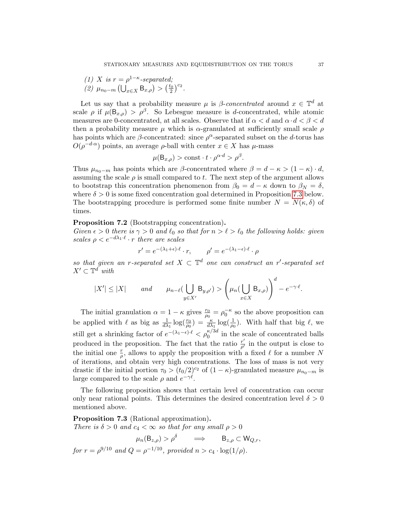.

(1) X is 
$$
r = \rho^{1-\kappa}
$$
-separated;  
(2)  $\mu_{n_0-m}$  ( $\bigcup_{x \in X} B_{x,\rho}$ ) >  $\left(\frac{t_0}{2}\right)^{c_2}$ 

Let us say that a probability measure  $\mu$  is  $\beta$ -concentrated around  $x \in \mathbb{T}^d$  at scale  $\rho$  if  $\mu(\mathsf{B}_{x,\rho}) > \rho^{\beta}$ . So Lebesgue measure is d-concentrated, while atomic measures are 0-concentrated, at all scales. Observe that if  $\alpha < d$  and  $\alpha \cdot d < \beta < d$ then a probability measure  $\mu$  which is  $\alpha$ -granulated at sufficiently small scale  $\rho$ has points which are  $\beta$ -concentrated: since  $\rho^{\alpha}$ -separated subset on the d-torus has  $O(\rho^{-d \cdot \alpha})$  points, an average  $\rho$ -ball with center  $x \in X$  has  $\mu$ -mass

$$
\mu(\mathsf{B}_{x,\rho}) > \text{const} \cdot t \cdot \rho^{\alpha \cdot d} > \rho^{\beta}.
$$

Thus  $\mu_{n_0-m}$  has points which are  $\beta$ -concentrated where  $\beta = d - \kappa > (1 - \kappa) \cdot d$ , assuming the scale  $\rho$  is small compared to t. The next step of the argument allows to bootstrap this concentration phenomenon from  $\beta_0 = d - \kappa$  down to  $\beta_N = \delta$ , where  $\delta > 0$  is some fixed concentration goal determined in Proposition [7.3](#page-36-1) below. The bootstrapping procedure is performed some finite number  $N = N(\kappa, \delta)$  of times.

#### <span id="page-36-0"></span>Proposition 7.2 (Bootstrapping concentration).

Given  $\epsilon > 0$  there is  $\gamma > 0$  and  $\ell_0$  so that for  $n > \ell > \ell_0$  the following holds: given scales  $\rho < e^{-d\lambda_1 \cdot \ell} \cdot r$  there are scales

$$
r' = e^{-(\lambda_1 + \epsilon) \cdot \ell} \cdot r, \qquad \rho' = e^{-(\lambda_1 - \epsilon) \cdot \ell} \cdot \rho
$$

so that given an r-separated set  $X \subset \mathbb{T}^d$  one can construct an r'-separated set  $X' \subset \mathbb{T}^d$  with

$$
|X'| \le |X| \quad \text{and} \quad \mu_{n-\ell}(\bigcup_{y \in X'} B_{y,\rho'}) > \left(\mu_n(\bigcup_{x \in X} B_{x,\rho})\right)^d - e^{-\gamma \cdot \ell}.
$$

The initial granulation  $\alpha = 1 - \kappa$  gives  $\frac{r_0}{\rho_0} = \rho_0^{-\kappa}$  so the above proposition can be applied with  $\ell$  as big as  $\frac{1}{d\lambda_1} \log(\frac{r_0}{\rho_0}) = \frac{\kappa}{d\lambda_1} \log(\frac{1}{\rho_0})$ . With half that big  $\ell$ , we still get a shrinking factor of  $e^{-(\lambda_1-\epsilon)\cdot\ell} < \rho_0^{\kappa/3d}$  in the scale of concentrated balls produced in the proposition. The fact that the ratio  $\frac{r'}{q'}$  $\frac{r'}{\rho'}$  in the output is close to the initial one  $\frac{r}{\rho}$ , allows to apply the proposition with a fixed  $\ell$  for a number N of iterations, and obtain very high concentrations. The loss of mass is not very drastic if the initial portion  $\tau_0 > (t_0/2)^{c_2}$  of  $(1 - \kappa)$ -granulated measure  $\mu_{n_0-m}$  is large compared to the scale  $\rho$  and  $e^{-\gamma \ell}$ .

The following proposition shows that certain level of concentration can occur only near rational points. This determines the desired concentration level  $\delta > 0$ mentioned above.

<span id="page-36-1"></span>Proposition 7.3 (Rational approximation). There is  $\delta > 0$  and  $c_4 < \infty$  so that for any small  $\rho > 0$ 

$$
\mu_n(\mathsf{B}_{z,\rho}) > \rho^{\delta} \implies \mathsf{B}_{z,\rho} \subset \mathsf{W}_{Q,r},
$$
  
for  $r = \rho^{9/10}$  and  $Q = \rho^{-1/10}$ , provided  $n > c_4 \cdot \log(1/\rho)$ .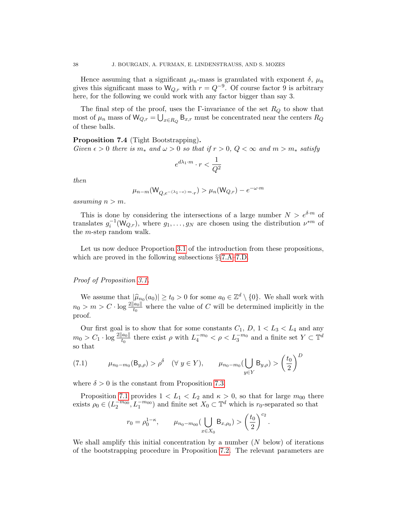Hence assuming that a significant  $\mu_n$ -mass is granulated with exponent  $\delta$ ,  $\mu_n$ gives this significant mass to  $W_{Q,r}$  with  $r = Q^{-9}$ . Of course factor 9 is arbitrary here, for the following we could work with any factor bigger than say 3.

The final step of the proof, uses the Γ-invariance of the set  $R_Q$  to show that most of  $\mu_n$  mass of  $\mathsf{W}_{Q,r} = \bigcup_{x \in R_Q} \mathsf{B}_{x,r}$  must be concentrated near the centers  $R_Q$ of these balls.

## <span id="page-37-0"></span>Proposition 7.4 (Tight Bootstrapping). Given  $\epsilon > 0$  there is  $m_*$  and  $\omega > 0$  so that if  $r > 0$ ,  $Q < \infty$  and  $m > m_*$  satisfy

$$
e^{d\lambda_1\cdot m}\cdot r<\frac{1}{Q^2}
$$

then

$$
\mu_{n-m}(\mathsf{W}_{Q,e^{-(\lambda_1-\epsilon)\cdot m}\cdot r})>\mu_n(\mathsf{W}_{Q,r})-e^{-\omega\cdot m}
$$

assuming  $n > m$ .

This is done by considering the intersections of a large number  $N > e^{\delta \cdot m}$  of translates  $g_i^{-1}(W_{Q,r})$ , where  $g_1, \ldots, g_N$  are chosen using the distribution  $\nu^{*m}$  of the m-step random walk.

Let us now deduce Proportion [3.1](#page-4-0) of the introduction from these propositions, which are proved in the following subsections §§[7.A](#page-40-1)[–7.D.](#page-49-0)

#### Proof of Proposition [3.1.](#page-4-0)

We assume that  $|\hat{\mu}_{n_0}(a_0)| \ge t_0 > 0$  for some  $a_0 \in \mathbb{Z}^d \setminus \{0\}$ . We shall work with  $n_0 > m > C \cdot \log \frac{2||a_0||}{t_0}$  where the value of C will be determined implicitly in the proof.

Our first goal is to show that for some constants  $C_1$ ,  $D$ ,  $1 < L_3 < L_4$  and any  $m_0 > C_1 \cdot \log \frac{2\|a_0\|}{t_0}$  there exist  $\rho$  with  $L_4^{-m_0} < \rho < L_3^{-m_0}$  and a finite set  $Y \subset \mathbb{T}^d$ so that

<span id="page-37-1"></span>(7.1) 
$$
\mu_{n_0 - m_0}(B_{y,\rho}) > \rho^{\delta} \quad (\forall \ y \in Y), \qquad \mu_{n_0 - m_0}(\bigcup_{y \in Y} B_{y,\rho}) > (\frac{t_0}{2})^D
$$

where  $\delta > 0$  is the constant from Proposition [7.3.](#page-36-1)

Proposition [7.1](#page-35-0) provides  $1 < L_1 < L_2$  and  $\kappa > 0$ , so that for large  $m_{00}$  there exists  $\rho_0 \in (L_2^{-m_{00}}, L_1^{-m_{00}})$  and finite set  $X_0 \subset \mathbb{T}^d$  which is  $r_0$ -separated so that

$$
r_0 = \rho_0^{1-\kappa}, \qquad \mu_{n_0-m_{00}}(\bigcup_{x \in X_0} B_{x,\rho_0}) > \left(\frac{t_0}{2}\right)^{c_2}.
$$

We shall amplify this initial concentration by a number  $(N$  below) of iterations of the bootstrapping procedure in Proposition [7.2.](#page-36-0) The relevant parameters are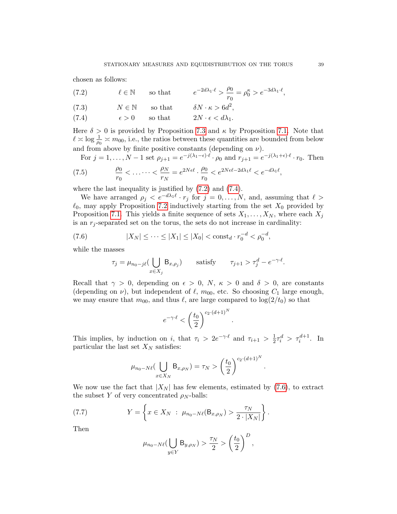chosen as follows:

<span id="page-38-0"></span>(7.2) 
$$
\ell \in \mathbb{N}
$$
 so that  $e^{-2d\lambda_1 \cdot \ell} > \frac{\rho_0}{r_0} = \rho_0^{\kappa} > e^{-3d\lambda_1 \cdot \ell}$ ,  
(7.3)  $N \in \mathbb{N}$  so that  $\delta N \cdot \kappa > 6d^2$ ,

(7.4)  $\epsilon > 0$  so that  $2N \cdot \epsilon < d\lambda_1$ .

Here  $\delta > 0$  is provided by Proposition [7.3](#page-36-1) and  $\kappa$  by Proposition [7.1.](#page-35-0) Note that  $\ell \approx \log \frac{1}{\rho_0} \approx m_{00}$ , i.e., the ratios between these quantities are bounded from below and from above by finite positive constants (depending on  $\nu$ ).

For  $j = 1, \ldots, N-1$  set  $\rho_{j+1} = e^{-j(\lambda_1 - \epsilon)\cdot \ell} \cdot \rho_0$  and  $r_{j+1} = e^{-j(\lambda_1 + \epsilon)\cdot \ell} \cdot r_0$ . Then

(7.5) 
$$
\frac{\rho_0}{r_0} < \ldots \cdots < \frac{\rho_N}{r_N} = e^{2N\epsilon\ell} \cdot \frac{\rho_0}{r_0} < e^{2N\epsilon\ell - 2d\lambda_1\ell} < e^{-d\lambda_1\ell},
$$

where the last inequality is justified by [\(7.2\)](#page-38-0) and [\(7.4\)](#page-38-0).

We have arranged  $\rho_j \leq e^{-d\lambda_1 \ell} \cdot r_j$  for  $j = 0, \ldots, N$ , and, assuming that  $\ell >$  $\ell_0$ , may apply Proposition [7.2](#page-36-0) inductively starting from the set  $X_0$  provided by Proposition [7.1.](#page-35-0) This yields a finite sequence of sets  $X_1, \ldots, X_N$ , where each  $X_j$ is an  $r_i$ -separated set on the torus, the sets do not increase in cardinality:

(7.6) 
$$
|X_N| \leq \cdots \leq |X_1| \leq |X_0| < \mathrm{const}_d \cdot r_0^{-d} < \rho_0^{-d},
$$

while the masses

<span id="page-38-1"></span>
$$
\tau_j = \mu_{n_0 - j\ell} \Big( \bigcup_{x \in X_j} \mathsf{B}_{x, \rho_j} \Big) \qquad \text{satisfy} \qquad \tau_{j+1} > \tau_j^d - e^{-\gamma \cdot \ell}.
$$

Recall that  $\gamma > 0$ , depending on  $\epsilon > 0$ , N,  $\kappa > 0$  and  $\delta > 0$ , are constants (depending on  $\nu$ ), but independent of  $\ell$ ,  $m_{00}$ , etc. So choosing  $C_1$  large enough, we may ensure that  $m_{00}$ , and thus  $\ell$ , are large compared to  $\log(2/t_0)$  so that

$$
e^{-\gamma\cdot\ell} < \left(\frac{t_0}{2}\right)^{c_2\cdot(d+1)^N}
$$

.

.

This implies, by induction on i, that  $\tau_i > 2e^{-\gamma \cdot \ell}$  and  $\tau_{i+1} > \frac{1}{2}$  $\frac{1}{2}\tau_i^d > \tau_i^{d+1}$ . In particular the last set  $X_N$  satisfies:

$$
\mu_{n_0-N\ell}(\bigcup_{x\in X_N} \mathsf{B}_{x,\rho_N})=\tau_N>\left(\frac{t_0}{2}\right)^{c_2\cdot (d+1)^N}
$$

We now use the fact that  $|X_N|$  has few elements, estimated by [\(7.6\)](#page-38-1), to extract the subset Y of very concentrated  $\rho_N$ -balls:

(7.7) 
$$
Y = \left\{ x \in X_N : \ \mu_{n_0 - N\ell}(\mathsf{B}_{x,\rho_N}) > \frac{\tau_N}{2 \cdot |X_N|} \right\}.
$$

Then

<span id="page-38-2"></span>
$$
\mu_{n_0-N\ell}(\bigcup_{y\in Y} \mathsf{B}_{y,\rho_N}) > \frac{\tau_N}{2} > \left(\frac{t_0}{2}\right)^D,
$$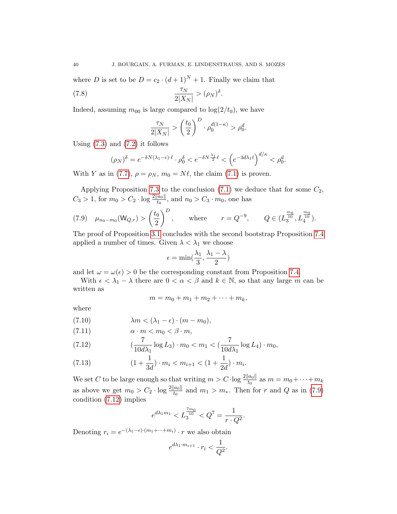where D is set to be  $D = c_2 \cdot (d+1)^N + 1$ . Finally we claim that

$$
\frac{\tau_N}{2|X_N|} > (\rho_N)^{\delta}.
$$

Indeed, assuming  $m_{00}$  is large compared to  $\log(2/t_0)$ , we have

$$
\frac{\tau_N}{2|X_N|} > \left(\frac{t_0}{2}\right)^D \cdot \rho_0^{d(1-\kappa)} > \rho_0^d.
$$

Using  $(7.3)$  and  $(7.2)$  it follows

$$
(\rho_N)^\delta = e^{-\delta N(\lambda_1 - \epsilon)\cdot \ell} \cdot \rho_0^\delta < e^{-\delta N \frac{\lambda_1}{2} \ell} < \left( e^{-3d\lambda_1 \ell} \right)^{d/\kappa} < \rho_0^d.
$$

With Y as in [\(7.7\)](#page-38-2),  $\rho = \rho_N$ ,  $m_0 = N\ell$ , the claim [\(7.1\)](#page-37-1) is proven.

Applying Proposition [7.3](#page-36-1) to the conclusion  $(7.1)$  we deduce that for some  $C_2$ ,  $C_3 > 1$ , for  $m_0 > C_2 \cdot \log \frac{2||a_0||}{t_0}$ , and  $n_0 > C_3 \cdot m_0$ , one has

<span id="page-39-0"></span>(7.9) 
$$
\mu_{n_0-m_0}(\mathsf{W}_{Q,r}) > \left(\frac{t_0}{2}\right)^D
$$
, where  $r = Q^{-9}$ ,  $Q \in (L_3^{\frac{m_0}{10}}, L_4^{\frac{m_0}{10}})$ .

The proof of Proposition [3.1](#page-4-0) concludes with the second bootstrap Proposition [7.4](#page-37-0) applied a number of times. Given  $\lambda < \lambda_1$  we choose

$$
\epsilon = \min(\frac{\lambda_1}{3}, \frac{\lambda_1 - \lambda}{2})
$$

and let  $\omega = \omega(\epsilon) > 0$  be the corresponding constant from Proposition [7.4.](#page-37-0)

With  $\epsilon < \lambda_1 - \lambda$  there are  $0 < \alpha < \beta$  and  $k \in \mathbb{N}$ , so that any large m can be written as

<span id="page-39-1"></span>
$$
m=m_0+m_1+m_2+\cdots+m_k,
$$

where

(7.10) 
$$
\lambda m < (\lambda_1 - \epsilon) \cdot (m - m_0),
$$

$$
(7.11) \qquad \alpha \cdot m < m_0 < \beta \cdot m,
$$

(7.12) 
$$
(\frac{7}{10d\lambda_1}\log L_3) \cdot m_0 < m_1 < (\frac{7}{10d\lambda_1}\log L_4) \cdot m_0,
$$

(7.13) 
$$
(1+\frac{1}{3d}) \cdot m_i < m_{i+1} < (1+\frac{1}{2d}) \cdot m_i.
$$

We set C to be large enough so that writing  $m > C \cdot \log \frac{2\|a_0\|}{t_0}$  as  $m = m_0 + \cdots + m_k$ as above we get  $m_0 > C_2 \cdot \log \frac{2||a_0||}{t_0}$  and  $m_1 > m_*$ . Then for r and Q as in [\(7.9\)](#page-39-0) condition [\(7.12\)](#page-39-1) implies

$$
e^{d\lambda_1 m_1} < L_3^{\frac{7m_0}{10}} < Q^7 = \frac{1}{r \cdot Q^2}.
$$

Denoting  $r_i = e^{-(\lambda_1 - \epsilon) \cdot (m_1 + \cdots + m_i)} \cdot r$  we also obtain

$$
e^{d\lambda_1 \cdot m_{i+1}} \cdot r_i < \frac{1}{Q^2}.
$$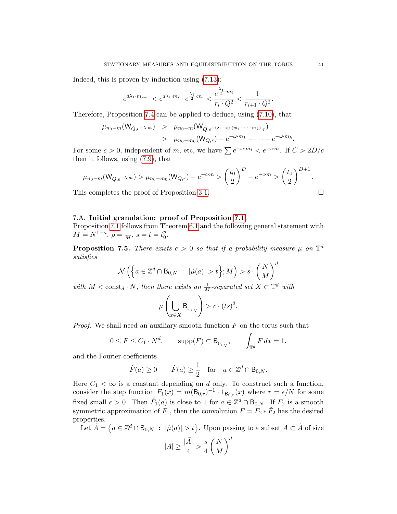Indeed, this is proven by induction using [\(7.13\)](#page-39-1):

$$
e^{d\lambda_1 \cdot m_{i+1}} < e^{d\lambda_1 \cdot m_i} \cdot e^{\frac{\lambda_1}{2} \cdot m_i} < \frac{e^{\frac{\lambda_1}{2} \cdot m_i}}{r_i \cdot Q^2} < \frac{1}{r_{i+1} \cdot Q^2}.
$$

Therefore, Proposition [7.4](#page-37-0) can be applied to deduce, using [\(7.10\)](#page-39-1), that

$$
\mu_{n_0-m}(W_{Q,e^{-\lambda \cdot m}}) > \mu_{n_0-m}(W_{Q,e^{-(\lambda_1-\epsilon)\cdot(m_1+\cdots+m_k)}\cdot r}) > \mu_{n_0-m_0}(W_{Q,r}) - e^{-\omega \cdot m_1} - \cdots - e^{-\omega \cdot m_k}.
$$

For some  $c > 0$ , independent of m, etc, we have  $\sum e^{-\omega \cdot m_i} < e^{-c \cdot m}$ . If  $C > 2D/c$ then it follows, using [\(7.9\)](#page-39-0), that

$$
\mu_{n_0-m}(W_{Q,e^{-\lambda \cdot m}}) > \mu_{n_0-m_0}(W_{Q,r}) - e^{-c \cdot m} > \left(\frac{t_0}{2}\right)^D - e^{-c \cdot m} > \left(\frac{t_0}{2}\right)^{D+1}.
$$

This completes the proof of Proposition [3.1.](#page-4-0)  $\Box$ 

# <span id="page-40-1"></span>7.A. Initial granulation: proof of Proposition [7.1.](#page-35-0)

Proposition [7.1](#page-35-0) follows from Theorem [6.1](#page-18-0) and the following general statement with  $M = N^{1-\kappa}, \, \rho = \frac{1}{M}, \, s = t = t_0^p$  $_{0}^{p}.$ 

<span id="page-40-0"></span>**Proposition 7.5.** There exists  $c > 0$  so that if a probability measure  $\mu$  on  $\mathbb{T}^d$ satisfies

$$
\mathcal{N}\left(\left\{a\in\mathbb{Z}^d\cap\mathsf{B}_{0,N}\ : \ |\hat{\mu}(a)|>t\right\};M\right)>s\cdot\left(\frac{N}{M}\right)^d
$$

with  $M < \text{const}_d \cdot N$ , then there exists an  $\frac{1}{M}$ -separated set  $X \subset \mathbb{T}^d$  with

$$
\mu\left(\bigcup_{x\in X} \mathsf{B}_{x,\frac{1}{N}}\right) > c \cdot (ts)^3.
$$

*Proof.* We shall need an auxiliary smooth function  $F$  on the torus such that

$$
0 \le F \le C_1 \cdot N^d, \qquad \text{supp}(F) \subset \mathsf{B}_{0,\frac{1}{N}}, \qquad \int_{\mathbb{T}^d} F \, dx = 1.
$$

and the Fourier coefficients

$$
\hat{F}(a) \ge 0
$$
  $\hat{F}(a) \ge \frac{1}{2}$  for  $a \in \mathbb{Z}^d \cap B_{0,N}$ .

Here  $C_1 < \infty$  is a constant depending on d only. To construct such a function, consider the step function  $F_1(x) = m(\mathsf{B}_{0,r})^{-1} \cdot 1_{\mathsf{B}_{0,r}}(x)$  where  $r = \epsilon/N$  for some fixed small  $\epsilon > 0$ . Then  $\hat{F}_1(a)$  is close to 1 for  $a \in \mathbb{Z}^d \cap B_{0,N}$ . If  $F_2$  is a smooth symmetric approximation of  $F_1$ , then the convolution  $F = F_2 * F_2$  has the desired properties.

Let  $\tilde{A} = \{a \in \mathbb{Z}^d \cap \mathsf{B}_{0,N} : |\hat{\mu}(a)| > t\}$ . Upon passing to a subset  $A \subset \tilde{A}$  of size

$$
|A| \ge \frac{|\tilde{A}|}{4} > \frac{s}{4} \left(\frac{N}{M}\right)^d
$$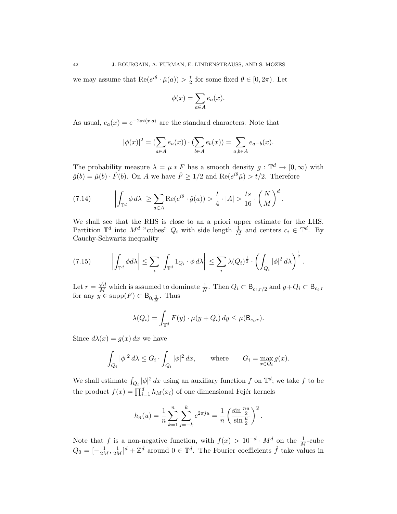we may assume that  $Re(e^{i\theta} \cdot \hat{\mu}(a)) > \frac{t}{2}$  $\frac{t}{2}$  for some fixed  $\theta \in [0, 2\pi)$ . Let

$$
\phi(x) = \sum_{a \in A} e_a(x).
$$

As usual,  $e_a(x) = e^{-2\pi i \langle x, a \rangle}$  are the standard characters. Note that

$$
|\phi(x)|^2 = (\sum_{a \in A} e_a(x)) \cdot (\overline{\sum_{b \in A} e_b(x)}) = \sum_{a, b \in A} e_{a-b}(x).
$$

The probability measure  $\lambda = \mu * F$  has a smooth density  $g : \mathbb{T}^d \to [0, \infty)$  with  $\hat{g}(b) = \hat{\mu}(b) \cdot \hat{F}(b)$ . On A we have  $\hat{F} \ge 1/2$  and  $\text{Re}(e^{i\theta}\hat{\mu}) > t/2$ . Therefore

<span id="page-41-0"></span>(7.14) 
$$
\left| \int_{\mathbb{T}^d} \phi \, d\lambda \right| \geq \sum_{a \in A} \text{Re}(e^{i\theta} \cdot \hat{g}(a)) > \frac{t}{4} \cdot |A| > \frac{ts}{16} \cdot \left(\frac{N}{M}\right)^d.
$$

We shall see that the RHS is close to an a priori upper estimate for the LHS. Partition  $\mathbb{T}^d$  into  $M^d$  "cubes"  $Q_i$  with side length  $\frac{1}{M}$  and centers  $c_i \in \mathbb{T}^d$ . By Cauchy-Schwartz inequality

<span id="page-41-1"></span>
$$
(7.15) \qquad \left| \int_{\mathbb{T}^d} \phi d\lambda \right| \leq \sum_i \left| \int_{\mathbb{T}^d} 1_{Q_i} \cdot \phi d\lambda \right| \leq \sum_i \lambda(Q_i)^{\frac{1}{2}} \cdot \left( \int_{Q_i} |\phi|^2 d\lambda \right)^{\frac{1}{2}}.
$$

Let  $r =$  $\frac{\sqrt{d}}{M}$  which is assumed to dominate  $\frac{1}{N}$ . Then  $Q_i \subset \mathsf{B}_{c_i,r/2}$  and  $y+Q_i \subset \mathsf{B}_{c_i,r}$ for any  $y \in \text{supp}(F) \subset B_{0, \frac{1}{N}}$ . Thus

$$
\lambda(Q_i) = \int_{\mathbb{T}^d} F(y) \cdot \mu(y + Q_i) dy \le \mu(\mathsf{B}_{c_i,r}).
$$

Since  $d\lambda(x) = g(x) dx$  we have

$$
\int_{Q_i} |\phi|^2 d\lambda \le G_i \cdot \int_{Q_i} |\phi|^2 dx, \quad \text{where} \quad G_i = \max_{x \in Q_i} g(x).
$$

We shall estimate  $\int_{Q_i} |\phi|^2 dx$  using an auxiliary function f on  $\mathbb{T}^d$ ; we take f to be the product  $f(x) = \prod_{i=1}^{d} h_M(x_i)$  of one dimensional Fejér kernels

$$
h_n(u) = \frac{1}{n} \sum_{k=1}^n \sum_{j=-k}^k e^{2\pi j u} = \frac{1}{n} \left( \frac{\sin \frac{n u}{2}}{\sin \frac{u}{2}} \right)^2.
$$

Note that f is a non-negative function, with  $f(x) > 10^{-d} \cdot M^d$  on the  $\frac{1}{M}$ -cube  $Q_0 = \left[-\frac{1}{2M}, \frac{1}{2M}\right]^d + \mathbb{Z}^d$  around  $0 \in \mathbb{T}^d$ . The Fourier coefficients  $\hat{f}$  take values in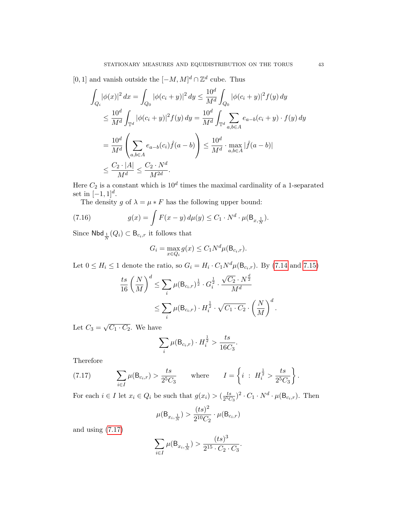[0, 1] and vanish outside the  $[-M, M]^d \cap \mathbb{Z}^d$  cube. Thus

$$
\int_{Q_i} |\phi(x)|^2 dx = \int_{Q_0} |\phi(c_i + y)|^2 dy \le \frac{10^d}{M^d} \int_{Q_0} |\phi(c_i + y)|^2 f(y) dy
$$
  
\n
$$
\le \frac{10^d}{M^d} \int_{\mathbb{T}^d} |\phi(c_i + y)|^2 f(y) dy = \frac{10^d}{M^d} \int_{\mathbb{T}^d} \sum_{a,b \in A} e_{a-b}(c_i + y) \cdot f(y) dy
$$
  
\n
$$
= \frac{10^d}{M^d} \left( \sum_{a,b \in A} e_{a-b}(c_i) \hat{f}(a - b) \right) \le \frac{10^d}{M^d} \cdot \max_{a,b \in A} |\hat{f}(a - b)|
$$
  
\n
$$
\le \frac{C_2 \cdot |A|}{M^d} \le \frac{C_2 \cdot N^d}{M^{2d}}.
$$

Here  $C_2$  is a constant which is  $10^d$  times the maximal cardinality of a 1-separated set in  $[-1, 1]^d$ .

The density g of  $\lambda = \mu * F$  has the following upper bound:

(7.16) 
$$
g(x) = \int F(x - y) d\mu(y) \leq C_1 \cdot N^d \cdot \mu(\mathsf{B}_{x, \frac{1}{N}}).
$$

Since  $\textsf{Nbd}_{\frac{1}{N}}(Q_i) \subset \mathsf{B}_{c_i,r}$  it follows that

$$
G_i = \max_{x \in Q_i} g(x) \le C_1 N^d \mu(\mathsf{B}_{c_i,r}).
$$

Let  $0 \le H_i \le 1$  denote the ratio, so  $G_i = H_i \cdot C_1 N^d \mu(\mathsf{B}_{c_i,r})$ . By [\(7.14](#page-41-0) and [7.15\)](#page-41-1)

$$
\frac{ts}{16} \left(\frac{N}{M}\right)^d \le \sum_i \mu(B_{c_i,r})^{\frac{1}{2}} \cdot G_i^{\frac{1}{2}} \cdot \frac{\sqrt{C_2} \cdot N^{\frac{d}{2}}}{M^d}
$$

$$
\le \sum_i \mu(B_{c_i,r}) \cdot H_i^{\frac{1}{2}} \cdot \sqrt{C_1 \cdot C_2} \cdot \left(\frac{N}{M}\right)^d.
$$

Let  $C_3 =$ √  $\overline{C_1 \cdot C_2}$ . We have

$$
\sum_{i} \mu(B_{c_i,r}) \cdot H_i^{\frac{1}{2}} > \frac{ts}{16C_3}.
$$

Therefore

<span id="page-42-0"></span>(7.17) 
$$
\sum_{i \in I} \mu(B_{c_i,r}) > \frac{ts}{2^5 C_3} \quad \text{where} \quad I = \left\{ i \; : \; H_i^{\frac{1}{2}} > \frac{ts}{2^5 C_3} \right\}.
$$

For each  $i \in I$  let  $x_i \in Q_i$  be such that  $g(x_i) > \left(\frac{ts}{25C}\right)$  $\frac{ts}{2^5C_3}$ )<sup>2</sup> ·  $C_1$  ·  $N^d$  ·  $\mu(\mathsf{B}_{c_i,r})$ . Then

$$
\mu(\mathsf{B}_{x_i, \frac{1}{N}}) > \frac{(ts)^2}{2^{10}C_2} \cdot \mu(\mathsf{B}_{c_i, r})
$$

and using [\(7.17\)](#page-42-0)

$$
\sum_{i \in I} \mu(B_{x_i, \frac{1}{N}}) > \frac{(ts)^3}{2^{15} \cdot C_2 \cdot C_3}.
$$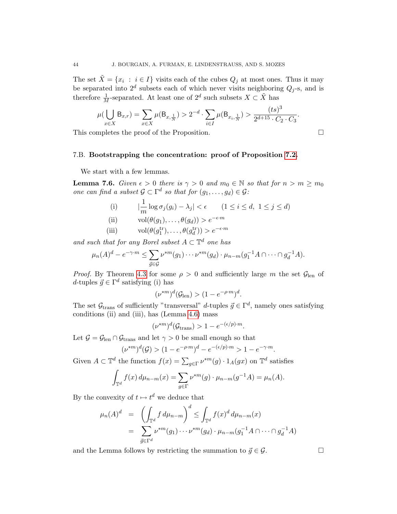The set  $\tilde{X} = \{x_i : i \in I\}$  visits each of the cubes  $Q_j$  at most ones. Thus it may be separated into  $2^d$  subsets each of which never visits neighboring  $Q_j$ -s, and is therefore  $\frac{1}{M}$ -separated. At least one of  $2^d$  such subsets  $X \subset \tilde{X}$  has

$$
\mu(\bigcup_{x \in X} \mathsf{B}_{x,r}) = \sum_{x \in X} \mu(\mathsf{B}_{x,\frac{1}{N}}) > 2^{-d} \cdot \sum_{i \in I} \mu(\mathsf{B}_{x_i,\frac{1}{N}}) > \frac{(ts)^3}{2^{d+15} \cdot C_2 \cdot C_3}.
$$

This completes the proof of the Proposition.

$$
\Box
$$

# 7.B. Bootstrapping the concentration: proof of Proposition [7.2.](#page-36-0)

We start with a few lemmas.

<span id="page-43-0"></span>**Lemma 7.6.** Given  $\epsilon > 0$  there is  $\gamma > 0$  and  $m_0 \in \mathbb{N}$  so that for  $n > m \ge m_0$ one can find a subset  $\mathcal{G} \subset \Gamma^d$  so that for  $(g_1, \ldots, g_d) \in \mathcal{G}$ :

(i) 
$$
\left|\frac{1}{m}\log \sigma_j(g_i) - \lambda_j\right| < \epsilon \qquad (1 \le i \le d, \ 1 \le j \le d)
$$
  
(ii) 
$$
\text{vol}(\theta(g_1), \dots, \theta(g_d)) > e^{-\epsilon \cdot m}
$$

(iii) vol(
$$
\theta(a^{\text{tr}})
$$
  $\theta(a^{\text{tr}})$   $\geq e^{-\epsilon \cdot m}$ 

(iii) 
$$
\text{vol}(\theta(g_1^{\text{tr}}), \dots, \theta(g_d^{\text{tr}})) > e^{-\epsilon \cdot m}
$$

and such that for any Borel subset  $A \subset \mathbb{T}^d$  one has

$$
\mu_n(A)^d - e^{-\gamma \cdot m} \le \sum_{\vec{g} \in \mathcal{G}} \nu^{*m}(g_1) \cdots \nu^{*m}(g_d) \cdot \mu_{n-m}(g_1^{-1}A \cap \cdots \cap g_d^{-1}A).
$$

*Proof.* By Theorem [4.3](#page-12-1) for some  $\rho > 0$  and sufficiently large m the set  $\mathcal{G}_{len}$  of d-tuples  $\vec{g} \in \Gamma^d$  satisfying (i) has

$$
(\nu^{*m})^d(\mathcal{G}_{\text{len}}) > (1 - e^{-\rho \cdot m})^d.
$$

The set  $\mathcal{G}_{\text{trans}}$  of sufficiently "transversal" d-tuples  $\vec{g} \in \Gamma^d$ , namely ones satisfying conditions (ii) and (iii), has (Lemma [4.6\)](#page-14-0) mass

$$
(\nu^{*m})^d(\mathcal{G}_{trans}) > 1 - e^{-(\epsilon/p)\cdot m}.
$$

Let  $\mathcal{G} = \mathcal{G}_{len} \cap \mathcal{G}_{trans}$  and let  $\gamma > 0$  be small enough so that

$$
(\nu^{*m})^d(\mathcal{G}) > (1 - e^{-\rho \cdot m})^d - e^{-(\epsilon/p)\cdot m} > 1 - e^{-\gamma \cdot m}.
$$

Given  $A \subset \mathbb{T}^d$  the function  $f(x) = \sum_{g \in \Gamma} \nu^{*m}(g) \cdot 1_A(gx)$  on  $\mathbb{T}^d$  satisfies

$$
\int_{\mathbb{T}^d} f(x) d\mu_{n-m}(x) = \sum_{g \in \Gamma} \nu^{*m}(g) \cdot \mu_{n-m}(g^{-1}A) = \mu_n(A).
$$

By the convexity of  $t \mapsto t^d$  we deduce that

$$
\mu_n(A)^d = \left( \int_{\mathbb{T}^d} f d\mu_{n-m} \right)^d \leq \int_{\mathbb{T}^d} f(x)^d d\mu_{n-m}(x)
$$
  
= 
$$
\sum_{\vec{g} \in \Gamma^d} \nu^{*m}(g_1) \cdots \nu^{*m}(g_d) \cdot \mu_{n-m}(g_1^{-1}A \cap \cdots \cap g_d^{-1}A)
$$

and the Lemma follows by restricting the summation to  $\vec{g} \in \mathcal{G}$ .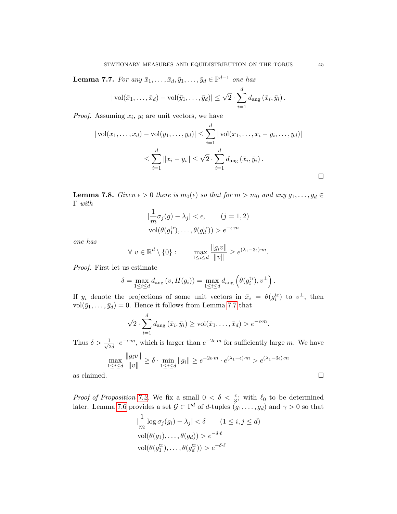<span id="page-44-0"></span>**Lemma 7.7.** For any  $\bar{x}_1, \ldots, \bar{x}_d, \bar{y}_1, \ldots, \bar{y}_d \in \mathbb{P}^{d-1}$  one has

$$
|\operatorname{vol}(\bar{x}_1,\ldots,\bar{x}_d)-\operatorname{vol}(\bar{y}_1,\ldots,\bar{y}_d)|\leq \sqrt{2}\cdot \sum_{i=1}^d d_{\text{ang}}\left(\bar{x}_i,\bar{y}_i\right).
$$

*Proof.* Assuming  $x_i$ ,  $y_i$  are unit vectors, we have

$$
|\operatorname{vol}(x_1, ..., x_d) - \operatorname{vol}(y_1, ..., y_d)| \le \sum_{i=1}^d |\operatorname{vol}(x_1, ..., x_i - y_i, ..., y_d)|
$$
  

$$
\le \sum_{i=1}^d ||x_i - y_i|| \le \sqrt{2} \cdot \sum_{i=1}^d d_{\text{ang}}(\bar{x}_i, \bar{y}_i).
$$

<span id="page-44-1"></span>**Lemma 7.8.** Given  $\epsilon > 0$  there is  $m_0(\epsilon)$  so that for  $m > m_0$  and any  $g_1, \ldots, g_d \in$ Γ with

$$
\left|\frac{1}{m}\sigma_j(g) - \lambda_j\right| < \epsilon, \qquad (j = 1, 2)
$$
\n
$$
\text{vol}(\theta(g_1^{\text{tr}}), \dots, \theta(g_d^{\text{tr}})) > e^{-\epsilon \cdot m}
$$

one has

$$
\forall v \in \mathbb{R}^d \setminus \{0\} : \qquad \max_{1 \le i \le d} \frac{\|g_i v\|}{\|v\|} \ge e^{(\lambda_1 - 3\epsilon) \cdot m}.
$$

Proof. First let us estimate

$$
\delta = \max_{1 \leq i \leq d} d_{\text{ang}}(v, H(g_i)) = \max_{1 \leq i \leq d} d_{\text{ang}}\left(\theta(g_i^{\text{tr}}), v^{\perp}\right).
$$

If  $y_i$  denote the projections of some unit vectors in  $\bar{x}_i = \theta(g_i^{\text{tr}})$  to  $v^{\perp}$ , then vol $(\bar{y}_1, \ldots, \bar{y}_d) = 0$ . Hence it follows from Lemma [7.7](#page-44-0) that

$$
\sqrt{2} \cdot \sum_{i=1}^d d_{\text{ang}}\left(\bar{x}_i, \bar{y}_i\right) \ge \text{vol}(\bar{x}_1, \dots, \bar{x}_d) > e^{-\epsilon \cdot m}.
$$

Thus  $\delta > \frac{1}{\sqrt{c}}$  $\frac{1}{2d} \cdot e^{-\epsilon \cdot m}$ , which is larger than  $e^{-2\epsilon \cdot m}$  for sufficiently large m. We have

$$
\max_{1 \le i \le d} \frac{\|g_i v\|}{\|v\|} \ge \delta \cdot \min_{1 \le i \le d} \|g_i\| \ge e^{-2\epsilon \cdot m} \cdot e^{(\lambda_1 - \epsilon) \cdot m} > e^{(\lambda_1 - 3\epsilon) \cdot m}
$$
as claimed.

*Proof of Proposition [7.2.](#page-36-0)* We fix a small  $0 < \delta < \frac{\epsilon}{3}$ ; with  $\ell_0$  to be determined later. Lemma [7.6](#page-43-0) provides a set  $\mathcal{G} \subset \Gamma^d$  of d-tuples  $(g_1, \ldots, g_d)$  and  $\gamma > 0$  so that

$$
\left|\frac{1}{m}\log \sigma_j(g_i) - \lambda_j\right| < \delta \qquad (1 \le i, j \le d)
$$
  
vol $(\theta(g_1), \dots, \theta(g_d)) > e^{-\delta \cdot \ell}$   
vol $(\theta(g_1^{tr}), \dots, \theta(g_d^{tr})) > e^{-\delta \cdot \ell}$ 

 $\Box$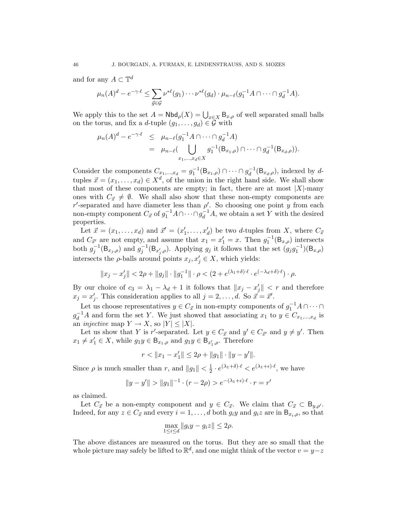and for any  $A \subset \mathbb{T}^d$ 

$$
\mu_n(A)^d - e^{-\gamma \cdot \ell} \leq \sum_{\vec{g} \in \mathcal{G}} \nu^{*\ell}(g_1) \cdots \nu^{*\ell}(g_d) \cdot \mu_{n-\ell}(g_1^{-1}A \cap \cdots \cap g_d^{-1}A).
$$

We apply this to the set  $A = \mathsf{Nbd}_\rho(X) = \bigcup_{x \in X} \mathsf{B}_{x,\rho}$  of well separated small balls on the torus, and fix a d-tuple  $(g_1, \ldots, g_d) \in \mathcal{G}$  with

$$
\mu_n(A)^d - e^{-\gamma \cdot \ell} \leq \mu_{n-\ell}(g_1^{-1}A \cap \dots \cap g_d^{-1}A) \n= \mu_{n-\ell}(\bigcup_{x_1,\dots,x_d \in X} g_1^{-1}(B_{x_1,\rho}) \cap \dots \cap g_d^{-1}(B_{x_d,\rho})).
$$

Consider the components  $C_{x_1,\dots,x_d} = g_1^{-1}(\mathsf{B}_{x_1,\rho}) \cap \cdots \cap g_d^{-1}$  $_d^{-1}(\mathsf{B}_{x_d,\rho}),$  indexed by dtuples  $\vec{x} = (x_1, \ldots, x_d) \in X^d$ , of the union in the right hand side. We shall show that most of these components are empty; in fact, there are at most  $|X|$ -many ones with  $C_{\vec{x}} \neq \emptyset$ . We shall also show that these non-empty components are r'-separated and have diameter less than  $\rho'$ . So choosing one point y from each non-empty component  $C_{\vec{x}}$  of  $g_1^{-1}A \cap \cdots \cap g_d^{-1}A$ , we obtain a set Y with the desired properties.

Let  $\vec{x} = (x_1, \ldots, x_d)$  and  $\vec{x}' = (x'_1, \ldots, x'_d)$  be two d-tuples from X, where  $C_{\vec{x}}$ and  $C_{\vec{x}'}$  are not empty, and assume that  $x_1 = x_1' = x$ . Then  $g_1^{-1}(\mathsf{B}_{x,\rho})$  intersects both  $g_j^{-1}(\mathsf{B}_{x_j,\rho})$  and  $g_j^{-1}(\mathsf{B}_{x'_j,\rho})$ . Applying  $g_j$  it follows that the set  $(g_jg_1^{-1})(\mathsf{B}_{x,\rho})$ intersects the  $\rho$ -balls around points  $x_j, x'_j \in X$ , which yields:

$$
||x_j - x'_j|| < 2\rho + ||g_j|| \cdot ||g_1^{-1}|| \cdot \rho < (2 + e^{(\lambda_1 + \delta) \cdot \ell} \cdot e^{(-\lambda_d + \delta) \cdot \ell}) \cdot \rho.
$$

By our choice of  $c_3 = \lambda_1 - \lambda_d + 1$  it follows that  $||x_j - x'_j|| < r$  and therefore  $x_j = x'_j$ . This consideration applies to all  $j = 2, \ldots, d$ . So  $\vec{x} = \vec{x}'$ .

Let us choose representatives  $y \in C_{\vec{x}}$  in non-empty components of  $g_1^{-1}A \cap \cdots \cap$  $g_d^{-1}A$  and form the set Y. We just showed that associating  $x_1$  to  $y \in C_{x_1,...,x_d}$  is an *injective* map  $Y \to X$ , so  $|Y| \leq |X|$ .

Let us show that Y is r'-separated. Let  $y \in C_{\vec{x}}$  and  $y' \in C_{\vec{x}}$  and  $y \neq y'$ . Then  $x_1 \neq x'_1 \in X$ , while  $g_1y \in \mathsf{B}_{x_1,\rho}$  and  $g_1y \in \mathsf{B}_{x'_1,\rho}$ . Therefore

$$
r < ||x_1 - x_1'|| \le 2\rho + ||g_1|| \cdot ||y - y'||.
$$

Since  $\rho$  is much smaller than r, and  $||g_1|| < \frac{1}{2}$  $\frac{1}{2} \cdot e^{(\lambda_1 + \delta) \cdot \ell} < e^{(\lambda_1 + \epsilon) \cdot \ell}$ , we have

$$
||y - y'|| > ||g_1||^{-1} \cdot (r - 2\rho) > e^{-(\lambda_1 + \epsilon)\cdot \ell} \cdot r = r'
$$

as claimed.

Let  $C_{\vec{x}}$  be a non-empty component and  $y \in C_{\vec{x}}$ . We claim that  $C_{\vec{x}} \subset B_{y,\rho'}$ . Indeed, for any  $z \in C_{\vec{x}}$  and every  $i = 1, \ldots, d$  both  $g_i y$  and  $g_i z$  are in  $B_{x_i,\rho}$ , so that

$$
\max_{1 \le i \le d} \|g_i y - g_i z\| \le 2\rho.
$$

The above distances are measured on the torus. But they are so small that the whole picture may safely be lifted to  $\mathbb{R}^d$ , and one might think of the vector  $v = y-z$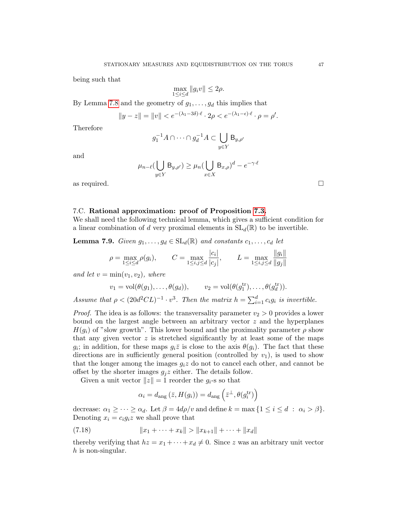being such that

$$
\max_{1 \le i \le d} \|g_i v\| \le 2\rho.
$$

By Lemma [7.8](#page-44-1) and the geometry of  $g_1, \ldots, g_d$  this implies that

$$
||y - z|| = ||v|| < e^{-(\lambda_1 - 3\delta)\cdot \ell} \cdot 2\rho < e^{-(\lambda_1 - \epsilon)\cdot \ell} \cdot \rho = \rho'.
$$

Therefore

$$
g_1^{-1}A \cap \dots \cap g_d^{-1}A \subset \bigcup_{y \in Y} \mathsf{B}_{y,\rho'}
$$

and

$$
\mu_{n-\ell}(\bigcup_{y\in Y} B_{y,\rho'}) \ge \mu_n(\bigcup_{x\in X} B_{x,\rho})^d - e^{-\gamma \cdot \ell}
$$

as required.  $\Box$ 

#### 7.C. Rational approximation: proof of Proposition [7.3.](#page-36-1)

We shall need the following technical lemma, which gives a sufficient condition for a linear combination of d very proximal elements in  $SL_d(\mathbb{R})$  to be invertible.

<span id="page-46-1"></span>**Lemma 7.9.** Given  $g_1, \ldots, g_d \in SL_d(\mathbb{R})$  and constants  $c_1, \ldots, c_d$  let

$$
\rho = \max_{1 \le i \le d} \rho(g_i), \qquad C = \max_{1 \le i,j \le d} \frac{|c_i|}{|c_j|}, \qquad L = \max_{1 \le i,j \le d} \frac{\|g_i\|}{\|g_j\|}
$$

and let  $v = \min(v_1, v_2)$ , where

$$
v_1 = \text{vol}(\theta(g_1), \dots, \theta(g_d)), \qquad v_2 = \text{vol}(\theta(g_1^{\text{tr}}), \dots, \theta(g_d^{\text{tr}})).
$$

Assume that  $\rho < (20d^2CL)^{-1} \cdot v^3$ . Then the matrix  $h = \sum_{i=1}^d c_i g_i$  is invertible.

*Proof.* The idea is as follows: the transversality parameter  $v_2 > 0$  provides a lower bound on the largest angle between an arbitrary vector z and the hyperplanes  $H(q_i)$  of "slow growth". This lower bound and the proximality parameter  $\rho$  show that any given vector  $z$  is stretched significantly by at least some of the maps  $g_i$ ; in addition, for these maps  $g_i\overline{z}$  is close to the axis  $\theta(g_i)$ . The fact that these directions are in sufficiently general position (controlled by  $v_1$ ), is used to show that the longer among the images  $g_i z$  do not to cancel each other, and cannot be offset by the shorter images  $g_j z$  either. The details follow.

Given a unit vector  $||z|| = 1$  reorder the  $g_i$ -s so that

<span id="page-46-0"></span>
$$
\alpha_i = d_{\text{ang}}\left(\bar{z}, H(g_i)\right) = d_{\text{ang}}\left(\bar{z}^{\perp}, \theta(g_i^{\text{tr}})\right)
$$

decrease:  $\alpha_1 \geq \cdots \geq \alpha_d$ . Let  $\beta = 4d\rho/v$  and define  $k = \max\{1 \leq i \leq d : \alpha_i > \beta\}.$ Denoting  $x_i = c_i g_i z$  we shall prove that

(7.18) 
$$
||x_1 + \cdots + x_k|| > ||x_{k+1}|| + \cdots + ||x_d||
$$

thereby verifying that  $hz = x_1 + \cdots + x_d \neq 0$ . Since z was an arbitrary unit vector  $h$  is non-singular.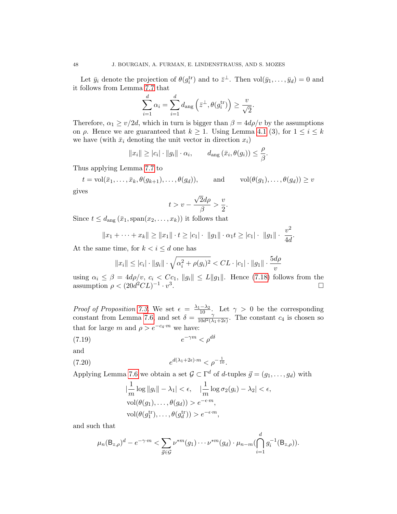Let  $\bar{y}_i$  denote the projection of  $\theta(g_i^{\text{tr}})$  and to  $\bar{z}^{\perp}$ . Then  $\text{vol}(\bar{y}_1,\ldots,\bar{y}_d)=0$  and it follows from Lemma [7.7](#page-44-0) that

$$
\sum_{i=1}^{d} \alpha_i = \sum_{i=1}^{d} d_{\text{ang}} \left( \bar{z}^{\perp}, \theta(g_i^{\text{tr}}) \right) \ge \frac{v}{\sqrt{2}}
$$

.

Therefore,  $\alpha_1 \ge v/2d$ , which in turn is bigger than  $\beta = 4d\rho/v$  by the assumptions on  $\rho$ . Hence we are guaranteed that  $k \geq 1$ . Using Lemma [4.1](#page-10-0) (3), for  $1 \leq i \leq k$ we have (with  $\bar{x}_i$  denoting the unit vector in direction  $x_i$ )

$$
||x_i|| \ge |c_i| \cdot ||g_i|| \cdot \alpha_i,
$$
  $d_{\text{ang}}(\bar{x}_i, \theta(g_i)) \le \frac{\rho}{\beta}.$ 

Thus applying Lemma [7.7](#page-44-0) to

$$
t = \text{vol}(\bar{x}_1, \dots, \bar{x}_k, \theta(g_{k+1}), \dots, \theta(g_d)),
$$
 and  $\text{vol}(\theta(g_1), \dots, \theta(g_d)) \ge v$   
gives

$$
t>v-\frac{\sqrt{2}d\rho}{\beta}>
$$

 $\overline{v}$  $\frac{1}{2}$ .

Since  $t \leq d_{\text{ang}}(\bar{x}_1, \text{span}(x_2, \ldots, x_k))$  it follows that

$$
||x_1 + \cdots + x_k|| \ge ||x_1|| \cdot t \ge |c_1| \cdot ||g_1|| \cdot \alpha_1 t \ge |c_1| \cdot ||g_1|| \cdot \frac{v^2}{4d}.
$$

At the same time, for  $k < i \le d$  one has

$$
||x_i|| \leq |c_i| \cdot ||g_i|| \cdot \sqrt{\alpha_i^2 + \rho(g_i)^2} < CL \cdot |c_1| \cdot ||g_1|| \cdot \frac{5d\rho}{v}
$$

using  $\alpha_i \leq \beta = 4d\rho/v, c_i < Cc_1, ||g_i|| \leq L||g_1||$ . Hence [\(7.18\)](#page-46-0) follows from the assumption  $\rho < (20d^2CL)^{-1} \cdot v^3$ .

*Proof of Proposition [7.3.](#page-36-1)* We set  $\epsilon = \frac{\lambda_1 - \lambda_2}{10}$ . Let  $\gamma > 0$  be the corresponding constant from Lemma [7.6,](#page-43-0) and set  $\delta = \frac{10}{10d^2\Omega}$  $\frac{\gamma}{10d^2(\lambda_1+2\epsilon)}$ . The constant  $c_4$  is chosen so that for large m and  $\rho > e^{-c_4 \cdot m}$  we have:

$$
(7.19) \t\t e^{-\gamma m} < \rho^{d\delta}
$$

and

(7.20) 
$$
e^{d(\lambda_1+2\epsilon)\cdot m} < \rho^{-\frac{1}{10}}.
$$

Applying Lemma [7.6](#page-43-0) we obtain a set  $\mathcal{G} \subset \Gamma^d$  of d-tuples  $\vec{g} = (g_1, \ldots, g_d)$  with

<span id="page-47-1"></span><span id="page-47-0"></span>
$$
\left|\frac{1}{m}\log\|g_i\| - \lambda_1\right| < \epsilon, \quad \left|\frac{1}{m}\log\sigma_2(g_i) - \lambda_2\right| < \epsilon,
$$
\n
$$
\text{vol}(\theta(g_1), \dots, \theta(g_d)) > e^{-\epsilon \cdot m},
$$
\n
$$
\text{vol}(\theta(g_1^{\text{tr}}), \dots, \theta(g_d^{\text{tr}})) > e^{-\epsilon \cdot m},
$$

and such that

$$
\mu_n(\mathsf{B}_{z,\rho})^d - e^{-\gamma \cdot m} < \sum_{\vec{g} \in \mathcal{G}} \nu^{*m}(g_1) \cdots \nu^{*m}(g_d) \cdot \mu_{n-m}(\bigcap_{i=1}^d g_i^{-1}(\mathsf{B}_{z,\rho})).
$$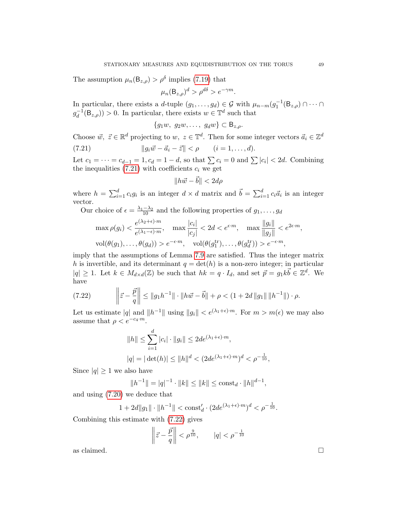The assumption  $\mu_n(\mathsf{B}_{z,\rho}) > \rho^{\delta}$  implies [\(7.19\)](#page-47-0) that

$$
\mu_n(\mathsf{B}_{z,\rho})^d > \rho^{d\delta} > e^{-\gamma m}.
$$

In particular, there exists a d-tuple  $(g_1, \ldots, g_d) \in \mathcal{G}$  with  $\mu_{n-m}(g_1^{-1}(\mathsf{B}_{z,\rho}) \cap \cdots \cap$  $g_d^{-1}$  $\binom{-1}{d}(\mathsf{B}_{z,\rho}) > 0$ . In particular, there exists  $w \in \mathbb{T}^d$  such that

<span id="page-48-0"></span>
$$
\{g_1w, g_2w, \ldots, g_dw\} \subset \mathsf{B}_{z,\rho}.
$$

Choose  $\vec{w}, \ \vec{z} \in \mathbb{R}^d$  projecting to  $w, \ z \in \mathbb{T}^d$ . Then for some integer vectors  $\vec{a}_i \in \mathbb{Z}^d$ 

(7.21) 
$$
||g_i\vec{w} - \vec{a}_i - \vec{z}|| < \rho \qquad (i = 1, ..., d).
$$

Let  $c_1 = \cdots = c_{d-1} = 1, c_d = 1 - d$ , so that  $\sum c_i = 0$  and  $\sum |c_i| < 2d$ . Combining the inequalities  $(7.21)$  with coefficients  $c_i$  we get

$$
||h\vec{w} - \vec{b}|| < 2d\rho
$$

where  $h = \sum_{i=1}^{d} c_i g_i$  is an integer  $d \times d$  matrix and  $\vec{b} = \sum_{i=1}^{d} c_i \vec{a}_i$  is an integer vector.

Our choice of  $\epsilon = \frac{\lambda_1 - \lambda_2}{10}$  and the following properties of  $g_1, \ldots, g_d$ 

$$
\max \rho(g_i) < \frac{e^{(\lambda_2 + \epsilon) \cdot m}}{e^{(\lambda_1 - \epsilon) \cdot m}}, \quad \max \frac{|c_i|}{|c_j|} < 2d < e^{\epsilon \cdot m}, \quad \max \frac{\|g_i\|}{\|g_j\|} < e^{2\epsilon \cdot m},
$$
\n
$$
\text{vol}(\theta(g_1), \dots, \theta(g_d)) > e^{-\epsilon \cdot m}, \quad \text{vol}(\theta(g_1^{\text{tr}}), \dots, \theta(g_d^{\text{tr}})) > e^{-\epsilon \cdot m},
$$

imply that the assumptions of Lemma [7.9](#page-46-1) are satisfied. Thus the integer matrix h is invertible, and its determinant  $q = \det(h)$  is a non-zero integer; in particular  $|q| \geq 1$ . Let  $k \in M_{d \times d}(\mathbb{Z})$  be such that  $hk = q \cdot I_d$ , and set  $\vec{p} = g_1 k \vec{b} \in \mathbb{Z}^d$ . We have

(7.22) 
$$
\left\|\vec{z}-\frac{\vec{p}}{q}\right\| \le \|g_1h^{-1}\|\cdot \|h\vec{w}-\vec{b}\| + \rho < (1+2d\|g_1\|\|h^{-1}\|)\cdot\rho.
$$

Let us estimate  $|q|$  and  $||h^{-1}||$  using  $||g_i|| < e^{(\lambda_1 + \epsilon) \cdot m}$ . For  $m > m(\epsilon)$  we may also assume that  $\rho < e^{-c_4 \cdot m}$ .

<span id="page-48-1"></span>
$$
||h|| \le \sum_{i=1}^{d} |c_i| \cdot ||g_i|| \le 2de^{(\lambda_1 + \epsilon) \cdot m},
$$
  

$$
|q| = |\det(h)| \le ||h||^d < (2de^{(\lambda_1 + \epsilon) \cdot m})^d < \rho^{-\frac{1}{10}},
$$

Since  $|q| \geq 1$  we also have

$$
||h^{-1}|| = |q|^{-1} \cdot ||k|| \le ||k|| \le \text{const}_d \cdot ||h||^{d-1},
$$

and using [\(7.20\)](#page-47-1) we deduce that

 $1 + 2d||g_1|| \cdot ||h^{-1}|| < \text{const}'_d \cdot (2de^{(\lambda_1 + \epsilon) \cdot m})^d < \rho^{-\frac{1}{10}}.$ 

Combining this estimate with [\(7.22\)](#page-48-1) gives

$$
\left\| \vec{z} - \frac{\vec{p}}{q} \right\| < \rho^{\frac{9}{10}}, \qquad |q| < \rho^{-\frac{1}{10}}
$$

as claimed.  $\square$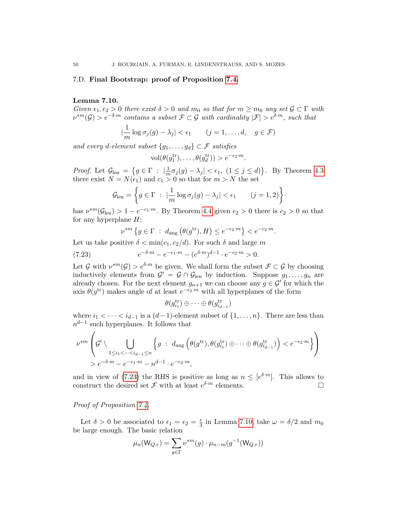#### <span id="page-49-0"></span>7.D. Final Bootstrap: proof of Proposition [7.4.](#page-37-0)

#### <span id="page-49-2"></span>Lemma 7.10.

Given  $\epsilon_1, \epsilon_2 > 0$  there exist  $\delta > 0$  and  $m_0$  so that for  $m \ge m_0$  any set  $\mathcal{G} \subset \Gamma$  with  $\nu^{*m}(\mathcal{G}) > e^{-\delta \cdot m}$  contains a subset  $\mathcal{F} \subset \mathcal{G}$  with cardinality  $|\mathcal{F}| > e^{\delta \cdot m}$ , such that

$$
\left|\frac{1}{m}\log\sigma_j(g)-\lambda_j\right|<\epsilon_1\qquad (j=1,\ldots,d,\quad g\in\mathcal{F})
$$

and every d-element subset  $\{g_1, \ldots, g_d\} \subset \mathcal{F}$  satisfies

$$
\text{vol}(\theta(g_1^{\text{tr}}), \dots, \theta(g_d^{\text{tr}})) > e^{-\epsilon_2 \cdot m}.
$$

*Proof.* Let  $\mathcal{G}_{\text{len}} = \{g \in \Gamma : \left| \frac{1}{m} \right| \}$  $\frac{1}{m}\sigma_j(g) - \lambda_j < \epsilon_1$ ,  $(1 \leq j \leq d)$ . By Theorem [4.3](#page-12-1) there exist  $N = N(\epsilon_1)$  and  $c_1 > 0$  so that for  $m > N$  the set

$$
\mathcal{G}_{\text{len}} = \left\{ g \in \Gamma \ : \ |\frac{1}{m} \log \sigma_j(g) - \lambda_j| < \epsilon_1 \qquad (j = 1, 2) \right\}
$$

has  $\nu^{*m}(\mathcal{G}_{\text{len}}) > 1 - e^{-c_1 \cdot m}$ . By Theorem [4.4](#page-12-5) given  $\epsilon_2 > 0$  there is  $c_2 > 0$  so that for any hyperplane  $H$ :

<span id="page-49-1"></span>
$$
\nu^{*m} \left\{ g \in \Gamma \ : \ d_{\text{ang}} \left( \theta(g^{\text{tr}}), H \right) \le e^{-\epsilon_2 \cdot m} \right\} < e^{-c_2 \cdot m}.
$$

Let us take positive  $\delta < \min(c_1, c_2/d)$ . For such  $\delta$  and large m

(7.23) 
$$
e^{-\delta \cdot m} - e^{-c_1 \cdot m} - (e^{\delta \cdot m})^{d-1} \cdot e^{-c_2 \cdot m} > 0.
$$

Let G with  $\nu^{*m}(\mathcal{G}) > e^{\delta \cdot m}$  be given. We shall form the subset  $\mathcal{F} \subset \mathcal{G}$  by choosing inductively elements from  $\mathcal{G}' = \mathcal{G} \cap \mathcal{G}_{len}$  by induction. Suppose  $g_1, \ldots, g_n$  are already chosen. For the next element  $g_{n+1}$  we can choose any  $g \in \mathcal{G}'$  for which the axis  $\theta(g^{\text{tr}})$  makes angle of at least  $e^{-\epsilon_2 m}$  with all hyperplanes of the form

$$
\theta(g_{i_1}^{\mathrm{tr}}) \oplus \cdots \oplus \theta(g_{i_{d-1}}^{\mathrm{tr}})
$$

where  $i_1 < \cdots < i_{d-1}$  is a  $(d-1)$ -element subset of  $\{1, \ldots, n\}$ . There are less than  $n^{d-1}$  such hyperplanes. It follows that

$$
\nu^{*m}\left(g' \setminus \bigcup_{\substack{1 \leq i_1 < \dots < i_{d-1} \leq n}} \left\{ g \ : \ d_{\text{ang}}\left(\theta(g^{\text{tr}}), \theta(g_{i_1}^{\text{tr}}) \oplus \dots \oplus \theta(g_{i_{d-1}}^{\text{tr}}) \right) < e^{-\epsilon_2 \cdot m} \right\} \right)
$$
\n
$$
> e^{-\delta \cdot m} - e^{-c_1 \cdot m} - n^{d-1} \cdot e^{-c_2 \cdot m},
$$

and in view of [\(7.23\)](#page-49-1) the RHS is positive as long as  $n \leq [e^{\delta \cdot m}]$ . This allows to construct the desired set  $\mathcal F$  with at least  $e^{\delta \cdot m}$  elements.

## Proof of Proposition [7.4.](#page-37-0)

Let  $\delta > 0$  be associated to  $\epsilon_1 = \epsilon_2 = \frac{\epsilon}{3}$  $\frac{\epsilon}{3}$  in Lemma [7.10,](#page-49-2) take  $\omega = \delta/2$  and  $m_0$ be large enough. The basic relation

$$
\mu_n(\mathsf{W}_{Q,r})=\sum_{g\in \Gamma}\nu^{*m}(g)\cdot \mu_{n-m}(g^{-1}(\mathsf{W}_{Q,r}))
$$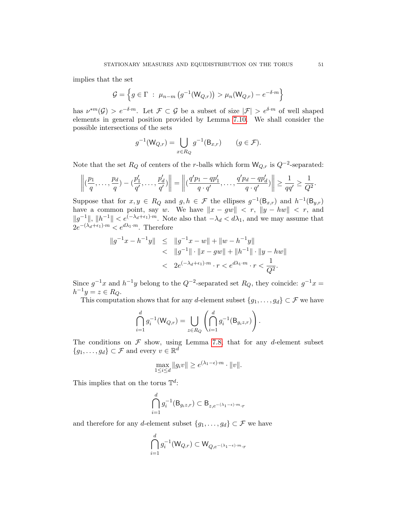implies that the set

$$
\mathcal{G} = \left\{ g \in \Gamma \; : \; \mu_{n-m} \left( g^{-1}(\mathsf{W}_{Q,r}) \right) > \mu_n(\mathsf{W}_{Q,r}) - e^{-\delta \cdot m} \right\}
$$

has  $\nu^{*m}(\mathcal{G}) > e^{-\delta \cdot m}$ . Let  $\mathcal{F} \subset \mathcal{G}$  be a subset of size  $|\mathcal{F}| > e^{\delta \cdot m}$  of well shaped elements in general position provided by Lemma [7.10.](#page-49-2) We shall consider the possible intersections of the sets

$$
g^{-1}(\mathsf{W}_{Q,r}) = \bigcup_{x \in R_Q} g^{-1}(\mathsf{B}_{x,r}) \qquad (g \in \mathcal{F}).
$$

Note that the set  $R_Q$  of centers of the r-balls which form  $\mathsf{W}_{Q,r}$  is  $Q^{-2}$ -separated:

$$
\left\|(\frac{p_1}{q},\ldots,\frac{p_d}{q}) - (\frac{p'_1}{q'},\ldots,\frac{p'_d}{q'})\right\| = \left\|(\frac{q'p_1 - qp'_1}{q \cdot q'},\ldots,\frac{q'p_d - qp'_d}{q \cdot q'})\right\| \ge \frac{1}{qq'} \ge \frac{1}{Q^2}.
$$

Suppose that for  $x, y \in R_Q$  and  $g, h \in \mathcal{F}$  the ellipses  $g^{-1}(\mathsf{B}_{x,r})$  and  $h^{-1}(\mathsf{B}_{y,r})$ have a common point, say w. We have  $||x - gw|| < r$ ,  $||y - hw|| < r$ , and  $||g^{-1}||, ||h^{-1}|| < e^{(-\lambda_d + \epsilon_1)\cdot m}$ . Note also that  $-\lambda_d < d\lambda_1$ , and we may assume that  $2e^{-(\lambda_d+\epsilon_1)\cdot m} < e^{d\lambda_1\cdot m}$ . Therefore

$$
||g^{-1}x - h^{-1}y|| \le ||g^{-1}x - w|| + ||w - h^{-1}y||
$$
  

$$
< ||g^{-1}|| \cdot ||x - gw|| + ||h^{-1}|| \cdot ||y - hw||
$$
  

$$
< 2e^{(-\lambda_d + \epsilon_1) \cdot m} \cdot r < e^{d\lambda_1 \cdot m} \cdot r < \frac{1}{Q^2}.
$$

Since  $g^{-1}x$  and  $h^{-1}y$  belong to the  $Q^{-2}$ -separated set  $R_Q$ , they coincide:  $g^{-1}x =$  $h^{-1}y = z \in R_Q.$ 

This computation shows that for any d-element subset  $\{g_1, \ldots, g_d\} \subset \mathcal{F}$  we have

$$
\bigcap_{i=1}^d g_i^{-1}(\mathsf{W}_{Q,r}) = \bigcup_{z \in R_Q} \left( \bigcap_{i=1}^d g_i^{-1}(\mathsf{B}_{g_iz,r}) \right).
$$

The conditions on  $\mathcal F$  show, using Lemma [7.8,](#page-44-1) that for any d-element subset  ${g_1, \ldots, g_d} \subset \mathcal{F}$  and every  $v \in \mathbb{R}^d$ 

$$
\max_{1 \le i \le d} \|g_i v\| \ge e^{(\lambda_1 - \epsilon) \cdot m} \cdot \|v\|.
$$

This implies that on the torus  $\mathbb{T}^d$ :

$$
\bigcap_{i=1}^d g_i^{-1}(\mathsf{B}_{g_iz,r}) \subset \mathsf{B}_{z,e^{-(\lambda_1 - \epsilon) \cdot m} \cdot r}
$$

and therefore for any d-element subset  $\{g_1, \ldots, g_d\} \subset \mathcal{F}$  we have

$$
\bigcap_{i=1}^d g_i^{-1}(\mathsf{W}_{Q,r}) \subset \mathsf{W}_{Q,e^{-(\lambda_1-\epsilon)\cdot m}\cdot r}
$$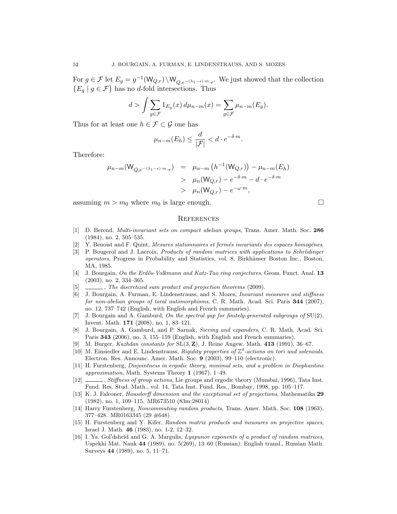For  $g \in \mathcal{F}$  let  $E_g = g^{-1}(\mathsf{W}_{Q,r}) \setminus \mathsf{W}_{Q,e^{-(\lambda_1 - \epsilon) \cdot m} \cdot r}$ . We just showed that the collection  ${E_q | g \in \mathcal{F}}$  has no d-fold intersections. Thus

$$
d > \int \sum_{g \in \mathcal{F}} 1_{E_g}(x) d\mu_{n-m}(x) = \sum_{g \in \mathcal{F}} \mu_{n-m}(E_g).
$$

Thus for at least one  $h \in \mathcal{F} \subset \mathcal{G}$  one has

$$
\mu_{n-m}(E_h) \le \frac{d}{|\mathcal{F}|} < d \cdot e^{-\delta \cdot m}.
$$

Therefore:

$$
\mu_{n-m}(\mathsf{W}_{Q,e^{-(\lambda_1-\epsilon)\cdot m} \cdot r}) = \mu_{n-m} (h^{-1}(\mathsf{W}_{Q,r})) - \mu_{n-m}(E_h)
$$
  
>  $\mu_n(\mathsf{W}_{Q,r}) - e^{-\delta \cdot m} - d \cdot e^{-\delta \cdot m}$   
>  $\mu_n(\mathsf{W}_{Q,r}) - e^{-\omega \cdot m}$ ,

assuming  $m > m_0$  where  $m_0$  is large enough.

#### **REFERENCES**

- <span id="page-51-0"></span>[1] D. Berend, Multi-invariant sets on compact abelian groups, Trans. Amer. Math. Soc. 286 (1984), no. 2, 505–535.
- Y. Benoist and F. Quint, Mesures stationnaires et fermés invariants des espaces homogénes.
- <span id="page-51-11"></span><span id="page-51-5"></span>[3] P. Bougerol and J. Lacroix, *Products of random matrices with applications to Schrödinger* operators, Progress in Probability and Statistics, vol. 8, Birkhäuser Boston Inc., Boston, MA, 1985.
- <span id="page-51-9"></span>[4] J. Bourgain, On the Erdős-Volkmann and Katz-Tao ring conjectures, Geom. Funct. Anal. 13 (2003), no. 2, 334–365.
- [5]  $\quad \underline{\hspace{2cm}}$ , The discretized sum product and projection theorems (2009).
- <span id="page-51-8"></span><span id="page-51-4"></span>[6] J. Bourgain, A. Furman, E. Lindenstrauss, and S. Mozes, Invariant measures and stiffness for non-abelian groups of toral automorphisms, C. R. Math. Acad. Sci. Paris 344 (2007), no. 12, 737–742 (English, with English and French summaries).
- [7] J. Bourgain and A. Gamburd, On the spectral gap for finitely-generated subgroups of  $SU(2)$ , Invent. Math. 171 (2008), no. 1, 83–121.
- [8] J. Bourgain, A. Gamburd, and P. Sarnak, Sieving and expanders, C. R. Math. Acad. Sci. Paris 343 (2006), no. 3, 155–159 (English, with English and French summaries).
- [9] M. Burger, *Kazhdan constants for*  $SL(3, \mathbb{Z})$ , J. Reine Angew. Math. 413 (1991), 36–67.
- <span id="page-51-6"></span>[10] M. Einsiedler and E. Lindenstrauss, Rigidity properties of  $\mathbb{Z}^d$ -actions on tori and solenoids, Electron. Res. Announc. Amer. Math. Soc. 9 (2003), 99–110 (electronic).
- [11] H. Furstenberg, Disjointness in ergodic theory, minimal sets, and a problem in Diophantine *approximation*, Math. Systems Theory 1 (1967), 1–49.
- <span id="page-51-3"></span>[12] Stiffness of group actions, Lie groups and ergodic theory (Mumbai, 1996), Tata Inst. Fund. Res. Stud. Math., vol. 14, Tata Inst. Fund. Res., Bombay, 1998, pp. 105–117.
- <span id="page-51-7"></span>[13] K. J. Falconer, Hausdorff dimension and the exceptional set of projections, Mathematika 29 (1982), no. 1, 109–115. MR673510 (83m:28014)
- <span id="page-51-2"></span>[14] Harry Furstenberg, Noncommuting random products, Trans. Amer. Math. Soc. 108 (1963), 377–428. MR0163345 (29 #648)
- <span id="page-51-10"></span>[15] H. Furstenberg and Y. Kifer, Random matrix products and measures on projective spaces, Israel J. Math. 46 (1983), no. 1-2, 12–32.
- <span id="page-51-1"></span>[16] I. Ya. Gol'dsheĭd and G. A. Margulis, *Lyapunov exponents of a product of random matrices*, Uspekhi Mat. Nauk 44 (1989), no. 5(269), 13–60 (Russian); English transl., Russian Math. Surveys 44 (1989), no. 5, 11–71.